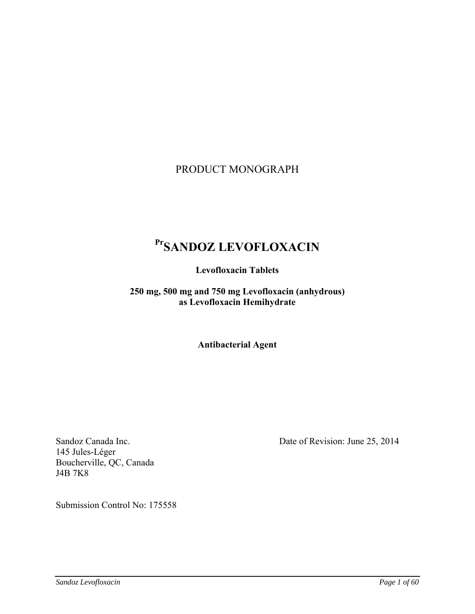# PRODUCT MONOGRAPH

# **PrSANDOZ LEVOFLOXACIN**

**Levofloxacin Tablets** 

**250 mg, 500 mg and 750 mg Levofloxacin (anhydrous) as Levofloxacin Hemihydrate** 

**Antibacterial Agent** 

145 Jules-Léger Boucherville, QC, Canada J4B 7K8

Sandoz Canada Inc. Date of Revision: June 25, 2014

Submission Control No: 175558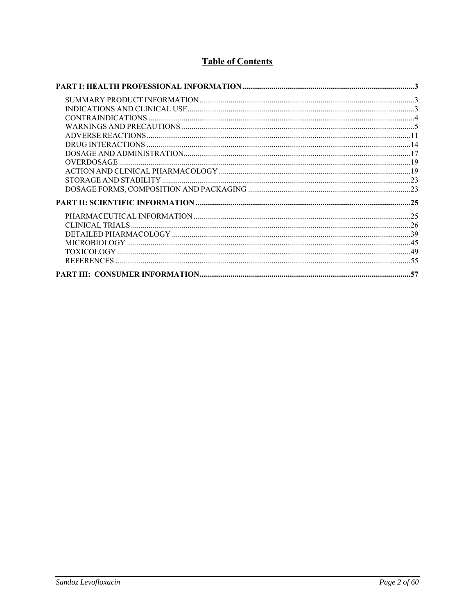# **Table of Contents**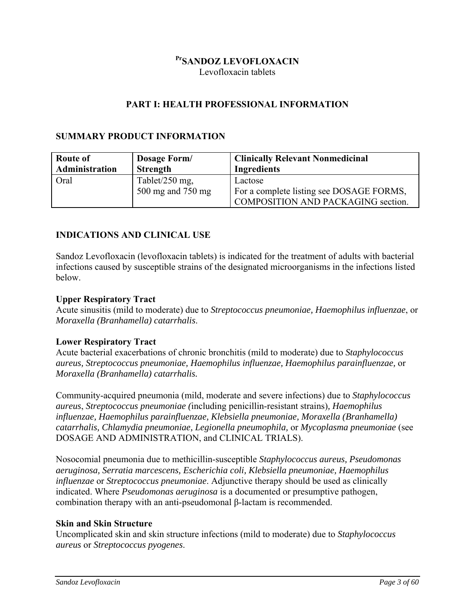# **PrSANDOZ LEVOFLOXACIN**

Levofloxacin tablets

# **PART I: HEALTH PROFESSIONAL INFORMATION**

# **SUMMARY PRODUCT INFORMATION**

| Route of       | Dosage Form/      | <b>Clinically Relevant Nonmedicinal</b>   |
|----------------|-------------------|-------------------------------------------|
| Administration | Strength          | <b>Ingredients</b>                        |
| Oral           | Tablet/250 mg,    | Lactose                                   |
|                | 500 mg and 750 mg | For a complete listing see DOSAGE FORMS,  |
|                |                   | <b>COMPOSITION AND PACKAGING section.</b> |

# **INDICATIONS AND CLINICAL USE**

Sandoz Levofloxacin (levofloxacin tablets) is indicated for the treatment of adults with bacterial infections caused by susceptible strains of the designated microorganisms in the infections listed below.

### **Upper Respiratory Tract**

Acute sinusitis (mild to moderate) due to *Streptococcus pneumoniae, Haemophilus influenzae*, or *Moraxella (Branhamella) catarrhalis*.

## **Lower Respiratory Tract**

Acute bacterial exacerbations of chronic bronchitis (mild to moderate) due to *Staphylococcus aureus, Streptococcus pneumoniae, Haemophilus influenzae, Haemophilus parainfluenzae,* or *Moraxella (Branhamella) catarrhalis.* 

Community-acquired pneumonia (mild, moderate and severe infections) due to *Staphylococcus aureus*, *Streptococcus pneumoniae (*including penicillin-resistant strains)*, Haemophilus influenzae, Haemophilus parainfluenzae, Klebsiella pneumoniae, Moraxella (Branhamella) catarrhalis, Chlamydia pneumoniae, Legionella pneumophila,* or *Mycoplasma pneumoniae* (see DOSAGE AND ADMINISTRATION, and CLINICAL TRIALS).

Nosocomial pneumonia due to methicillin-susceptible *Staphylococcus aureus, Pseudomonas aeruginosa, Serratia marcescens, Escherichia coli, Klebsiella pneumoniae, Haemophilus influenzae* or *Streptococcus pneumoniae*. Adjunctive therapy should be used as clinically indicated. Where *Pseudomonas aeruginosa* is a documented or presumptive pathogen, combination therapy with an anti-pseudomonal β-lactam is recommended.

#### **Skin and Skin Structure**

Uncomplicated skin and skin structure infections (mild to moderate) due to *Staphylococcus aureus* or *Streptococcus pyogenes*.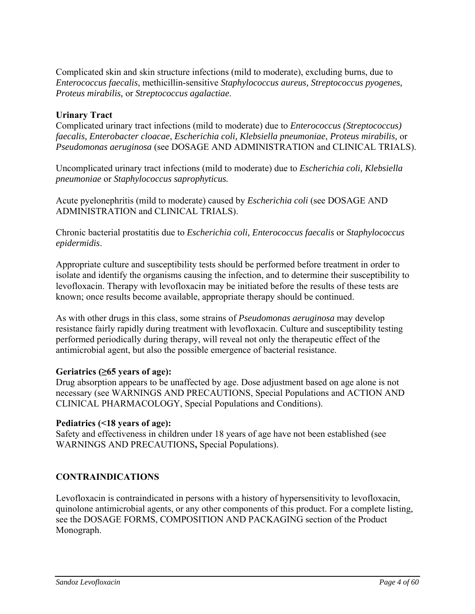Complicated skin and skin structure infections (mild to moderate), excluding burns, due to *Enterococcus faecalis*, methicillin-sensitive *Staphylococcus aureus, Streptococcus pyogenes, Proteus mirabilis,* or *Streptococcus agalactiae*.

# **Urinary Tract**

Complicated urinary tract infections (mild to moderate) due to *Enterococcus (Streptococcus) faecalis, Enterobacter cloacae*, *Escherichia coli, Klebsiella pneumoniae*, *Proteus mirabilis,* or *Pseudomonas aeruginosa* (see DOSAGE AND ADMINISTRATION and CLINICAL TRIALS).

Uncomplicated urinary tract infections (mild to moderate) due to *Escherichia coli, Klebsiella pneumoniae* or *Staphylococcus saprophyticus.* 

Acute pyelonephritis (mild to moderate) caused by *Escherichia coli* (see DOSAGE AND ADMINISTRATION and CLINICAL TRIALS).

Chronic bacterial prostatitis due to *Escherichia coli, Enterococcus faecalis* or *Staphylococcus epidermidis*.

Appropriate culture and susceptibility tests should be performed before treatment in order to isolate and identify the organisms causing the infection, and to determine their susceptibility to levofloxacin. Therapy with levofloxacin may be initiated before the results of these tests are known; once results become available, appropriate therapy should be continued.

As with other drugs in this class, some strains of *Pseudomonas aeruginosa* may develop resistance fairly rapidly during treatment with levofloxacin. Culture and susceptibility testing performed periodically during therapy, will reveal not only the therapeutic effect of the antimicrobial agent, but also the possible emergence of bacterial resistance.

## **Geriatrics (≥65 years of age):**

Drug absorption appears to be unaffected by age. Dose adjustment based on age alone is not necessary (see WARNINGS AND PRECAUTIONS, Special Populations and ACTION AND CLINICAL PHARMACOLOGY, Special Populations and Conditions).

#### **Pediatrics (<18 years of age):**

Safety and effectiveness in children under 18 years of age have not been established (see WARNINGS AND PRECAUTIONS**,** Special Populations).

## **CONTRAINDICATIONS**

Levofloxacin is contraindicated in persons with a history of hypersensitivity to levofloxacin, quinolone antimicrobial agents, or any other components of this product. For a complete listing, see the DOSAGE FORMS, COMPOSITION AND PACKAGING section of the Product Monograph.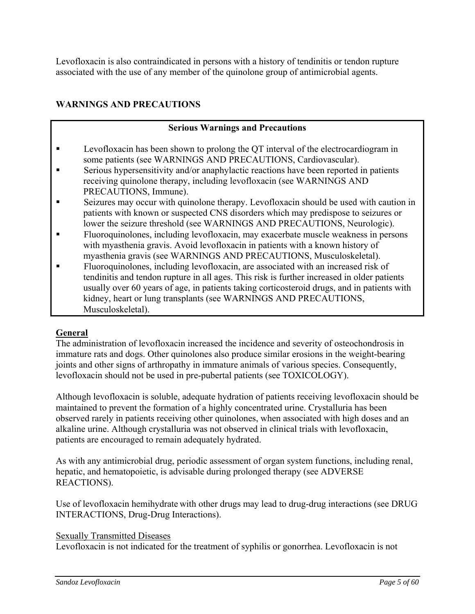Levofloxacin is also contraindicated in persons with a history of tendinitis or tendon rupture associated with the use of any member of the quinolone group of antimicrobial agents.

# **WARNINGS AND PRECAUTIONS**

# **Serious Warnings and Precautions**

- **EXECUTE:** Levofloxacin has been shown to prolong the QT interval of the electrocardiogram in some patients (see WARNINGS AND PRECAUTIONS, Cardiovascular).
- Serious hypersensitivity and/or anaphylactic reactions have been reported in patients receiving quinolone therapy, including levofloxacin (see WARNINGS AND PRECAUTIONS, Immune).
- Seizures may occur with quinolone therapy. Levofloxacin should be used with caution in patients with known or suspected CNS disorders which may predispose to seizures or lower the seizure threshold (see WARNINGS AND PRECAUTIONS, Neurologic).
- Fluoroquinolones, including levofloxacin, may exacerbate muscle weakness in persons with myasthenia gravis. Avoid levofloxacin in patients with a known history of myasthenia gravis (see WARNINGS AND PRECAUTIONS, Musculoskeletal).
- Fluoroquinolones, including levofloxacin, are associated with an increased risk of tendinitis and tendon rupture in all ages. This risk is further increased in older patients usually over 60 years of age, in patients taking corticosteroid drugs, and in patients with kidney, heart or lung transplants (see WARNINGS AND PRECAUTIONS, Musculoskeletal).

# **General**

The administration of levofloxacin increased the incidence and severity of osteochondrosis in immature rats and dogs. Other quinolones also produce similar erosions in the weight-bearing joints and other signs of arthropathy in immature animals of various species. Consequently, levofloxacin should not be used in pre-pubertal patients (see TOXICOLOGY).

Although levofloxacin is soluble, adequate hydration of patients receiving levofloxacin should be maintained to prevent the formation of a highly concentrated urine. Crystalluria has been observed rarely in patients receiving other quinolones, when associated with high doses and an alkaline urine. Although crystalluria was not observed in clinical trials with levofloxacin, patients are encouraged to remain adequately hydrated.

As with any antimicrobial drug, periodic assessment of organ system functions, including renal, hepatic, and hematopoietic, is advisable during prolonged therapy (see ADVERSE REACTIONS).

Use of levofloxacin hemihydrate with other drugs may lead to drug-drug interactions (see DRUG INTERACTIONS, Drug-Drug Interactions).

## Sexually Transmitted Diseases

Levofloxacin is not indicated for the treatment of syphilis or gonorrhea. Levofloxacin is not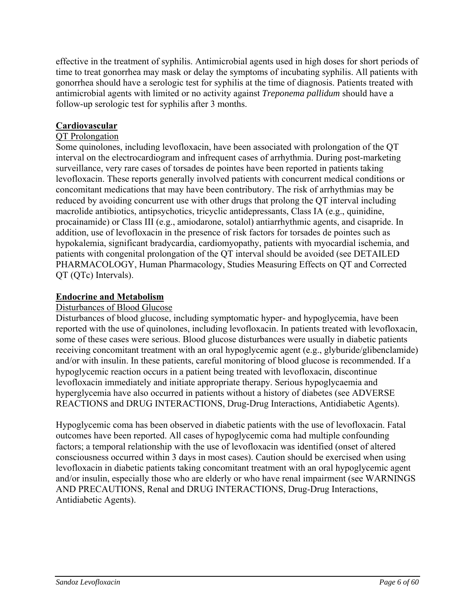effective in the treatment of syphilis. Antimicrobial agents used in high doses for short periods of time to treat gonorrhea may mask or delay the symptoms of incubating syphilis. All patients with gonorrhea should have a serologic test for syphilis at the time of diagnosis. Patients treated with antimicrobial agents with limited or no activity against *Treponema pallidum* should have a follow-up serologic test for syphilis after 3 months.

# **Cardiovascular**

## QT Prolongation

Some quinolones, including levofloxacin, have been associated with prolongation of the QT interval on the electrocardiogram and infrequent cases of arrhythmia. During post-marketing surveillance, very rare cases of torsades de pointes have been reported in patients taking levofloxacin. These reports generally involved patients with concurrent medical conditions or concomitant medications that may have been contributory. The risk of arrhythmias may be reduced by avoiding concurrent use with other drugs that prolong the QT interval including macrolide antibiotics, antipsychotics, tricyclic antidepressants, Class IA (e.g., quinidine, procainamide) or Class III (e.g., amiodarone, sotalol) antiarrhythmic agents, and cisapride. In addition, use of levofloxacin in the presence of risk factors for torsades de pointes such as hypokalemia, significant bradycardia, cardiomyopathy, patients with myocardial ischemia, and patients with congenital prolongation of the QT interval should be avoided (see DETAILED PHARMACOLOGY, Human Pharmacology, Studies Measuring Effects on QT and Corrected QT (QTc) Intervals).

## **Endocrine and Metabolism**

# Disturbances of Blood Glucose

Disturbances of blood glucose, including symptomatic hyper- and hypoglycemia, have been reported with the use of quinolones, including levofloxacin. In patients treated with levofloxacin, some of these cases were serious. Blood glucose disturbances were usually in diabetic patients receiving concomitant treatment with an oral hypoglycemic agent (e.g., glyburide/glibenclamide) and/or with insulin. In these patients, careful monitoring of blood glucose is recommended. If a hypoglycemic reaction occurs in a patient being treated with levofloxacin, discontinue levofloxacin immediately and initiate appropriate therapy. Serious hypoglycaemia and hyperglycemia have also occurred in patients without a history of diabetes (see ADVERSE REACTIONS and DRUG INTERACTIONS, Drug-Drug Interactions, Antidiabetic Agents).

Hypoglycemic coma has been observed in diabetic patients with the use of levofloxacin. Fatal outcomes have been reported. All cases of hypoglycemic coma had multiple confounding factors; a temporal relationship with the use of levofloxacin was identified (onset of altered consciousness occurred within 3 days in most cases). Caution should be exercised when using levofloxacin in diabetic patients taking concomitant treatment with an oral hypoglycemic agent and/or insulin, especially those who are elderly or who have renal impairment (see WARNINGS AND PRECAUTIONS, Renal and DRUG INTERACTIONS, Drug-Drug Interactions, Antidiabetic Agents).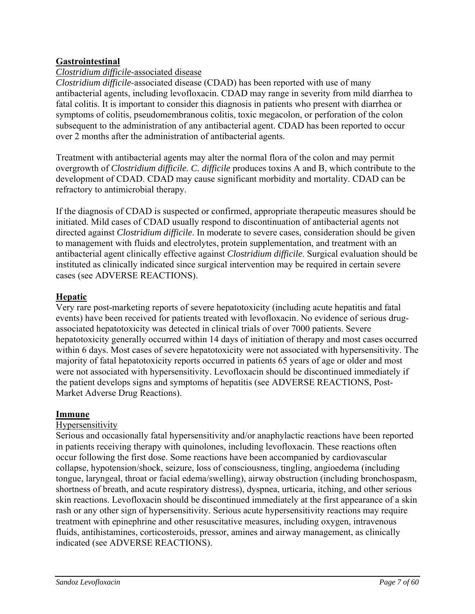# **Gastrointestinal**

## *Clostridium difficile*-associated disease

*Clostridium difficile*-associated disease (CDAD) has been reported with use of many antibacterial agents, including levofloxacin. CDAD may range in severity from mild diarrhea to fatal colitis. It is important to consider this diagnosis in patients who present with diarrhea or symptoms of colitis, pseudomembranous colitis, toxic megacolon, or perforation of the colon subsequent to the administration of any antibacterial agent. CDAD has been reported to occur over 2 months after the administration of antibacterial agents.

Treatment with antibacterial agents may alter the normal flora of the colon and may permit overgrowth of *Clostridium difficile*. *C. difficile* produces toxins A and B, which contribute to the development of CDAD. CDAD may cause significant morbidity and mortality. CDAD can be refractory to antimicrobial therapy.

If the diagnosis of CDAD is suspected or confirmed, appropriate therapeutic measures should be initiated. Mild cases of CDAD usually respond to discontinuation of antibacterial agents not directed against *Clostridium difficile*. In moderate to severe cases, consideration should be given to management with fluids and electrolytes, protein supplementation, and treatment with an antibacterial agent clinically effective against *Clostridium difficile*. Surgical evaluation should be instituted as clinically indicated since surgical intervention may be required in certain severe cases (see ADVERSE REACTIONS).

## **Hepatic**

Very rare post-marketing reports of severe hepatotoxicity (including acute hepatitis and fatal events) have been received for patients treated with levofloxacin. No evidence of serious drugassociated hepatotoxicity was detected in clinical trials of over 7000 patients. Severe hepatotoxicity generally occurred within 14 days of initiation of therapy and most cases occurred within 6 days. Most cases of severe hepatotoxicity were not associated with hypersensitivity. The majority of fatal hepatotoxicity reports occurred in patients 65 years of age or older and most were not associated with hypersensitivity. Levofloxacin should be discontinued immediately if the patient develops signs and symptoms of hepatitis (see ADVERSE REACTIONS, Post-Market Adverse Drug Reactions).

## **Immune**

## Hypersensitivity

Serious and occasionally fatal hypersensitivity and/or anaphylactic reactions have been reported in patients receiving therapy with quinolones, including levofloxacin. These reactions often occur following the first dose. Some reactions have been accompanied by cardiovascular collapse, hypotension/shock, seizure, loss of consciousness, tingling, angioedema (including tongue, laryngeal, throat or facial edema/swelling), airway obstruction (including bronchospasm, shortness of breath, and acute respiratory distress), dyspnea, urticaria, itching, and other serious skin reactions. Levofloxacin should be discontinued immediately at the first appearance of a skin rash or any other sign of hypersensitivity. Serious acute hypersensitivity reactions may require treatment with epinephrine and other resuscitative measures, including oxygen, intravenous fluids, antihistamines, corticosteroids, pressor, amines and airway management, as clinically indicated (see ADVERSE REACTIONS).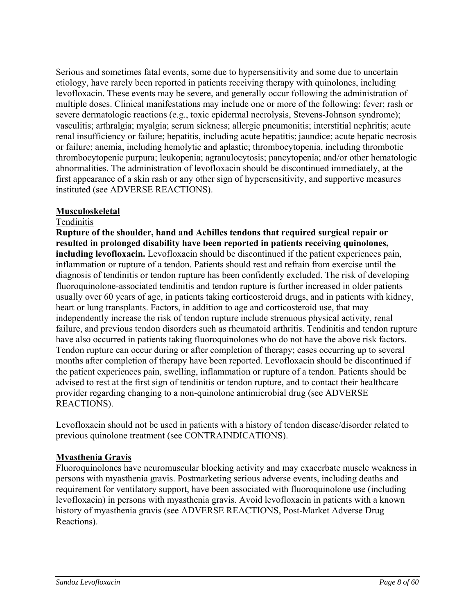Serious and sometimes fatal events, some due to hypersensitivity and some due to uncertain etiology, have rarely been reported in patients receiving therapy with quinolones, including levofloxacin. These events may be severe, and generally occur following the administration of multiple doses. Clinical manifestations may include one or more of the following: fever; rash or severe dermatologic reactions (e.g., toxic epidermal necrolysis, Stevens-Johnson syndrome); vasculitis; arthralgia; myalgia; serum sickness; allergic pneumonitis; interstitial nephritis; acute renal insufficiency or failure; hepatitis, including acute hepatitis; jaundice; acute hepatic necrosis or failure; anemia, including hemolytic and aplastic; thrombocytopenia, including thrombotic thrombocytopenic purpura; leukopenia; agranulocytosis; pancytopenia; and/or other hematologic abnormalities. The administration of levofloxacin should be discontinued immediately, at the first appearance of a skin rash or any other sign of hypersensitivity, and supportive measures instituted (see ADVERSE REACTIONS).

## **Musculoskeletal**

### Tendinitis

**Rupture of the shoulder, hand and Achilles tendons that required surgical repair or resulted in prolonged disability have been reported in patients receiving quinolones, including levofloxacin.** Levofloxacin should be discontinued if the patient experiences pain, inflammation or rupture of a tendon. Patients should rest and refrain from exercise until the diagnosis of tendinitis or tendon rupture has been confidently excluded. The risk of developing fluoroquinolone-associated tendinitis and tendon rupture is further increased in older patients usually over 60 years of age, in patients taking corticosteroid drugs, and in patients with kidney, heart or lung transplants. Factors, in addition to age and corticosteroid use, that may independently increase the risk of tendon rupture include strenuous physical activity, renal failure, and previous tendon disorders such as rheumatoid arthritis. Tendinitis and tendon rupture have also occurred in patients taking fluoroquinolones who do not have the above risk factors. Tendon rupture can occur during or after completion of therapy; cases occurring up to several months after completion of therapy have been reported. Levofloxacin should be discontinued if the patient experiences pain, swelling, inflammation or rupture of a tendon. Patients should be advised to rest at the first sign of tendinitis or tendon rupture, and to contact their healthcare provider regarding changing to a non-quinolone antimicrobial drug (see ADVERSE REACTIONS).

Levofloxacin should not be used in patients with a history of tendon disease/disorder related to previous quinolone treatment (see CONTRAINDICATIONS).

## **Myasthenia Gravis**

Fluoroquinolones have neuromuscular blocking activity and may exacerbate muscle weakness in persons with myasthenia gravis. Postmarketing serious adverse events, including deaths and requirement for ventilatory support, have been associated with fluoroquinolone use (including levofloxacin) in persons with myasthenia gravis. Avoid levofloxacin in patients with a known history of myasthenia gravis (see ADVERSE REACTIONS, Post-Market Adverse Drug Reactions).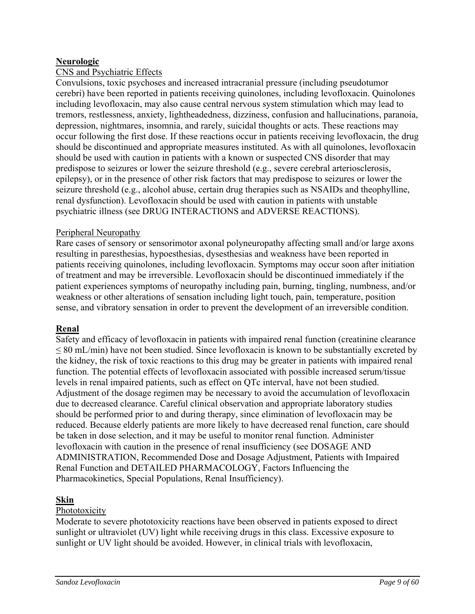# **Neurologic**

# CNS and Psychiatric Effects

Convulsions, toxic psychoses and increased intracranial pressure (including pseudotumor cerebri) have been reported in patients receiving quinolones, including levofloxacin. Quinolones including levofloxacin, may also cause central nervous system stimulation which may lead to tremors, restlessness, anxiety, lightheadedness, dizziness, confusion and hallucinations, paranoia, depression, nightmares, insomnia, and rarely, suicidal thoughts or acts. These reactions may occur following the first dose. If these reactions occur in patients receiving levofloxacin, the drug should be discontinued and appropriate measures instituted. As with all quinolones, levofloxacin should be used with caution in patients with a known or suspected CNS disorder that may predispose to seizures or lower the seizure threshold (e.g., severe cerebral arteriosclerosis, epilepsy), or in the presence of other risk factors that may predispose to seizures or lower the seizure threshold (e.g., alcohol abuse, certain drug therapies such as NSAIDs and theophylline, renal dysfunction). Levofloxacin should be used with caution in patients with unstable psychiatric illness (see DRUG INTERACTIONS and ADVERSE REACTIONS).

## Peripheral Neuropathy

Rare cases of sensory or sensorimotor axonal polyneuropathy affecting small and/or large axons resulting in paresthesias, hypoesthesias, dysesthesias and weakness have been reported in patients receiving quinolones, including levofloxacin. Symptoms may occur soon after initiation of treatment and may be irreversible. Levofloxacin should be discontinued immediately if the patient experiences symptoms of neuropathy including pain, burning, tingling, numbness, and/or weakness or other alterations of sensation including light touch, pain, temperature, position sense, and vibratory sensation in order to prevent the development of an irreversible condition.

## **Renal**

Safety and efficacy of levofloxacin in patients with impaired renal function (creatinine clearance ≤ 80 mL/min) have not been studied. Since levofloxacin is known to be substantially excreted by the kidney, the risk of toxic reactions to this drug may be greater in patients with impaired renal function. The potential effects of levofloxacin associated with possible increased serum/tissue levels in renal impaired patients, such as effect on QTc interval, have not been studied. Adjustment of the dosage regimen may be necessary to avoid the accumulation of levofloxacin due to decreased clearance. Careful clinical observation and appropriate laboratory studies should be performed prior to and during therapy, since elimination of levofloxacin may be reduced. Because elderly patients are more likely to have decreased renal function, care should be taken in dose selection, and it may be useful to monitor renal function. Administer levofloxacin with caution in the presence of renal insufficiency (see DOSAGE AND ADMINISTRATION, Recommended Dose and Dosage Adjustment, Patients with Impaired Renal Function and DETAILED PHARMACOLOGY, Factors Influencing the Pharmacokinetics, Special Populations, Renal Insufficiency).

## **Skin**

#### Phototoxicity

Moderate to severe phototoxicity reactions have been observed in patients exposed to direct sunlight or ultraviolet (UV) light while receiving drugs in this class. Excessive exposure to sunlight or UV light should be avoided. However, in clinical trials with levofloxacin,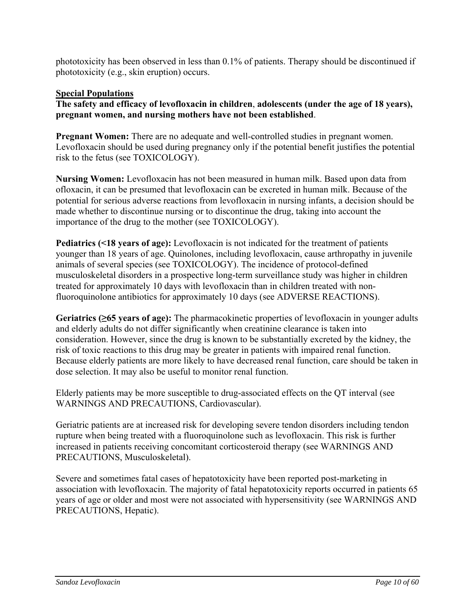phototoxicity has been observed in less than 0.1% of patients. Therapy should be discontinued if phototoxicity (e.g., skin eruption) occurs.

# **Special Populations**

**The safety and efficacy of levofloxacin in children**, **adolescents (under the age of 18 years), pregnant women, and nursing mothers have not been established**.

**Pregnant Women:** There are no adequate and well-controlled studies in pregnant women. Levofloxacin should be used during pregnancy only if the potential benefit justifies the potential risk to the fetus (see TOXICOLOGY).

**Nursing Women:** Levofloxacin has not been measured in human milk. Based upon data from ofloxacin, it can be presumed that levofloxacin can be excreted in human milk. Because of the potential for serious adverse reactions from levofloxacin in nursing infants, a decision should be made whether to discontinue nursing or to discontinue the drug, taking into account the importance of the drug to the mother (see TOXICOLOGY).

**Pediatrics (<18 years of age):** Levofloxacin is not indicated for the treatment of patients younger than 18 years of age. Quinolones, including levofloxacin, cause arthropathy in juvenile animals of several species (see TOXICOLOGY). The incidence of protocol-defined musculoskeletal disorders in a prospective long-term surveillance study was higher in children treated for approximately 10 days with levofloxacin than in children treated with nonfluoroquinolone antibiotics for approximately 10 days (see ADVERSE REACTIONS).

**Geriatrics (≥65 years of age):** The pharmacokinetic properties of levofloxacin in younger adults and elderly adults do not differ significantly when creatinine clearance is taken into consideration. However, since the drug is known to be substantially excreted by the kidney, the risk of toxic reactions to this drug may be greater in patients with impaired renal function. Because elderly patients are more likely to have decreased renal function, care should be taken in dose selection. It may also be useful to monitor renal function.

Elderly patients may be more susceptible to drug-associated effects on the QT interval (see WARNINGS AND PRECAUTIONS, Cardiovascular).

Geriatric patients are at increased risk for developing severe tendon disorders including tendon rupture when being treated with a fluoroquinolone such as levofloxacin. This risk is further increased in patients receiving concomitant corticosteroid therapy (see WARNINGS AND PRECAUTIONS, Musculoskeletal).

Severe and sometimes fatal cases of hepatotoxicity have been reported post-marketing in association with levofloxacin. The majority of fatal hepatotoxicity reports occurred in patients 65 years of age or older and most were not associated with hypersensitivity (see WARNINGS AND PRECAUTIONS, Hepatic).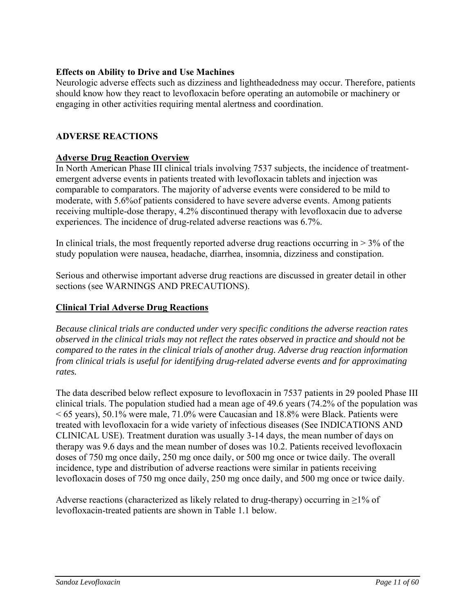## **Effects on Ability to Drive and Use Machines**

Neurologic adverse effects such as dizziness and lightheadedness may occur. Therefore, patients should know how they react to levofloxacin before operating an automobile or machinery or engaging in other activities requiring mental alertness and coordination.

# **ADVERSE REACTIONS**

## **Adverse Drug Reaction Overview**

In North American Phase III clinical trials involving 7537 subjects, the incidence of treatmentemergent adverse events in patients treated with levofloxacin tablets and injection was comparable to comparators. The majority of adverse events were considered to be mild to moderate, with 5.6%of patients considered to have severe adverse events. Among patients receiving multiple-dose therapy, 4.2% discontinued therapy with levofloxacin due to adverse experiences. The incidence of drug-related adverse reactions was 6.7%.

In clinical trials, the most frequently reported adverse drug reactions occurring in  $> 3\%$  of the study population were nausea, headache, diarrhea, insomnia, dizziness and constipation.

Serious and otherwise important adverse drug reactions are discussed in greater detail in other sections (see WARNINGS AND PRECAUTIONS).

## **Clinical Trial Adverse Drug Reactions**

*Because clinical trials are conducted under very specific conditions the adverse reaction rates observed in the clinical trials may not reflect the rates observed in practice and should not be compared to the rates in the clinical trials of another drug. Adverse drug reaction information from clinical trials is useful for identifying drug-related adverse events and for approximating rates.* 

The data described below reflect exposure to levofloxacin in 7537 patients in 29 pooled Phase III clinical trials. The population studied had a mean age of 49.6 years (74.2% of the population was  $<$  65 years), 50.1% were male, 71.0% were Caucasian and 18.8% were Black. Patients were treated with levofloxacin for a wide variety of infectious diseases (See INDICATIONS AND CLINICAL USE). Treatment duration was usually 3-14 days, the mean number of days on therapy was 9.6 days and the mean number of doses was 10.2. Patients received levofloxacin doses of 750 mg once daily, 250 mg once daily, or 500 mg once or twice daily. The overall incidence, type and distribution of adverse reactions were similar in patients receiving levofloxacin doses of 750 mg once daily, 250 mg once daily, and 500 mg once or twice daily.

Adverse reactions (characterized as likely related to drug-therapy) occurring in  $\geq$ 1% of levofloxacin-treated patients are shown in Table 1.1 below.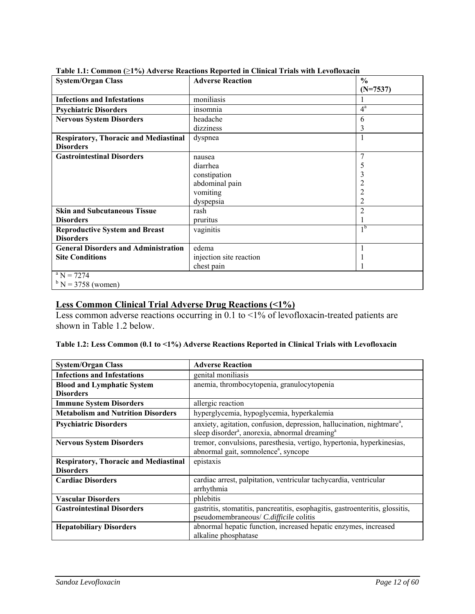| <b>System/Organ Class</b>                    | <b>Fabic 1.1.</b> Common (21 /0) Auvelse Reactions Reported in Chinear Friais with Levonoxacin<br><b>Adverse Reaction</b> | $\frac{6}{9}$    |
|----------------------------------------------|---------------------------------------------------------------------------------------------------------------------------|------------------|
|                                              |                                                                                                                           |                  |
|                                              |                                                                                                                           | $(N=7537)$       |
| <b>Infections and Infestations</b>           | moniliasis                                                                                                                |                  |
| <b>Psychiatric Disorders</b>                 | insomnia                                                                                                                  | $4^{\mathrm{a}}$ |
| <b>Nervous System Disorders</b>              | headache                                                                                                                  | 6                |
|                                              | dizziness                                                                                                                 | 3                |
| <b>Respiratory, Thoracic and Mediastinal</b> | dyspnea                                                                                                                   | $\mathbf{1}$     |
| <b>Disorders</b>                             |                                                                                                                           |                  |
| <b>Gastrointestinal Disorders</b>            | nausea                                                                                                                    | 7                |
|                                              | diarrhea                                                                                                                  | 5                |
|                                              | constipation                                                                                                              | 3                |
|                                              | abdominal pain                                                                                                            |                  |
|                                              | vomiting                                                                                                                  | 2                |
|                                              | dyspepsia                                                                                                                 | $\overline{2}$   |
| <b>Skin and Subcutaneous Tissue</b>          | rash                                                                                                                      | $\overline{2}$   |
| <b>Disorders</b>                             | pruritus                                                                                                                  |                  |
| <b>Reproductive System and Breast</b>        | vaginitis                                                                                                                 | 1 <sup>b</sup>   |
| <b>Disorders</b>                             |                                                                                                                           |                  |
| <b>General Disorders and Administration</b>  | edema                                                                                                                     | 1                |
| <b>Site Conditions</b>                       | injection site reaction                                                                                                   |                  |
|                                              | chest pain                                                                                                                |                  |
| $^{\rm a}$ N = 7274                          |                                                                                                                           |                  |
| $b$ N = 3758 (women)                         |                                                                                                                           |                  |

#### **Table 1.1: Common (**≥**1%) Adverse Reactions Reported in Clinical Trials with Levofloxacin**

### **Less Common Clinical Trial Adverse Drug Reactions (<1%)**

Less common adverse reactions occurring in 0.1 to <1% of levofloxacin-treated patients are shown in Table 1.2 below.

| Table 1.2: Less Common (0.1 to <1%) Adverse Reactions Reported in Clinical Trials with Levofloxacin |  |  |
|-----------------------------------------------------------------------------------------------------|--|--|
|                                                                                                     |  |  |

| <b>System/Organ Class</b>                                        | <b>Adverse Reaction</b>                                                                                                                                      |
|------------------------------------------------------------------|--------------------------------------------------------------------------------------------------------------------------------------------------------------|
| <b>Infections and Infestations</b>                               | genital moniliasis                                                                                                                                           |
| <b>Blood and Lymphatic System</b>                                | anemia, thrombocytopenia, granulocytopenia                                                                                                                   |
| <b>Disorders</b>                                                 |                                                                                                                                                              |
| <b>Immune System Disorders</b>                                   | allergic reaction                                                                                                                                            |
| <b>Metabolism and Nutrition Disorders</b>                        | hyperglycemia, hypoglycemia, hyperkalemia                                                                                                                    |
| <b>Psychiatric Disorders</b>                                     | anxiety, agitation, confusion, depression, hallucination, nightmare <sup>a</sup> ,<br>sleep disorder <sup>a</sup> , anorexia, abnormal dreaming <sup>a</sup> |
| <b>Nervous System Disorders</b>                                  | tremor, convulsions, paresthesia, vertigo, hypertonia, hyperkinesias,<br>abnormal gait, somnolence <sup>a</sup> , syncope                                    |
| <b>Respiratory, Thoracic and Mediastinal</b><br><b>Disorders</b> | epistaxis                                                                                                                                                    |
| <b>Cardiac Disorders</b>                                         | cardiac arrest, palpitation, ventricular tachycardia, ventricular<br>arrhythmia                                                                              |
| <b>Vascular Disorders</b>                                        | phlebitis                                                                                                                                                    |
| <b>Gastrointestinal Disorders</b>                                | gastritis, stomatitis, pancreatitis, esophagitis, gastroenteritis, glossitis,<br>pseudomembraneous/ C.difficile colitis                                      |
| <b>Hepatobiliary Disorders</b>                                   | abnormal hepatic function, increased hepatic enzymes, increased<br>alkaline phosphatase                                                                      |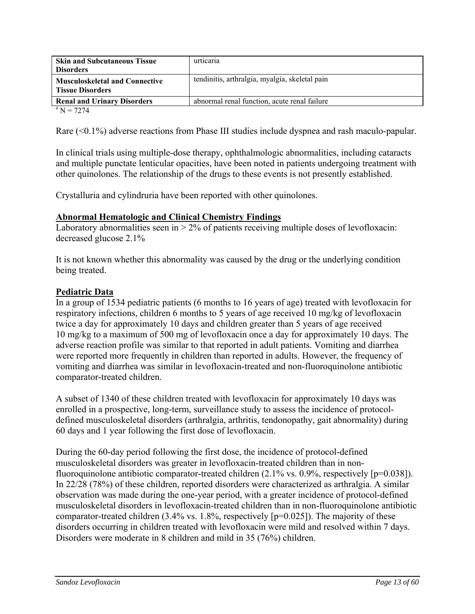| <b>Skin and Subcutaneous Tissue</b><br><b>Disorders</b>          | urticaria                                      |
|------------------------------------------------------------------|------------------------------------------------|
| <b>Musculoskeletal and Connective</b><br><b>Tissue Disorders</b> | tendinitis, arthralgia, myalgia, skeletal pain |
| <b>Renal and Urinary Disorders</b>                               | abnormal renal function, acute renal failure   |
| $a_{\rm N} = 7274$                                               |                                                |

 $N = 7274$ 

Rare (<0.1%) adverse reactions from Phase III studies include dyspnea and rash maculo-papular.

In clinical trials using multiple-dose therapy, ophthalmologic abnormalities, including cataracts and multiple punctate lenticular opacities, have been noted in patients undergoing treatment with other quinolones. The relationship of the drugs to these events is not presently established.

Crystalluria and cylindruria have been reported with other quinolones.

#### **Abnormal Hematologic and Clinical Chemistry Findings**

Laboratory abnormalities seen in  $> 2\%$  of patients receiving multiple doses of levofloxacin: decreased glucose 2.1%

It is not known whether this abnormality was caused by the drug or the underlying condition being treated.

### **Pediatric Data**

In a group of 1534 pediatric patients (6 months to 16 years of age) treated with levofloxacin for respiratory infections, children 6 months to 5 years of age received 10 mg/kg of levofloxacin twice a day for approximately 10 days and children greater than 5 years of age received 10 mg/kg to a maximum of 500 mg of levofloxacin once a day for approximately 10 days. The adverse reaction profile was similar to that reported in adult patients. Vomiting and diarrhea were reported more frequently in children than reported in adults. However, the frequency of vomiting and diarrhea was similar in levofloxacin-treated and non-fluoroquinolone antibiotic comparator-treated children.

A subset of 1340 of these children treated with levofloxacin for approximately 10 days was enrolled in a prospective, long-term, surveillance study to assess the incidence of protocoldefined musculoskeletal disorders (arthralgia, arthritis, tendonopathy, gait abnormality) during 60 days and 1 year following the first dose of levofloxacin.

During the 60-day period following the first dose, the incidence of protocol-defined musculoskeletal disorders was greater in levofloxacin-treated children than in nonfluoroquinolone antibiotic comparator-treated children (2.1% vs. 0.9%, respectively [p=0.038]). In 22/28 (78%) of these children, reported disorders were characterized as arthralgia. A similar observation was made during the one-year period, with a greater incidence of protocol-defined musculoskeletal disorders in levofloxacin-treated children than in non-fluoroquinolone antibiotic comparator-treated children (3.4% vs. 1.8%, respectively [p=0.025]). The majority of these disorders occurring in children treated with levofloxacin were mild and resolved within 7 days. Disorders were moderate in 8 children and mild in 35 (76%) children.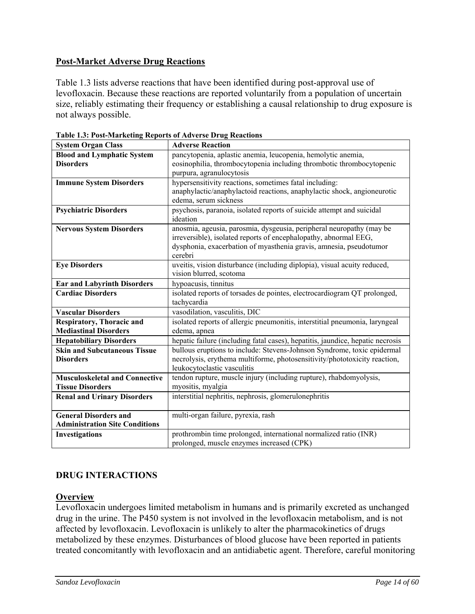# **Post-Market Adverse Drug Reactions**

Table 1.3 lists adverse reactions that have been identified during post-approval use of levofloxacin. Because these reactions are reported voluntarily from a population of uncertain size, reliably estimating their frequency or establishing a causal relationship to drug exposure is not always possible.

| <b>System Organ Class</b>             | <b>Adverse Reaction</b>                                                           |
|---------------------------------------|-----------------------------------------------------------------------------------|
| <b>Blood and Lymphatic System</b>     | pancytopenia, aplastic anemia, leucopenia, hemolytic anemia,                      |
| <b>Disorders</b>                      | eosinophilia, thrombocytopenia including thrombotic thrombocytopenic              |
|                                       | purpura, agranulocytosis                                                          |
| <b>Immune System Disorders</b>        | hypersensitivity reactions, sometimes fatal including:                            |
|                                       | anaphylactic/anaphylactoid reactions, anaphylactic shock, angioneurotic           |
|                                       | edema, serum sickness                                                             |
| <b>Psychiatric Disorders</b>          | psychosis, paranoia, isolated reports of suicide attempt and suicidal<br>ideation |
| <b>Nervous System Disorders</b>       | anosmia, ageusia, parosmia, dysgeusia, peripheral neuropathy (may be              |
|                                       | irreversible), isolated reports of encephalopathy, abnormal EEG,                  |
|                                       | dysphonia, exacerbation of myasthenia gravis, amnesia, pseudotumor                |
|                                       | cerebri                                                                           |
| <b>Eye Disorders</b>                  | uveitis, vision disturbance (including diplopia), visual acuity reduced,          |
|                                       | vision blurred, scotoma                                                           |
| <b>Ear and Labyrinth Disorders</b>    | hypoacusis, tinnitus                                                              |
| <b>Cardiac Disorders</b>              | isolated reports of torsades de pointes, electrocardiogram QT prolonged,          |
|                                       | tachycardia                                                                       |
| <b>Vascular Disorders</b>             | vasodilation, vasculitis, DIC                                                     |
| <b>Respiratory, Thoracic and</b>      | isolated reports of allergic pneumonitis, interstitial pneumonia, laryngeal       |
| <b>Mediastinal Disorders</b>          | edema, apnea                                                                      |
| <b>Hepatobiliary Disorders</b>        | hepatic failure (including fatal cases), hepatitis, jaundice, hepatic necrosis    |
| <b>Skin and Subcutaneous Tissue</b>   | bullous eruptions to include: Stevens-Johnson Syndrome, toxic epidermal           |
| <b>Disorders</b>                      | necrolysis, erythema multiforme, photosensitivity/phototoxicity reaction,         |
|                                       | leukocytoclastic vasculitis                                                       |
| <b>Musculoskeletal and Connective</b> | tendon rupture, muscle injury (including rupture), rhabdomyolysis,                |
| <b>Tissue Disorders</b>               | myositis, myalgia                                                                 |
| <b>Renal and Urinary Disorders</b>    | interstitial nephritis, nephrosis, glomerulonephritis                             |
|                                       |                                                                                   |
| <b>General Disorders and</b>          | multi-organ failure, pyrexia, rash                                                |
| <b>Administration Site Conditions</b> |                                                                                   |
| Investigations                        | prothrombin time prolonged, international normalized ratio (INR)                  |
|                                       | prolonged, muscle enzymes increased (CPK)                                         |

**Table 1.3: Post-Marketing Reports of Adverse Drug Reactions** 

# **DRUG INTERACTIONS**

## **Overview**

Levofloxacin undergoes limited metabolism in humans and is primarily excreted as unchanged drug in the urine. The P450 system is not involved in the levofloxacin metabolism, and is not affected by levofloxacin. Levofloxacin is unlikely to alter the pharmacokinetics of drugs metabolized by these enzymes. Disturbances of blood glucose have been reported in patients treated concomitantly with levofloxacin and an antidiabetic agent. Therefore, careful monitoring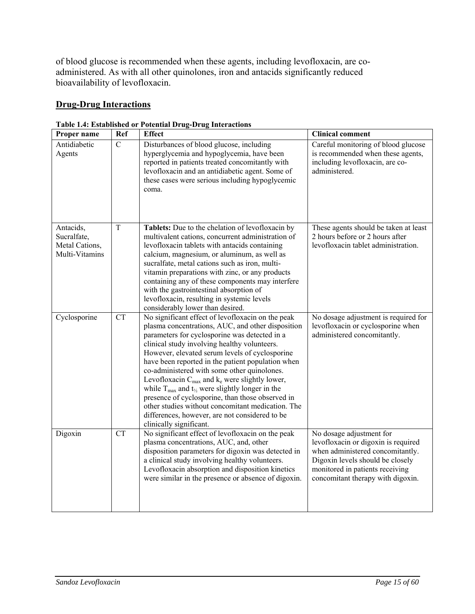of blood glucose is recommended when these agents, including levofloxacin, are coadministered. As with all other quinolones, iron and antacids significantly reduced bioavailability of levofloxacin.

# **Drug-Drug Interactions**

| Proper name                                                  | Ref         | radio 1.4. Established or 1 otential Drug-Drug Interactions<br><b>Effect</b>                                                                                                                                                                                                                                                                                                                                                                                                                                                                                                                                                                                                                    | <b>Clinical comment</b>                                                                                                                                                                                         |
|--------------------------------------------------------------|-------------|-------------------------------------------------------------------------------------------------------------------------------------------------------------------------------------------------------------------------------------------------------------------------------------------------------------------------------------------------------------------------------------------------------------------------------------------------------------------------------------------------------------------------------------------------------------------------------------------------------------------------------------------------------------------------------------------------|-----------------------------------------------------------------------------------------------------------------------------------------------------------------------------------------------------------------|
|                                                              |             |                                                                                                                                                                                                                                                                                                                                                                                                                                                                                                                                                                                                                                                                                                 |                                                                                                                                                                                                                 |
| Antidiabetic<br>Agents                                       | $\mathbf C$ | Disturbances of blood glucose, including<br>hyperglycemia and hypoglycemia, have been<br>reported in patients treated concomitantly with<br>levofloxacin and an antidiabetic agent. Some of<br>these cases were serious including hypoglycemic<br>coma.                                                                                                                                                                                                                                                                                                                                                                                                                                         | Careful monitoring of blood glucose<br>is recommended when these agents,<br>including levofloxacin, are co-<br>administered.                                                                                    |
| Antacids,<br>Sucralfate,<br>Metal Cations,<br>Multi-Vitamins | T           | Tablets: Due to the chelation of levofloxacin by<br>multivalent cations, concurrent administration of<br>levofloxacin tablets with antacids containing<br>calcium, magnesium, or aluminum, as well as<br>sucralfate, metal cations such as iron, multi-<br>vitamin preparations with zinc, or any products<br>containing any of these components may interfere<br>with the gastrointestinal absorption of<br>levofloxacin, resulting in systemic levels<br>considerably lower than desired.                                                                                                                                                                                                     | These agents should be taken at least<br>2 hours before or 2 hours after<br>levofloxacin tablet administration.                                                                                                 |
| Cyclosporine                                                 | <b>CT</b>   | No significant effect of levofloxacin on the peak<br>plasma concentrations, AUC, and other disposition<br>parameters for cyclosporine was detected in a<br>clinical study involving healthy volunteers.<br>However, elevated serum levels of cyclosporine<br>have been reported in the patient population when<br>co-administered with some other quinolones.<br>Levofloxacin $C_{\text{max}}$ and $k_e$ were slightly lower,<br>while $T_{\text{max}}$ and $t_{\frac{1}{2}}$ were slightly longer in the<br>presence of cyclosporine, than those observed in<br>other studies without concomitant medication. The<br>differences, however, are not considered to be<br>clinically significant. | No dosage adjustment is required for<br>levofloxacin or cyclosporine when<br>administered concomitantly.                                                                                                        |
| Digoxin                                                      | <b>CT</b>   | No significant effect of levofloxacin on the peak<br>plasma concentrations, AUC, and, other<br>disposition parameters for digoxin was detected in<br>a clinical study involving healthy volunteers.<br>Levofloxacin absorption and disposition kinetics<br>were similar in the presence or absence of digoxin.                                                                                                                                                                                                                                                                                                                                                                                  | No dosage adjustment for<br>levofloxacin or digoxin is required<br>when administered concomitantly.<br>Digoxin levels should be closely<br>monitored in patients receiving<br>concomitant therapy with digoxin. |

**Table 1.4: Established or Potential Drug-Drug Interactions**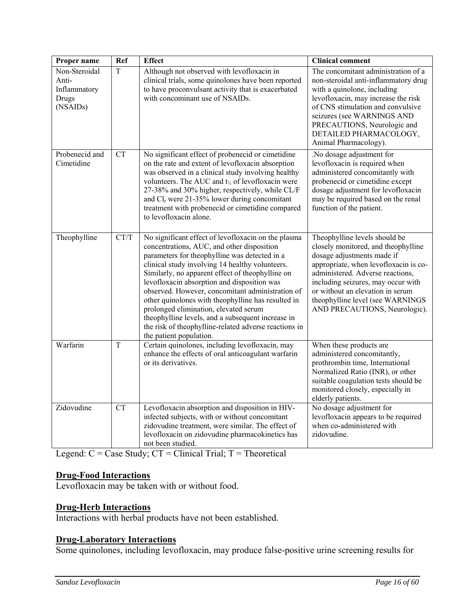| Proper name                                                 | Ref                    | <b>Effect</b>                                                                                                                                                                                                                                                                                                                                                                                                                                                                                                                                                                                        | <b>Clinical comment</b>                                                                                                                                                                                                                                                                                                        |
|-------------------------------------------------------------|------------------------|------------------------------------------------------------------------------------------------------------------------------------------------------------------------------------------------------------------------------------------------------------------------------------------------------------------------------------------------------------------------------------------------------------------------------------------------------------------------------------------------------------------------------------------------------------------------------------------------------|--------------------------------------------------------------------------------------------------------------------------------------------------------------------------------------------------------------------------------------------------------------------------------------------------------------------------------|
| Non-Steroidal<br>Anti-<br>Inflammatory<br>Drugs<br>(NSAIDs) | $\overline{T}$         | Although not observed with levofloxacin in<br>clinical trials, some quinolones have been reported<br>to have proconvulsant activity that is exacerbated<br>with concominant use of NSAIDs.                                                                                                                                                                                                                                                                                                                                                                                                           | The concomitant administration of a<br>non-steroidal anti-inflammatory drug<br>with a quinolone, including<br>levofloxacin, may increase the risk<br>of CNS stimulation and convulsive<br>seizures (see WARNINGS AND<br>PRECAUTIONS, Neurologic and<br>DETAILED PHARMACOLOGY,<br>Animal Pharmacology).                         |
| Probenecid and<br>Cimetidine                                | $\overline{\text{CT}}$ | No significant effect of probenecid or cimetidine<br>on the rate and extent of levofloxacin absorption<br>was observed in a clinical study involving healthy<br>volunteers. The AUC and t <sub>1/2</sub> of levofloxacin were<br>27-38% and 30% higher, respectively, while CL/F<br>and $Clr$ were 21-35% lower during concomitant<br>treatment with probenecid or cimetidine compared<br>to levofloxacin alone.                                                                                                                                                                                     | .No dosage adjustment for<br>levofloxacin is required when<br>administered concomitantly with<br>probenecid or cimetidine except<br>dosage adjustment for levofloxacin<br>may be required based on the renal<br>function of the patient.                                                                                       |
| Theophylline                                                | CT/T                   | No significant effect of levofloxacin on the plasma<br>concentrations, AUC, and other disposition<br>parameters for theophylline was detected in a<br>clinical study involving 14 healthy volunteers.<br>Similarly, no apparent effect of theophylline on<br>levofloxacin absorption and disposition was<br>observed. However, concomitant administration of<br>other quinolones with theophylline has resulted in<br>prolonged elimination, elevated serum<br>theophylline levels, and a subsequent increase in<br>the risk of theophylline-related adverse reactions in<br>the patient population. | Theophylline levels should be<br>closely monitored, and theophylline<br>dosage adjustments made if<br>appropriate, when levofloxacin is co-<br>administered. Adverse reactions,<br>including seizures, may occur with<br>or without an elevation in serum<br>theophylline level (see WARNINGS<br>AND PRECAUTIONS, Neurologic). |
| Warfarin                                                    | T                      | Certain quinolones, including levofloxacin, may<br>enhance the effects of oral anticoagulant warfarin<br>or its derivatives.                                                                                                                                                                                                                                                                                                                                                                                                                                                                         | When these products are<br>administered concomitantly,<br>prothrombin time, International<br>Normalized Ratio (INR), or other<br>suitable coagulation tests should be<br>monitored closely, especially in<br>elderly patients.                                                                                                 |
| Zidovudine                                                  | <b>CT</b>              | Levofloxacin absorption and disposition in HIV-<br>infected subjects, with or without concomitant<br>zidovudine treatment, were similar. The effect of<br>levofloxacin on zidovudine pharmacokinetics has<br>not been studied.                                                                                                                                                                                                                                                                                                                                                                       | No dosage adjustment for<br>levofloxacin appears to be required<br>when co-administered with<br>zidovudine.                                                                                                                                                                                                                    |

Legend:  $C = Case Study$ ;  $CT = Clinical Trial$ ;  $T = Theoretical$ 

# **Drug-Food Interactions**

Levofloxacin may be taken with or without food.

# **Drug-Herb Interactions**

Interactions with herbal products have not been established.

# **Drug-Laboratory Interactions**

Some quinolones, including levofloxacin, may produce false-positive urine screening results for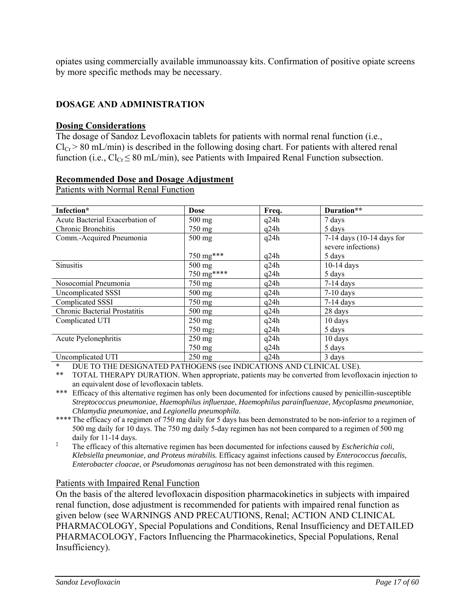opiates using commercially available immunoassay kits. Confirmation of positive opiate screens by more specific methods may be necessary.

# **DOSAGE AND ADMINISTRATION**

#### **Dosing Considerations**

The dosage of Sandoz Levofloxacin tablets for patients with normal renal function (i.e.,  $Cl_{Cr}$  > 80 mL/min) is described in the following dosing chart. For patients with altered renal function (i.e.,  $Cl_{Cr} \leq 80$  mL/min), see Patients with Impaired Renal Function subsection.

### **Recommended Dose and Dosage Adjustment**

Patients with Normal Renal Function

| Infection*                           | <b>Dose</b>      | Freq. | Duration**                |
|--------------------------------------|------------------|-------|---------------------------|
| Acute Bacterial Exacerbation of      | $500$ mg         | q24h  | 7 days                    |
| Chronic Bronchitis                   | 750 mg           | q24h  | 5 days                    |
| Comm.-Acquired Pneumonia             | $500$ mg         | q24h  | 7-14 days (10-14 days for |
|                                      |                  |       | severe infections)        |
|                                      | 750 mg***        | q24h  | 5 days                    |
| <b>Sinusitis</b>                     | $500$ mg         | q24h  | $10-14$ days              |
|                                      | 750 mg****       | q24h  | 5 days                    |
| Nosocomial Pneumonia                 | $750 \text{ mg}$ | q24h  | $7-14$ days               |
| Uncomplicated SSSI                   | $500 \text{ mg}$ | q24h  | $7-10$ days               |
| Complicated SSSI                     | 750 mg           | q24h  | $7-14$ days               |
| <b>Chronic Bacterial Prostatitis</b> | $500$ mg         | q24h  | 28 days                   |
| Complicated UTI                      | $250$ mg         | q24h  | 10 days                   |
|                                      | $750 \text{ mg}$ | q24h  | 5 days                    |
| Acute Pyelonephritis                 | $250$ mg         | q24h  | 10 days                   |
|                                      | 750 mg           | q24h  | 5 days                    |
| Uncomplicated UTI                    | $250 \text{ mg}$ | q24h  | 3 days                    |

DUE TO THE DESIGNATED PATHOGENS (see INDICATIONS AND CLINICAL USE).

\*\*\* Efficacy of this alternative regimen has only been documented for infections caused by penicillin-susceptible *Streptococcus pneumoniae*, *Haemophilus influenzae*, *Haemophilus parainfluenzae*, *Mycoplasma pneumoniae*, *Chlamydia pneumoniae*, and *Legionella pneumophila*.

\*\*\*\* The efficacy of a regimen of 750 mg daily for 5 days has been demonstrated to be non-inferior to a regimen of 500 mg daily for 10 days. The 750 mg daily 5-day regimen has not been compared to a regimen of 500 mg daily for 11-14 days.

‡ The efficacy of this alternative regimen has been documented for infections caused by *Escherichia coli, Klebsiella pneumoniae, and Proteus mirabilis.* Efficacy against infections caused by *Enterococcus faecalis, Enterobacter cloacae*, or *Pseudomonas aeruginosa* has not been demonstrated with this regimen.

#### Patients with Impaired Renal Function

On the basis of the altered levofloxacin disposition pharmacokinetics in subjects with impaired renal function, dose adjustment is recommended for patients with impaired renal function as given below (see WARNINGS AND PRECAUTIONS, Renal; ACTION AND CLINICAL PHARMACOLOGY, Special Populations and Conditions, Renal Insufficiency and DETAILED PHARMACOLOGY, Factors Influencing the Pharmacokinetics, Special Populations, Renal Insufficiency).

<sup>\*\*</sup> TOTAL THERAPY DURATION. When appropriate, patients may be converted from levofloxacin injection to an equivalent dose of levofloxacin tablets.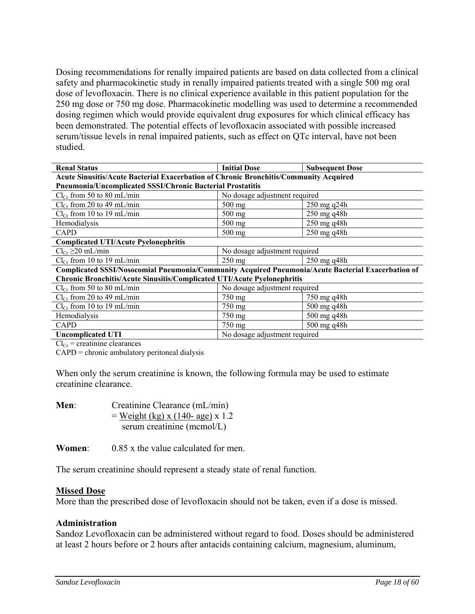Dosing recommendations for renally impaired patients are based on data collected from a clinical safety and pharmacokinetic study in renally impaired patients treated with a single 500 mg oral dose of levofloxacin. There is no clinical experience available in this patient population for the 250 mg dose or 750 mg dose. Pharmacokinetic modelling was used to determine a recommended dosing regimen which would provide equivalent drug exposures for which clinical efficacy has been demonstrated. The potential effects of levofloxacin associated with possible increased serum/tissue levels in renal impaired patients, such as effect on QTc interval, have not been studied.

| <b>Renal Status</b>                                                                                | <b>Initial Dose</b>           | <b>Subsequent Dose</b> |  |
|----------------------------------------------------------------------------------------------------|-------------------------------|------------------------|--|
| Acute Sinusitis/Acute Bacterial Exacerbation of Chronic Bronchitis/Community Acquired              |                               |                        |  |
| <b>Pneumonia/Uncomplicated SSSI/Chronic Bacterial Prostatitis</b>                                  |                               |                        |  |
| $Cl_{Cr}$ from 50 to 80 mL/min                                                                     | No dosage adjustment required |                        |  |
| $Cl_{Cr}$ from 20 to 49 mL/min                                                                     | 500 mg                        | 250 mg q24h            |  |
| $Cl_{Cr}$ from 10 to 19 mL/min                                                                     | 500 mg                        | 250 mg q48h            |  |
| Hemodialysis                                                                                       | 500 mg                        | 250 mg q48h            |  |
| CAPD                                                                                               | 500 mg                        | 250 mg q48h            |  |
| <b>Complicated UTI/Acute Pyelonephritis</b>                                                        |                               |                        |  |
| $Cl_{Cr} \geq 20$ mL/min                                                                           | No dosage adjustment required |                        |  |
| $Cl_{Cr}$ from 10 to 19 mL/min                                                                     | $250$ mg                      | $250$ mg q $48h$       |  |
| Complicated SSSI/Nosocomial Pneumonia/Community Acquired Pneumonia/Acute Bacterial Exacerbation of |                               |                        |  |
| Chronic Bronchitis/Acute Sinusitis/Complicated UTI/Acute Pyelonephritis                            |                               |                        |  |
| $Cl_{Cr}$ from 50 to 80 mL/min                                                                     | No dosage adjustment required |                        |  |
| $Cl_{Cr}$ from 20 to 49 mL/min                                                                     | 750 mg                        | 750 mg q48h            |  |
| $Cl_{Cr}$ from 10 to 19 mL/min                                                                     | 750 mg                        | 500 mg q48h            |  |
| Hemodialysis                                                                                       | 750 mg                        | 500 mg q48h            |  |
| CAPD                                                                                               | 750 mg                        | 500 mg q48h            |  |
| <b>Uncomplicated UTI</b>                                                                           | No dosage adjustment required |                        |  |

 $Cl_{Cr}$  = creatinine clearances

CAPD = chronic ambulatory peritoneal dialysis

When only the serum creatinine is known, the following formula may be used to estimate creatinine clearance.

| Men: | Creatinine Clearance (mL/min)      |
|------|------------------------------------|
|      | $=$ Weight (kg) x (140- age) x 1.2 |
|      | serum creatinine (mcmol/L)         |

**Women**: 0.85 x the value calculated for men.

The serum creatinine should represent a steady state of renal function.

#### **Missed Dose**

More than the prescribed dose of levofloxacin should not be taken, even if a dose is missed.

#### **Administration**

Sandoz Levofloxacin can be administered without regard to food. Doses should be administered at least 2 hours before or 2 hours after antacids containing calcium, magnesium, aluminum,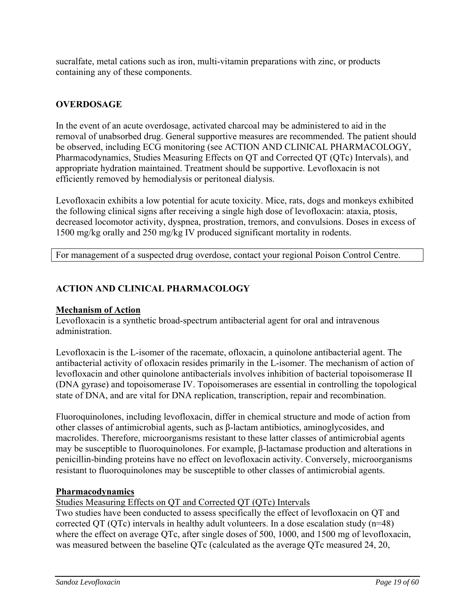sucralfate, metal cations such as iron, multi-vitamin preparations with zinc, or products containing any of these components.

# **OVERDOSAGE**

In the event of an acute overdosage, activated charcoal may be administered to aid in the removal of unabsorbed drug. General supportive measures are recommended. The patient should be observed, including ECG monitoring (see ACTION AND CLINICAL PHARMACOLOGY, Pharmacodynamics, Studies Measuring Effects on QT and Corrected QT (QTc) Intervals), and appropriate hydration maintained. Treatment should be supportive. Levofloxacin is not efficiently removed by hemodialysis or peritoneal dialysis.

Levofloxacin exhibits a low potential for acute toxicity. Mice, rats, dogs and monkeys exhibited the following clinical signs after receiving a single high dose of levofloxacin: ataxia, ptosis, decreased locomotor activity, dyspnea, prostration, tremors, and convulsions. Doses in excess of 1500 mg/kg orally and 250 mg/kg IV produced significant mortality in rodents.

For management of a suspected drug overdose, contact your regional Poison Control Centre.

# **ACTION AND CLINICAL PHARMACOLOGY**

### **Mechanism of Action**

Levofloxacin is a synthetic broad-spectrum antibacterial agent for oral and intravenous administration.

Levofloxacin is the L-isomer of the racemate, ofloxacin, a quinolone antibacterial agent. The antibacterial activity of ofloxacin resides primarily in the L-isomer. The mechanism of action of levofloxacin and other quinolone antibacterials involves inhibition of bacterial topoisomerase II (DNA gyrase) and topoisomerase IV. Topoisomerases are essential in controlling the topological state of DNA, and are vital for DNA replication, transcription, repair and recombination.

Fluoroquinolones, including levofloxacin, differ in chemical structure and mode of action from other classes of antimicrobial agents, such as β-lactam antibiotics, aminoglycosides, and macrolides. Therefore, microorganisms resistant to these latter classes of antimicrobial agents may be susceptible to fluoroquinolones. For example, β-lactamase production and alterations in penicillin-binding proteins have no effect on levofloxacin activity. Conversely, microorganisms resistant to fluoroquinolones may be susceptible to other classes of antimicrobial agents.

#### **Pharmacodynamics**

Studies Measuring Effects on QT and Corrected QT (QTc) Intervals

Two studies have been conducted to assess specifically the effect of levofloxacin on QT and corrected QT (QTc) intervals in healthy adult volunteers. In a dose escalation study (n=48) where the effect on average QTc, after single doses of 500, 1000, and 1500 mg of levofloxacin, was measured between the baseline QTc (calculated as the average QTc measured 24, 20,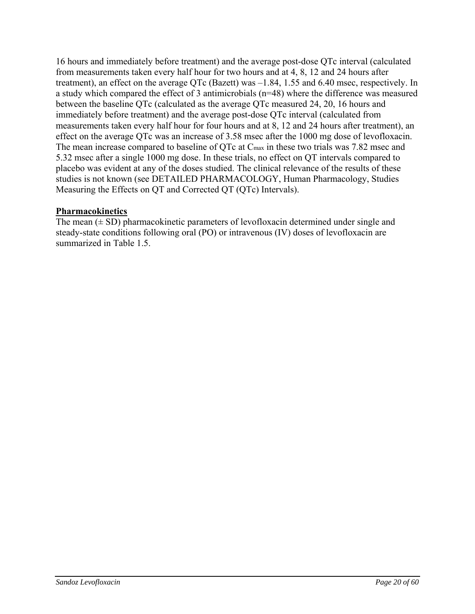16 hours and immediately before treatment) and the average post-dose QTc interval (calculated from measurements taken every half hour for two hours and at 4, 8, 12 and 24 hours after treatment), an effect on the average QTc (Bazett) was –1.84, 1.55 and 6.40 msec, respectively. In a study which compared the effect of 3 antimicrobials (n=48) where the difference was measured between the baseline QTc (calculated as the average QTc measured 24, 20, 16 hours and immediately before treatment) and the average post-dose QTc interval (calculated from measurements taken every half hour for four hours and at 8, 12 and 24 hours after treatment), an effect on the average QTc was an increase of 3.58 msec after the 1000 mg dose of levofloxacin. The mean increase compared to baseline of QTc at Cmax in these two trials was 7.82 msec and 5.32 msec after a single 1000 mg dose. In these trials, no effect on QT intervals compared to placebo was evident at any of the doses studied. The clinical relevance of the results of these studies is not known (see DETAILED PHARMACOLOGY, Human Pharmacology, Studies Measuring the Effects on QT and Corrected QT (QTc) Intervals).

# **Pharmacokinetics**

The mean  $(\pm SD)$  pharmacokinetic parameters of levofloxacin determined under single and steady-state conditions following oral (PO) or intravenous (IV) doses of levofloxacin are summarized in Table 1.5.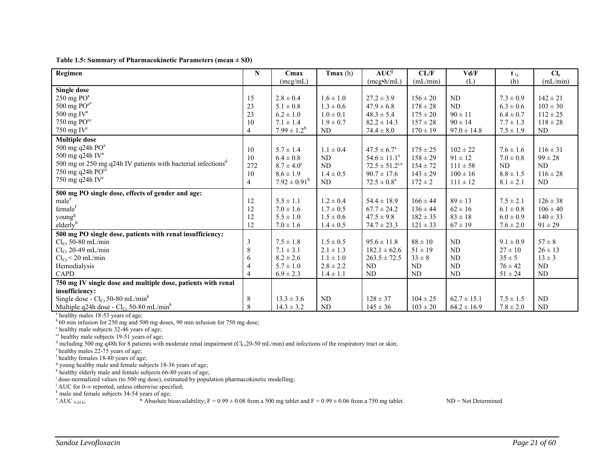**Table 1.5: Summary of Pharmacokinetic Parameters (mean ± SD)**

| Regimen                                                                  | N              | Cmax              | Tmax(h)       | $AUC^j$               | CL/F         | Vd/F            | $t_{\frac{1}{2}}$ | $Cl_r$       |
|--------------------------------------------------------------------------|----------------|-------------------|---------------|-----------------------|--------------|-----------------|-------------------|--------------|
|                                                                          |                | (mcg/mL)          |               | $(mcg\cdot h/mL)$     | (mL/min)     | (L)             | (h)               | (mL/min)     |
| <b>Single dose</b>                                                       |                |                   |               |                       |              |                 |                   |              |
| $250 \text{ mg }$ PO <sup>a</sup>                                        | 15             | $2.8 \pm 0.4$     | $1.6 \pm 1.0$ | $27.2 \pm 3.9$        | $156 \pm 20$ | ND              | $7.3 \pm 0.9$     | $142 \pm 21$ |
| 500 mg $PO^{a*}$                                                         | 23             | $5.1 \pm 0.8$     | $1.3 \pm 0.6$ | $47.9 \pm 6.8$        | $178 \pm 28$ | ND              | $6.3 \pm 0.6$     | $103 \pm 30$ |
| 500 mg $IV^a$                                                            | 23             | $6.2 \pm 1.0$     | $1.0 \pm 0.1$ | $48.3 \pm 5.4$        | $175 \pm 20$ | $90 \pm 11$     | $6.4 \pm 0.7$     | $112 \pm 25$ |
| 750 mg $PO^{cc}$                                                         | 10             | $7.1 \pm 1.4$     | $1.9 \pm 0.7$ | $82.2 \pm 14.3$       | $157 \pm 28$ | $90 \pm 14$     | $7.7 \pm 1.3$     | $118 \pm 28$ |
| 750 mg IV $\rm ^{c}$                                                     | $\overline{4}$ | $7.99 \pm 1.2^b$  | ND            | $74.4 \pm 8.0$        | $170 \pm 19$ | $97.0 \pm 14.8$ | $7.5 \pm 1.9$     | <b>ND</b>    |
| <b>Multiple dose</b>                                                     |                |                   |               |                       |              |                 |                   |              |
| 500 mg q24h $POa$                                                        | 10             | $5.7 \pm 1.4$     | $1.1 \pm 0.4$ | $47.5 \pm 6.7^x$      | $175 \pm 25$ | $102 \pm 22$    | $7.6 \pm 1.6$     | $116 \pm 31$ |
| 500 mg q24h IV <sup>a</sup>                                              | 10             | $6.4 \pm 0.8$     | ND            | $54.6 \pm 11.1^x$     | $158 \pm 29$ | $91 \pm 12$     | $7.0 \pm 0.8$     | $99 \pm 28$  |
| 500 mg or 250 mg q24h IV patients with bacterial infections <sup>d</sup> | 272            | $8.7 \pm 4.0^1$   | ND.           | $72.5 \pm 51.2^{1,x}$ | $154 \pm 72$ | $111 \pm 58$    | ND                | ND.          |
| 750 mg q24h $PO^{cc}$                                                    | 10             | $8.6 \pm 1.9$     | $1.4 \pm 0.5$ | $90.7 \pm 17.6$       | $143 \pm 29$ | $100 \pm 16$    | $8.8 \pm 1.5$     | $116 \pm 28$ |
| 750 mg q24h IV $^{\circ}$                                                | $\overline{4}$ | $7.92 \pm 0.91^b$ | ND            | $72.5 \pm 0.8^x$      | $172 \pm 2$  | $111 \pm 12$    | $8.1 \pm 2.1$     | <b>ND</b>    |
| 500 mg PO single dose, effects of gender and age:                        |                |                   |               |                       |              |                 |                   |              |
| male <sup>e</sup>                                                        | 12             | $5.5 \pm 1.1$     | $1.2 \pm 0.4$ | $54.4 \pm 18.9$       | $166 \pm 44$ | $89 \pm 13$     | $7.5 \pm 2.1$     | $126 \pm 38$ |
| female <sup>f</sup>                                                      | 12             | $7.0 \pm 1.6$     | $1.7 \pm 0.5$ | $67.7 \pm 24.2$       | $136 \pm 44$ | $62 \pm 16$     | $6.1 \pm 0.8$     | $106 \pm 40$ |
| young <sup>g</sup>                                                       | 12             | $5.5 \pm 1.0$     | $1.5 \pm 0.6$ | $47.5 \pm 9.8$        | $182 \pm 35$ | $83 \pm 18$     | $6.0 \pm 0.9$     | $140 \pm 33$ |
| elderly <sup>h</sup>                                                     | 12             | $7.0 \pm 1.6$     | $1.4 \pm 0.5$ | $74.7 \pm 23.3$       | $121 \pm 33$ | $67 \pm 19$     | $7.6 \pm 2.0$     | $91 \pm 29$  |
| 500 mg PO single dose, patients with renal insufficiency:                |                |                   |               |                       |              |                 |                   |              |
| $Cl_{Cr}$ 50-80 mL/min                                                   | $\mathfrak{Z}$ | $7.5 \pm 1.8$     | $1.5 \pm 0.5$ | $95.6 \pm 11.8$       | $88 \pm 10$  | ND              | $9.1 \pm 0.9$     | $57 \pm 8$   |
| $Cl_{Cr}$ 20-49 mL/min                                                   | 8              | $7.1 \pm 3.1$     | $2.1 \pm 1.3$ | $182.1 \pm 62.6$      | $51 \pm 19$  | ND              | $27 \pm 10$       | $26 \pm 13$  |
| $Cl_{Cr}$ < 20 mL/min                                                    | 6              | $8.2 \pm 2.6$     | $1.1 \pm 1.0$ | $263.5 \pm 72.5$      | $33 \pm 8$   | ND              | $35 \pm 5$        | $13 \pm 3$   |
| Hemodialysis                                                             | $\overline{4}$ | $5.7 \pm 1.0$     | $2.8 \pm 2.2$ | ND                    | ND           | N <sub>D</sub>  | $76 \pm 42$       | ND           |
| <b>CAPD</b>                                                              | $\overline{4}$ | $6.9 \pm 2.3$     | $1.4 \pm 1.1$ | ND                    | ND           | ND              | $51 \pm 24$       | <b>ND</b>    |
| 750 mg IV single dose and multiple dose, patients with renal             |                |                   |               |                       |              |                 |                   |              |
| insufficiency:                                                           |                |                   |               |                       |              |                 |                   |              |
| Single dose - $Cl_{Cr}$ 50-80 mL/min <sup>k</sup>                        | 8              | $13.3 \pm 3.6$    | ND            | $128 \pm 37$          | $104 \pm 25$ | $62.7 \pm 15.1$ | $7.5 \pm 1.5$     | ND.          |
| Multiple q24h dose - $Cl_{Cr}$ 50-80 mL/min <sup>k</sup>                 | 8              | $14.3 \pm 3.2$    | ND            | $145 \pm 36$          | $103 \pm 20$ | $64.2 \pm 16.9$ | $7.8 \pm 2.0$     | <b>ND</b>    |

<sup>a</sup> healthy males 18-53 years of age;

 $b$  60 min infusion for 250 mg and 500 mg doses, 90 min infusion for 750 mg dose;

 $\degree$  healthy male subjects 32-46 years of age;

 $\degree$  healthy male subjects 19-51 years of age;

<sup>d</sup> including 500 mg q48h for 8 patients with moderate renal impairment (Cl<sub>Cr</sub>20-50 mL/min) and infections of the respiratory tract or skin;

e healthy males 22-75 years of age;

f healthy females 18-80 years of age;

<sup>g</sup> young healthy male and female subjects 18-36 years of age;

h healthy elderly male and female subjects 66-80 years of age;

<sup>i</sup> dose-normalized values (to 500 mg dose), estimated by population pharmacokinetic modelling;

j AUC for 0-<sup>∞</sup> reported, unless otherwise specified;

 $k$  male and female subjects 34-54 years of age;

 $X \text{ AUC }_{0.24 \text{ h}}$ ;  $*$  Absolute bioavailability; F = 0.99  $\pm$  0.08 from a 500 mg tablet and F = 0.99  $\pm$  0.06 from a 750 mg tablet. ND = Not Determined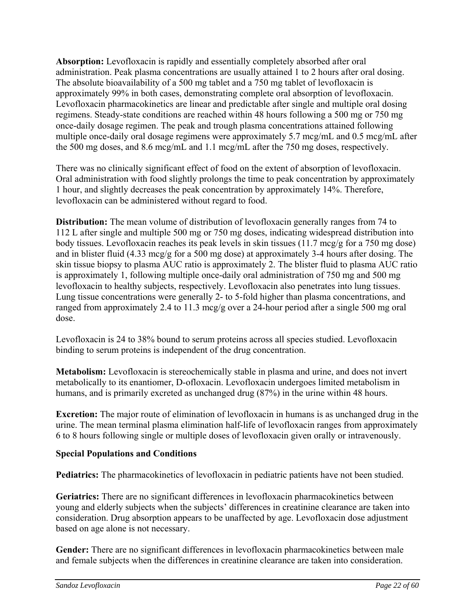**Absorption:** Levofloxacin is rapidly and essentially completely absorbed after oral administration. Peak plasma concentrations are usually attained 1 to 2 hours after oral dosing. The absolute bioavailability of a 500 mg tablet and a 750 mg tablet of levofloxacin is approximately 99% in both cases, demonstrating complete oral absorption of levofloxacin. Levofloxacin pharmacokinetics are linear and predictable after single and multiple oral dosing regimens. Steady-state conditions are reached within 48 hours following a 500 mg or 750 mg once-daily dosage regimen. The peak and trough plasma concentrations attained following multiple once-daily oral dosage regimens were approximately 5.7 mcg/mL and 0.5 mcg/mL after the 500 mg doses, and 8.6 mcg/mL and 1.1 mcg/mL after the 750 mg doses, respectively.

There was no clinically significant effect of food on the extent of absorption of levofloxacin. Oral administration with food slightly prolongs the time to peak concentration by approximately 1 hour, and slightly decreases the peak concentration by approximately 14%. Therefore, levofloxacin can be administered without regard to food.

**Distribution:** The mean volume of distribution of levofloxacin generally ranges from 74 to 112 L after single and multiple 500 mg or 750 mg doses, indicating widespread distribution into body tissues. Levofloxacin reaches its peak levels in skin tissues (11.7 mcg/g for a 750 mg dose) and in blister fluid (4.33 mcg/g for a 500 mg dose) at approximately 3-4 hours after dosing. The skin tissue biopsy to plasma AUC ratio is approximately 2. The blister fluid to plasma AUC ratio is approximately 1, following multiple once-daily oral administration of 750 mg and 500 mg levofloxacin to healthy subjects, respectively. Levofloxacin also penetrates into lung tissues. Lung tissue concentrations were generally 2- to 5-fold higher than plasma concentrations, and ranged from approximately 2.4 to 11.3 mcg/g over a 24-hour period after a single 500 mg oral dose.

Levofloxacin is 24 to 38% bound to serum proteins across all species studied. Levofloxacin binding to serum proteins is independent of the drug concentration.

**Metabolism:** Levofloxacin is stereochemically stable in plasma and urine, and does not invert metabolically to its enantiomer, D-ofloxacin. Levofloxacin undergoes limited metabolism in humans, and is primarily excreted as unchanged drug (87%) in the urine within 48 hours.

**Excretion:** The major route of elimination of levofloxacin in humans is as unchanged drug in the urine. The mean terminal plasma elimination half-life of levofloxacin ranges from approximately 6 to 8 hours following single or multiple doses of levofloxacin given orally or intravenously.

# **Special Populations and Conditions**

**Pediatrics:** The pharmacokinetics of levofloxacin in pediatric patients have not been studied.

**Geriatrics:** There are no significant differences in levofloxacin pharmacokinetics between young and elderly subjects when the subjects' differences in creatinine clearance are taken into consideration. Drug absorption appears to be unaffected by age. Levofloxacin dose adjustment based on age alone is not necessary.

**Gender:** There are no significant differences in levofloxacin pharmacokinetics between male and female subjects when the differences in creatinine clearance are taken into consideration.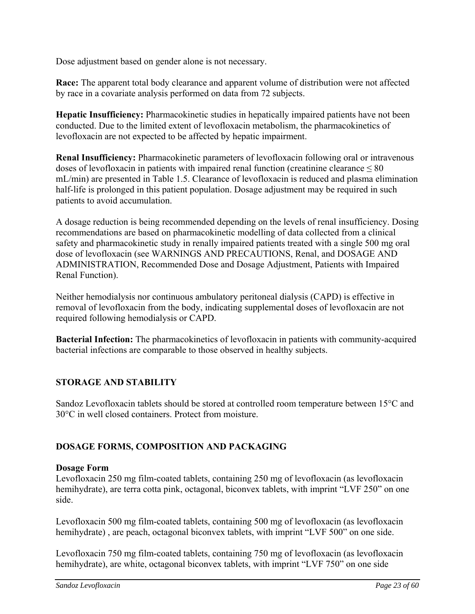Dose adjustment based on gender alone is not necessary.

**Race:** The apparent total body clearance and apparent volume of distribution were not affected by race in a covariate analysis performed on data from 72 subjects.

**Hepatic Insufficiency:** Pharmacokinetic studies in hepatically impaired patients have not been conducted. Due to the limited extent of levofloxacin metabolism, the pharmacokinetics of levofloxacin are not expected to be affected by hepatic impairment.

**Renal Insufficiency:** Pharmacokinetic parameters of levofloxacin following oral or intravenous doses of levofloxacin in patients with impaired renal function (creatinine clearance  $\leq 80$ ) mL/min) are presented in Table 1.5. Clearance of levofloxacin is reduced and plasma elimination half-life is prolonged in this patient population. Dosage adjustment may be required in such patients to avoid accumulation.

A dosage reduction is being recommended depending on the levels of renal insufficiency. Dosing recommendations are based on pharmacokinetic modelling of data collected from a clinical safety and pharmacokinetic study in renally impaired patients treated with a single 500 mg oral dose of levofloxacin (see WARNINGS AND PRECAUTIONS, Renal, and DOSAGE AND ADMINISTRATION, Recommended Dose and Dosage Adjustment, Patients with Impaired Renal Function).

Neither hemodialysis nor continuous ambulatory peritoneal dialysis (CAPD) is effective in removal of levofloxacin from the body, indicating supplemental doses of levofloxacin are not required following hemodialysis or CAPD.

**Bacterial Infection:** The pharmacokinetics of levofloxacin in patients with community-acquired bacterial infections are comparable to those observed in healthy subjects.

## **STORAGE AND STABILITY**

Sandoz Levofloxacin tablets should be stored at controlled room temperature between 15°C and 30°C in well closed containers. Protect from moisture.

## **DOSAGE FORMS, COMPOSITION AND PACKAGING**

#### **Dosage Form**

Levofloxacin 250 mg film-coated tablets, containing 250 mg of levofloxacin (as levofloxacin hemihydrate), are terra cotta pink, octagonal, biconvex tablets, with imprint "LVF 250" on one side.

Levofloxacin 500 mg film-coated tablets, containing 500 mg of levofloxacin (as levofloxacin hemihydrate) , are peach, octagonal biconvex tablets, with imprint "LVF 500" on one side.

Levofloxacin 750 mg film-coated tablets, containing 750 mg of levofloxacin (as levofloxacin hemihydrate), are white, octagonal biconvex tablets, with imprint "LVF 750" on one side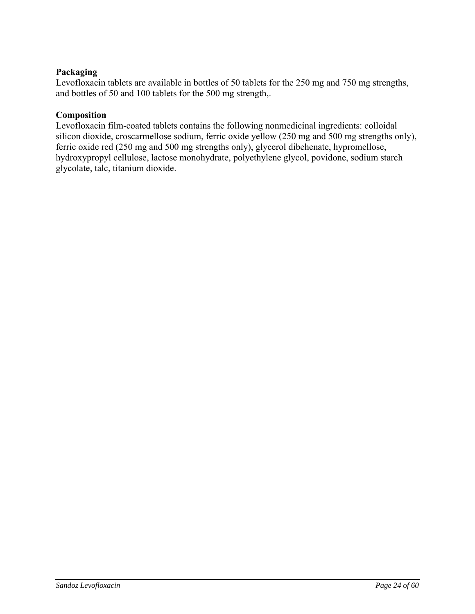# **Packaging**

Levofloxacin tablets are available in bottles of 50 tablets for the 250 mg and 750 mg strengths, and bottles of 50 and 100 tablets for the 500 mg strength,.

## **Composition**

Levofloxacin film-coated tablets contains the following nonmedicinal ingredients: colloidal silicon dioxide, croscarmellose sodium, ferric oxide yellow (250 mg and 500 mg strengths only), ferric oxide red (250 mg and 500 mg strengths only), glycerol dibehenate, hypromellose, hydroxypropyl cellulose, lactose monohydrate, polyethylene glycol, povidone, sodium starch glycolate, talc, titanium dioxide.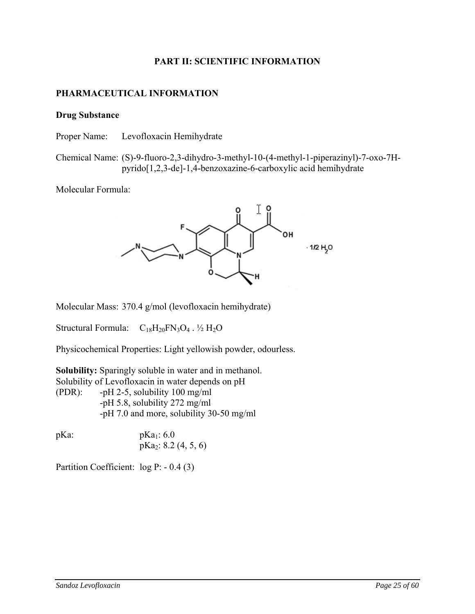### **PART II: SCIENTIFIC INFORMATION**

### **PHARMACEUTICAL INFORMATION**

#### **Drug Substance**

Proper Name: Levofloxacin Hemihydrate

Chemical Name: (S)-9-fluoro-2,3-dihydro-3-methyl-10-(4-methyl-1-piperazinyl)-7-oxo-7Hpyrido[1,2,3-de]-1,4-benzoxazine-6-carboxylic acid hemihydrate

Molecular Formula:



Molecular Mass: 370.4 g/mol (levofloxacin hemihydrate)

Structural Formula:  $C_{18}H_{20}FN_3O_4$ .  $\frac{1}{2}H_2O$ 

Physicochemical Properties: Light yellowish powder, odourless.

**Solubility:** Sparingly soluble in water and in methanol. Solubility of Levofloxacin in water depends on pH (PDR): -pH 2-5, solubility 100 mg/ml -pH 5.8, solubility 272 mg/ml -pH 7.0 and more, solubility 30-50 mg/ml

 $pKa$ :  $pKa$ <sub>1</sub>: 6.0 pKa2: 8.2 (4, 5, 6)

Partition Coefficient: log P: - 0.4 (3)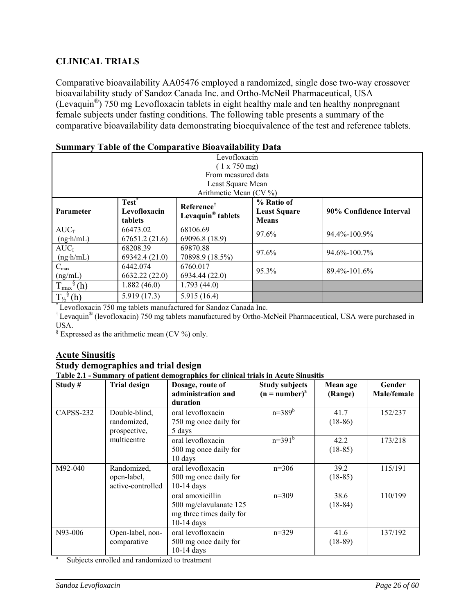# **CLINICAL TRIALS**

Comparative bioavailability AA05476 employed a randomized, single dose two-way crossover bioavailability study of Sandoz Canada Inc. and Ortho-McNeil Pharmaceutical, USA (Levaquin®) 750 mg Levofloxacin tablets in eight healthy male and ten healthy nonpregnant female subjects under fasting conditions. The following table presents a summary of the comparative bioavailability data demonstrating bioequivalence of the test and reference tablets.

| $\mathbf S$ ullinal v Tabic of the Comparative Dioavanability Data |                   |                               |                                                |                    |  |  |
|--------------------------------------------------------------------|-------------------|-------------------------------|------------------------------------------------|--------------------|--|--|
|                                                                    | Levofloxacin      |                               |                                                |                    |  |  |
|                                                                    |                   | (1 x 750 mg)                  |                                                |                    |  |  |
|                                                                    |                   | From measured data            |                                                |                    |  |  |
|                                                                    |                   | Least Square Mean             |                                                |                    |  |  |
|                                                                    |                   | Arithmetic Mean (CV $\%$ )    |                                                |                    |  |  |
|                                                                    | Test <sup>*</sup> | Reference <sup>†</sup>        | % Ratio of                                     |                    |  |  |
| <b>Parameter</b>                                                   | Levofloxacin      | Levaquin <sup>®</sup> tablets | 90% Confidence Interval<br><b>Least Square</b> |                    |  |  |
|                                                                    | tablets           |                               | <b>Means</b>                                   |                    |  |  |
| $AUC_T$                                                            | 66473.02          | 68106.69                      | 97.6%                                          | 94.4%-100.9%       |  |  |
| $(ng \cdot h/mL)$                                                  | 67651.2(21.6)     | 69096.8 (18.9)                |                                                |                    |  |  |
| $AUC_I$                                                            | 68208.39          | 69870.88                      | 97.6%                                          | $94.6\% - 100.7\%$ |  |  |
| $(ng \cdot h/mL)$                                                  | 69342.4 (21.0)    | 70898.9 (18.5%)               |                                                |                    |  |  |
| $C_{\text{max}}$                                                   | 6442.074          | 6760.017<br>95.3%             |                                                | $89.4\% - 101.6\%$ |  |  |
| (ng/mL)                                                            | 6632.22(22.0)     | 6934.44 (22.0)                |                                                |                    |  |  |
| $T_{\text{max}}^{\S}(\text{h})$                                    | 1.882(46.0)       | 1.793(44.0)                   |                                                |                    |  |  |
| $T_{\frac{1}{2}}^{\delta}$ (h)                                     | 5.919(17.3)       | 5.915(16.4)                   |                                                |                    |  |  |

# **Summary Table of the Comparative Bioavailability Data**

\* Levofloxacin 750 mg tablets manufactured for Sandoz Canada Inc.

† Levaquin® (levofloxacin) 750 mg tablets manufactured by Ortho-McNeil Pharmaceutical, USA were purchased in USA.

 $\frac{1}{2}$  Expressed as the arithmetic mean (CV %) only.

# **Acute Sinusitis**

#### **Study demographics and trial design**

**Table 2.1 - Summary of patient demographics for clinical trials in Acute Sinusitis**

| Study#    | <b>Trial design</b>                             | Dosage, route of<br>administration and<br>duration                                     | <b>Study subjects</b><br>$(n = number)^{a}$ | Mean age<br>(Range) | Gender<br>Male/female |
|-----------|-------------------------------------------------|----------------------------------------------------------------------------------------|---------------------------------------------|---------------------|-----------------------|
| CAPSS-232 | Double-blind,<br>randomized,<br>prospective,    | oral levofloxacin<br>750 mg once daily for<br>5 days                                   | $n=389^{b}$                                 | 41.7<br>$(18-86)$   | 152/237               |
|           | multicentre                                     | oral levofloxacin<br>500 mg once daily for<br>10 days                                  | $n=391^{b}$                                 | 42.2<br>$(18-85)$   | 173/218               |
| M92-040   | Randomized,<br>open-label,<br>active-controlled | oral levofloxacin<br>500 mg once daily for<br>$10-14$ days                             | $n=306$                                     | 39.2<br>$(18-85)$   | 115/191               |
|           |                                                 | oral amoxicillin<br>500 mg/clavulanate 125<br>mg three times daily for<br>$10-14$ days | $n=309$                                     | 38.6<br>$(18-84)$   | 110/199               |
| N93-006   | Open-label, non-<br>comparative                 | oral levofloxacin<br>500 mg once daily for<br>$10-14$ days                             | $n=329$                                     | 41.6<br>$(18-89)$   | 137/192               |

Subjects enrolled and randomized to treatment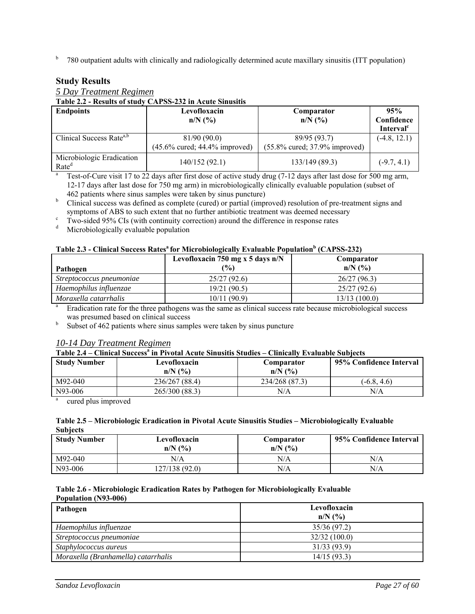<sup>b</sup> 780 outpatient adults with clinically and radiologically determined acute maxillary sinusitis (ITT population)

### **Study Results**

### *5 Day Treatment Regimen*

**Table 2.2 - Results of study CAPSS-232 in Acute Sinusitis**

| <b>Endpoints</b>                               | Levofloxacin<br>$n/N$ (%)                          | Comparator<br>$n/N$ (%)                          | 95%<br>Confidence<br>Interval <sup>c</sup> |
|------------------------------------------------|----------------------------------------------------|--------------------------------------------------|--------------------------------------------|
| Clinical Success Rate <sup>a,b</sup>           | 81/90(90.0)<br>$(45.6\%$ cured; $44.4\%$ improved) | 89/95 (93.7)<br>$(55.8\%$ cured; 37.9% improved) | $(-4.8, 12.1)$                             |
| Microbiologic Eradication<br>Rate <sup>d</sup> | 140/152 (92.1)                                     | 133/149 (89.3)                                   | $(-9.7, 4.1)$                              |

<sup>a</sup> Test-of-Cure visit 17 to 22 days after first dose of active study drug (7-12 days after last dose for 500 mg arm, 12-17 days after last dose for 750 mg arm) in microbiologically clinically evaluable population (subset of 462 patients where sinus samples were taken by sinus puncture)

<sup>b</sup> Clinical success was defined as complete (cured) or partial (improved) resolution of pre-treatment signs and symptoms of ABS to such extent that no further antibiotic treatment was deemed necessary<br><sup>c</sup> Two-sided 95% CIs (with continuity correction) around the difference in response rates

Two-sided 95% CIs (with continuity correction) around the difference in response rates

<sup>d</sup> Microbiologically evaluable population

#### Table 2.3 - Clinical Success Rates<sup>a</sup> for Microbiologically Evaluable Population<sup>b</sup> (CAPSS-232)

|                          | Levofloxacin 750 mg x 5 days $n/N$ | Comparator                       |
|--------------------------|------------------------------------|----------------------------------|
| Pathogen                 | $\frac{(0)}{0}$                    | $n/N$ $\left(\frac{9}{6}\right)$ |
| Streptococcus pneumoniae | 25/27(92.6)                        | 26/27(96.3)                      |
| Haemophilus influenzae   | 19/21(90.5)                        | 25/27(92.6)                      |
| Moraxella catarrhalis    | 10/11(90.9)                        | 13/13 (100.0)                    |

Eradication rate for the three pathogens was the same as clinical success rate because microbiological success was presumed based on clinical success

 $b$  Subset of 462 patients where sinus samples were taken by sinus puncture

#### *10-14 Day Treatment Regimen*

#### Table 2.4 – Clinical Success<sup>a</sup> in Pivotal Acute Sinusitis Studies – Clinically Evaluable Subjects

| <b>Study Number</b> | Levofloxacin<br>$n/N$ (%) | Comparator<br>$n/N$ $\left(\frac{9}{6}\right)$ | 95% Confidence Interval |
|---------------------|---------------------------|------------------------------------------------|-------------------------|
| M92-040             | 236/267 (88.4)            | 234/268 (87.3)                                 | $(-6.8, 4.6)$           |
| N93-006             | 265/300 (88.3)            | N/A                                            | N/A                     |

a cured plus improved

#### **Table 2.5 – Microbiologic Eradication in Pivotal Acute Sinusitis Studies – Microbiologically Evaluable Subjects**

| <b>Study Number</b> | Levofloxacin<br>$n/N$ $\left(\frac{9}{6}\right)$ | Comparator<br>$n/N$ $\left(\frac{9}{6}\right)$ | 95% Confidence Interval |
|---------------------|--------------------------------------------------|------------------------------------------------|-------------------------|
| M92-040             | N/A                                              | N/A                                            | $\rm N/A$               |
| N93-006             | 127/138 (92.0)                                   | N/A                                            | N/A                     |

#### **Table 2.6 - Microbiologic Eradication Rates by Pathogen for Microbiologically Evaluable Population (N93-006)**

| Pathogen                            | Levofloxacin<br>$n/N$ (%) |
|-------------------------------------|---------------------------|
| Haemophilus influenzae              | 35/36 (97.2)              |
| Streptococcus pneumoniae            | 32/32(100.0)              |
| Staphylococcus aureus               | 31/33(93.9)               |
| Moraxella (Branhamella) catarrhalis | 14/15(93.3)               |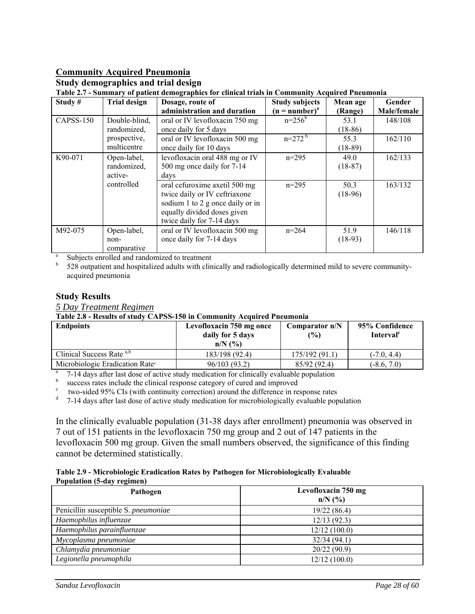# **Community Acquired Pneumonia**

#### **Study demographics and trial design**

**Table 2.7 - Summary of patient demographics for clinical trials in Community Acquired Pneumonia** 

| Study#    | <b>Trial design</b> | Dosage, route of                 | <b>Study subjects</b> | Mean age  | Gender      |
|-----------|---------------------|----------------------------------|-----------------------|-----------|-------------|
|           |                     | administration and duration      | $(n = number)^a$      | (Range)   | Male/female |
| CAPSS-150 | Double-blind,       | oral or IV levofloxacin 750 mg   | $n = 256^b$           | 53.1      | 148/108     |
|           | randomized,         | once daily for 5 days            |                       | $(18-86)$ |             |
|           | prospective,        | oral or IV levofloxacin 500 mg   | $n=272^{b}$           | 55.3      | 162/110     |
|           | multicentre         | once daily for 10 days           |                       | $(18-89)$ |             |
| K90-071   | Open-label,         | levofloxacin oral 488 mg or IV   | $n=295$               | 49.0      | 162/133     |
|           | randomized,         | 500 mg once daily for 7-14       |                       | $(18-87)$ |             |
|           | active-             | days                             |                       |           |             |
|           | controlled          | oral cefuroxime axetil 500 mg    | $n=295$               | 50.3      | 163/132     |
|           |                     | twice daily or IV ceftriaxone    |                       | $(18-96)$ |             |
|           |                     | sodium 1 to 2 g once daily or in |                       |           |             |
|           |                     | equally divided doses given      |                       |           |             |
|           |                     | twice daily for 7-14 days        |                       |           |             |
| M92-075   | Open-label,         | oral or IV levofloxacin 500 mg   | $n=264$               | 51.9      | 146/118     |
|           | non-                | once daily for 7-14 days         |                       | $(18-93)$ |             |
|           | comparative         |                                  |                       |           |             |

a Subjects enrolled and randomized to treatment

b 528 outpatient and hospitalized adults with clinically and radiologically determined mild to severe communityacquired pneumonia

#### **Study Results**

*5 Day Treatment Regimen* 

**Table 2.8 - Results of study CAPSS-150 in Community Acquired Pneumonia** 

| <b>Endpoints</b>                            | Levofloxacin 750 mg once<br>daily for 5 days<br>$n/N$ $\left(\frac{9}{6}\right)$ | Comparator $n/N$<br>(%) | 95% Confidence<br>Interval <sup>c</sup> |
|---------------------------------------------|----------------------------------------------------------------------------------|-------------------------|-----------------------------------------|
| Clinical Success Rate a,b                   | 183/198 (92.4)                                                                   | 175/192 (91.1)          | $(-7.0, 4.4)$                           |
| Microbiologic Eradication Rate <sup>d</sup> | 96/103 (93.2)                                                                    | 85/92 (92.4)            | $(-8.6, 7.0)$                           |

<sup>8</sup> 7-14 days after last dose of active study medication for clinically evaluable population<br><sup>b</sup> success rates include the clinical response category of cured and improved

 $\epsilon$  two-sided 95% CIs (with continuity correction) around the difference in response rates

<sup>d</sup> 7-14 days after last dose of active study medication for microbiologically evaluable population

In the clinically evaluable population (31-38 days after enrollment) pneumonia was observed in 7 out of 151 patients in the levofloxacin 750 mg group and 2 out of 147 patients in the levofloxacin 500 mg group. Given the small numbers observed, the significance of this finding cannot be determined statistically.

|                            | Table 2.9 - Microbiologic Eradication Rates by Pathogen for Microbiologically Evaluable |
|----------------------------|-----------------------------------------------------------------------------------------|
| Population (5-day regimen) |                                                                                         |

| Pathogen                             | Levofloxacin 750 mg<br>$n/N$ (%) |
|--------------------------------------|----------------------------------|
| Penicillin susceptible S. pneumoniae | 19/22(86.4)                      |
| Haemophilus influenzae               | 12/13(92.3)                      |
| Haemophilus parainfluenzae           | 12/12(100.0)                     |
| Mycoplasma pneumoniae                | 32/34(94.1)                      |
| Chlamydia pneumoniae                 | 20/22(90.9)                      |
| Legionella pneumophila               | 12/12(100.0)                     |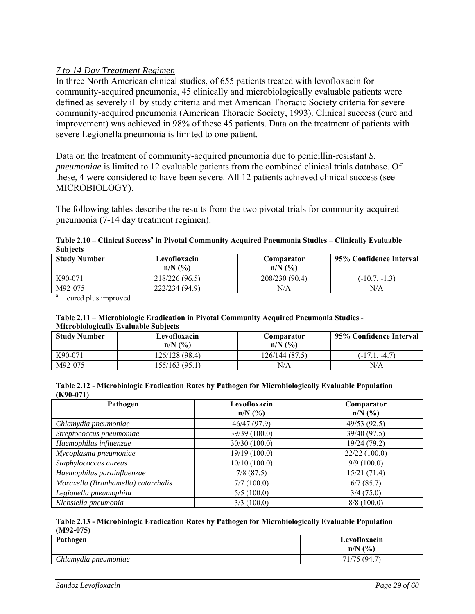### *7 to 14 Day Treatment Regimen*

In three North American clinical studies, of 655 patients treated with levofloxacin for community-acquired pneumonia, 45 clinically and microbiologically evaluable patients were defined as severely ill by study criteria and met American Thoracic Society criteria for severe community-acquired pneumonia (American Thoracic Society, 1993). Clinical success (cure and improvement) was achieved in 98% of these 45 patients. Data on the treatment of patients with severe Legionella pneumonia is limited to one patient.

Data on the treatment of community-acquired pneumonia due to penicillin-resistant *S. pneumoniae* is limited to 12 evaluable patients from the combined clinical trials database. Of these, 4 were considered to have been severe. All 12 patients achieved clinical success (see MICROBIOLOGY).

The following tables describe the results from the two pivotal trials for community-acquired pneumonia (7-14 day treatment regimen).

| Table 2.10 – Clinical Success <sup>a</sup> in Pivotal Community Acquired Pneumonia Studies – Clinically Evaluable |  |
|-------------------------------------------------------------------------------------------------------------------|--|
| <b>Subjects</b>                                                                                                   |  |

| <b>Study Number</b> | Levofloxacin<br>$n/N$ $\left(\frac{9}{6}\right)$ | Comparator<br>$n/N$ $\left(\frac{9}{6}\right)$ | 95% Confidence Interval |
|---------------------|--------------------------------------------------|------------------------------------------------|-------------------------|
| K90-071             | 218/226 (96.5)                                   | 208/230 (90.4)                                 | $(-10.7, -1.3)$         |
| M92-075             | 222/234 (94.9)                                   | N/A                                            | N/A                     |

cured plus improved

#### **Table 2.11 – Microbiologic Eradication in Pivotal Community Acquired Pneumonia Studies - Microbiologically Evaluable Subjects**

| <b>Study Number</b> | Levofloxacin<br>$n/N$ $\left(\frac{9}{6}\right)$ | Comparator<br>$n/N$ $\left(\frac{9}{6}\right)$ | 95% Confidence Interval |
|---------------------|--------------------------------------------------|------------------------------------------------|-------------------------|
| K90-071             | 126/128 (98.4)                                   | 126/144 (87.5)                                 | $(-17.1, -4.7)$         |
| M92-075             | 155/163 (95.1)                                   | N/A                                            | N/A                     |

#### **Table 2.12 - Microbiologic Eradication Rates by Pathogen for Microbiologically Evaluable Population (K90-071)**

| Pathogen                            | Levofloxacin<br>$n/N$ (%) | Comparator<br>$n/N$ (%) |
|-------------------------------------|---------------------------|-------------------------|
| Chlamydia pneumoniae                | 46/47 (97.9)              | 49/53 (92.5)            |
| Streptococcus pneumoniae            | 39/39 (100.0)             | 39/40 (97.5)            |
| Haemophilus influenzae              | 30/30 (100.0)             | 19/24 (79.2)            |
| Mycoplasma pneumoniae               | 19/19 (100.0)             | 22/22(100.0)            |
| Staphylococcus aureus               | 10/10(100.0)              | 9/9(100.0)              |
| Haemophilus parainfluenzae          | $7/8$ (87.5)              | 15/21(71.4)             |
| Moraxella (Branhamella) catarrhalis | 7/7(100.0)                | 6/7(85.7)               |
| Legionella pneumophila              | 5/5(100.0)                | 3/4(75.0)               |
| Klebsiella pneumonia                | 3/3(100.0)                | 8/8(100.0)              |

#### **Table 2.13 - Microbiologic Eradication Rates by Pathogen for Microbiologically Evaluable Population (M92-075)**

| Pathogen             | Levofloxacin<br>$n/N$ (%) |
|----------------------|---------------------------|
| Chlamydia pneumoniae | 71/75 (94.7)              |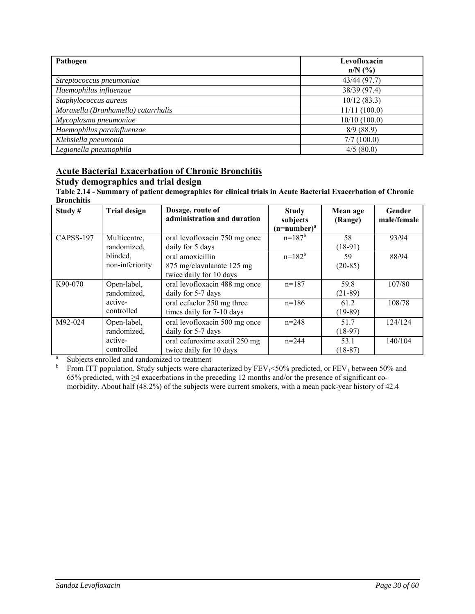| Pathogen                            | Levofloxacin<br>$n/N$ (%) |
|-------------------------------------|---------------------------|
| Streptococcus pneumoniae            | 43/44 (97.7)              |
| Haemophilus influenzae              | 38/39 (97.4)              |
| Staphylococcus aureus               | 10/12(83.3)               |
| Moraxella (Branhamella) catarrhalis | 11/11(100.0)              |
| Mycoplasma pneumoniae               | 10/10(100.0)              |
| Haemophilus parainfluenzae          | 8/9(88.9)                 |
| Klebsiella pneumonia                | 7/7(100.0)                |
| Legionella pneumophila              | 4/5(80.0)                 |

# **Acute Bacterial Exacerbation of Chronic Bronchitis**

# **Study demographics and trial design**

**Table 2.14 - Summary of patient demographics for clinical trials in Acute Bacterial Exacerbation of Chronic Bronchitis** 

| Study#    | <b>Trial design</b>         | Dosage, route of<br>administration and duration                          | <b>Study</b><br>subjects<br>$(n=number)^a$ | Mean age<br>(Range) | Gender<br>male/female |
|-----------|-----------------------------|--------------------------------------------------------------------------|--------------------------------------------|---------------------|-----------------------|
| CAPSS-197 | Multicentre,<br>randomized, | oral levofloxacin 750 mg once<br>daily for 5 days                        | $n=187^{b}$                                | 58<br>$(18-91)$     | 93/94                 |
|           | blinded,<br>non-inferiority | oral amoxicillin<br>875 mg/clavulanate 125 mg<br>twice daily for 10 days | $n=182^{b}$                                | 59<br>$(20-85)$     | 88/94                 |
| K90-070   | Open-label,<br>randomized,  | oral levofloxacin 488 mg once<br>daily for 5-7 days                      | $n=187$                                    | 59.8<br>$(21-89)$   | 107/80                |
|           | active-<br>controlled       | oral cefaclor 250 mg three<br>times daily for 7-10 days                  | $n=186$                                    | 61.2<br>$(19-89)$   | 108/78                |
| M92-024   | Open-label,<br>randomized,  | oral levofloxacin 500 mg once<br>daily for 5-7 days                      | $n = 248$                                  | 51.7<br>$(18-97)$   | 124/124               |
|           | active-<br>controlled       | oral cefuroxime axetil 250 mg<br>twice daily for 10 days                 | $n = 244$                                  | 53.1<br>$(18-87)$   | 140/104               |

a Subjects enrolled and randomized to treatment

 $\mathbf b$ From ITT population. Study subjects were characterized by  $FEV_1 < 50\%$  predicted, or  $FEV_1$  between 50% and 65% predicted, with ≥4 exacerbations in the preceding 12 months and/or the presence of significant comorbidity. About half (48.2%) of the subjects were current smokers, with a mean pack-year history of 42.4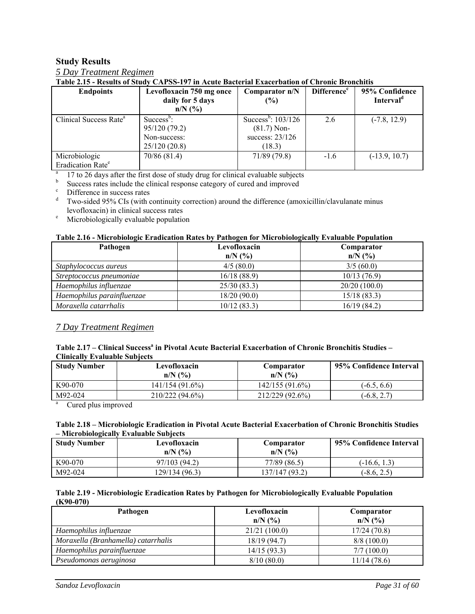#### **Study Results**

| 5 Day Treatment Regimen |
|-------------------------|
|-------------------------|

**Table 2.15 - Results of Study CAPSS-197 in Acute Bacterial Exacerbation of Chronic Bronchitis** 

| <b>Endpoints</b>                   | Levofloxacin 750 mg once | Comparator n/N                   | <b>Difference</b> <sup>c</sup> | 95% Confidence        |
|------------------------------------|--------------------------|----------------------------------|--------------------------------|-----------------------|
|                                    | daily for 5 days         | (%)                              |                                | Interval <sup>d</sup> |
|                                    | $n/N$ (%)                |                                  |                                |                       |
| Clinical Success Rate <sup>a</sup> | $Success^b$ :            | Success <sup>b</sup> : $103/126$ | 2.6                            | $(-7.8, 12.9)$        |
|                                    | 95/120 (79.2)            | $(81.7)$ Non-                    |                                |                       |
|                                    | Non-success:             | success: $23/126$                |                                |                       |
|                                    | 25/120(20.8)             | (18.3)                           |                                |                       |
| Microbiologic                      | 70/86 (81.4)             | 71/89(79.8)                      | $-1.6$                         | $(-13.9, 10.7)$       |
| Eradication Rate <sup>e</sup>      |                          |                                  |                                |                       |

<sup>a</sup> 17 to 26 days after the first dose of study drug for clinical evaluable subjects

 $\frac{b}{c}$  Success rates include the clinical response category of cured and improved Difference in success rates

d Two-sided 95% CIs (with continuity correction) around the difference (amoxicillin/clavulanate minus  $\frac{1}{2}$  levofloxacin) in clinical success rates<br>  $\frac{1}{2}$  Microbiologically evaluable population

Microbiologically evaluable population

#### **Table 2.16 - Microbiologic Eradication Rates by Pathogen for Microbiologically Evaluable Population**

| Pathogen                   | Levofloxacin | Comparator   |
|----------------------------|--------------|--------------|
|                            | $n/N$ (%)    | $n/N$ (%)    |
| Staphylococcus aureus      | 4/5(80.0)    | 3/5(60.0)    |
| Streptococcus pneumoniae   | 16/18(88.9)  | 10/13(76.9)  |
| Haemophilus influenzae     | 25/30(83.3)  | 20/20(100.0) |
| Haemophilus parainfluenzae | 18/20(90.0)  | 15/18(83.3)  |
| Moraxella catarrhalis      | 10/12(83.3)  | 16/19(84.2)  |

#### *7 Day Treatment Regimen*

#### Table 2.17 – Clinical Success<sup>a</sup> in Pivotal Acute Bacterial Exacerbation of Chronic Bronchitis Studies – **Clinically Evaluable Subjects**

| <b>Study Number</b> | Levofloxacin<br>$n/N$ (%) | Comparator<br>$n/N$ $\left(\frac{9}{6}\right)$ | 95% Confidence Interval |
|---------------------|---------------------------|------------------------------------------------|-------------------------|
| K90-070             | 141/154 (91.6%)           | 142/155(91.6%)                                 | $(-6.5, 6.6)$           |
| M92-024             | 210/222 (94.6%)           | 212/229 (92.6%)                                | $(-6.8, 2.7)$           |

<sup>a</sup> Cured plus improved

#### **Table 2.18 – Microbiologic Eradication in Pivotal Acute Bacterial Exacerbation of Chronic Bronchitis Studies – Microbiologically Evaluable Subjects**

| <b>Study Number</b> | Levofloxacin<br>$n/N$ $\left(\frac{9}{6}\right)$ | Comparator<br>$n/N$ $\left(\frac{9}{6}\right)$ | 95% Confidence Interval |
|---------------------|--------------------------------------------------|------------------------------------------------|-------------------------|
| K90-070             | 97/103 (94.2)                                    | 77/89 (86.5)                                   | $(-16.6, 1.3)$          |
| M92-024             | 129/134 (96.3)                                   | 137/147 (93.2)                                 | $(-8.6, 2.5)$           |

#### **Table 2.19 - Microbiologic Eradication Rates by Pathogen for Microbiologically Evaluable Population (K90-070)**

| Pathogen                            | Levofloxacin | Comparator  |
|-------------------------------------|--------------|-------------|
|                                     | $n/N$ (%)    | $n/N$ (%)   |
| Haemophilus influenzae              | 21/21(100.0) | 17/24(70.8) |
| Moraxella (Branhamella) catarrhalis | 18/19(94.7)  | 8/8(100.0)  |
| Haemophilus parainfluenzae          | 14/15(93.3)  | 7/7(100.0)  |
| Pseudomonas aeruginosa              | 8/10(80.0)   | 11/14(78.6) |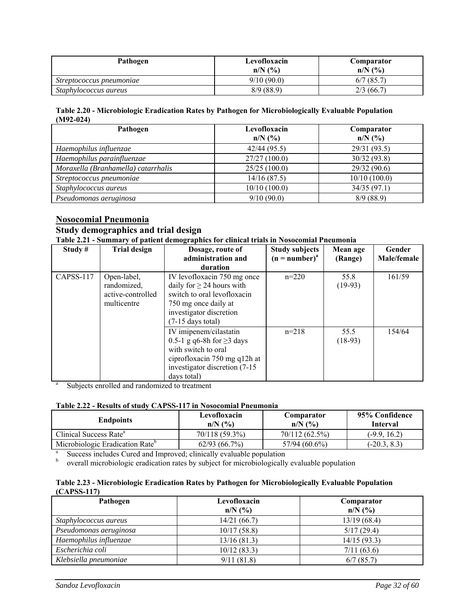| Pathogen                 | Levofloxacin<br>$n/N$ $\left(\frac{9}{6}\right)$ | Comparator<br>$n/N$ (%) |
|--------------------------|--------------------------------------------------|-------------------------|
| Streptococcus pneumoniae | 9/10(90.0)                                       | $6/7$ (85.7)            |
| Staphylococcus aureus    | 8/9(88.9)                                        | 2/3(66.7)               |

#### **Table 2.20 - Microbiologic Eradication Rates by Pathogen for Microbiologically Evaluable Population (M92-024)**

| Pathogen                            | Levofloxacin<br>$n/N$ (%) | Comparator<br>$n/N$ (%) |
|-------------------------------------|---------------------------|-------------------------|
| Haemophilus influenzae              | 42/44(95.5)               | 29/31 (93.5)            |
| Haemophilus parainfluenzae          | 27/27(100.0)              | 30/32 (93.8)            |
| Moraxella (Branhamella) catarrhalis | 25/25(100.0)              | 29/32 (90.6)            |
| Streptococcus pneumoniae            | 14/16(87.5)               | 10/10(100.0)            |
| Staphylococcus aureus               | 10/10(100.0)              | 34/35(97.1)             |
| Pseudomonas aeruginosa              | 9/10(90.0)                | 8/9(88.9)               |

# **Nosocomial Pneumonia**

#### **Study demographics and trial design**

**Table 2.21 - Summary of patient demographics for clinical trials in Nosocomial Pneumonia** 

| Study#    | <b>Trial design</b>                                            | Dosage, route of<br>administration and                                                                                                                                 | <b>Study subjects</b><br>$(n = number)^{a}$ | Mean age<br>(Range) | Gender<br>Male/female |
|-----------|----------------------------------------------------------------|------------------------------------------------------------------------------------------------------------------------------------------------------------------------|---------------------------------------------|---------------------|-----------------------|
|           |                                                                | duration                                                                                                                                                               |                                             |                     |                       |
| CAPSS-117 | Open-label,<br>randomized,<br>active-controlled<br>multicentre | IV levofloxacin 750 mg once<br>daily for $\geq$ 24 hours with<br>switch to oral levofloxacin<br>750 mg once daily at<br>investigator discretion<br>$(7-15$ days total) | $n=220$                                     | 55.8<br>$(19-93)$   | 161/59                |
|           |                                                                | IV imipenem/cilastatin<br>0.5-1 g q6-8h for $\geq$ 3 days<br>with switch to oral<br>ciprofloxacin 750 mg q12h at<br>investigator discretion (7-15)<br>days total)      | $n=218$                                     | 55.5<br>$(18-93)$   | 154/64                |

a Subjects enrolled and randomized to treatment

#### **Table 2.22 - Results of study CAPSS-117 in Nosocomial Pneumonia**

| <b>Endpoints</b>                                                                                 | Levofloxacin<br>$n/N$ (%) | Comparator<br>$n/N$ (%) | 95% Confidence<br><b>Interval</b> |  |
|--------------------------------------------------------------------------------------------------|---------------------------|-------------------------|-----------------------------------|--|
| Clinical Success Rate <sup>a</sup>                                                               | 70/118 (59.3%)            | 70/112 (62.5%)          | $(-9.9, 16.2)$                    |  |
| Microbiologic Eradication Rate <sup>b</sup><br>$57/94(60.6\%)$<br>62/93(66.7%)<br>$(-20.3, 8.3)$ |                           |                         |                                   |  |
| Success includes Cured and Improved; clinically evaluable population                             |                           |                         |                                   |  |

b overall microbiologic eradication rates by subject for microbiologically evaluable population

| Table 2.23 - Microbiologic Eradication Rates by Pathogen for Microbiologically Evaluable Population |  |  |
|-----------------------------------------------------------------------------------------------------|--|--|
| $(CAPSS-117)$                                                                                       |  |  |

| Pathogen               | Levofloxacin | Comparator  |
|------------------------|--------------|-------------|
|                        | $n/N$ (%)    | $n/N$ (%)   |
| Staphylococcus aureus  | 14/21(66.7)  | 13/19(68.4) |
| Pseudomonas aeruginosa | 10/17(58.8)  | 5/17(29.4)  |
| Haemophilus influenzae | 13/16(81.3)  | 14/15(93.3) |
| Escherichia coli       | 10/12(83.3)  | 7/11(63.6)  |
| Klebsiella pneumoniae  | 9/11(81.8)   | 6/7(85.7)   |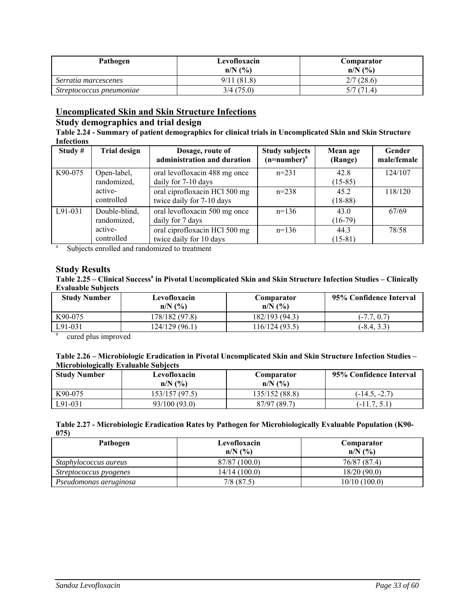| Pathogen                 | Levofloxacin<br>$n/N$ $\left(\frac{9}{6}\right)$ | Comparator<br>$n/N$ $\left(\frac{9}{6}\right)$ |
|--------------------------|--------------------------------------------------|------------------------------------------------|
| Serratia marcescenes     | 9/11(81.8)                                       | 2/7(28.6)                                      |
| Streptococcus pneumoniae | 3/4(75.0)                                        | 5/7(71.4)                                      |

### **Uncomplicated Skin and Skin Structure Infections**

# **Study demographics and trial design**

**Table 2.24 - Summary of patient demographics for clinical trials in Uncomplicated Skin and Skin Structure Infections** 

| Study#  | <b>Trial design</b>          | Dosage, route of<br>administration and duration            | <b>Study subjects</b><br>$(n=number)^a$ | Mean age<br>(Range) | Gender<br>male/female |
|---------|------------------------------|------------------------------------------------------------|-----------------------------------------|---------------------|-----------------------|
| K90-075 | Open-label,<br>randomized,   | oral levofloxacin 488 mg once<br>daily for 7-10 days       | $n=231$                                 | 42.8<br>$(15-85)$   | 124/107               |
|         | active-<br>controlled        | oral ciprofloxacin HCl 500 mg<br>twice daily for 7-10 days | $n=238$                                 | 45.2<br>$(18-88)$   | 118/120               |
| L91-031 | Double-blind,<br>randomized, | oral levofloxacin 500 mg once<br>daily for 7 days          | $n=136$                                 | 43.0<br>$(16-79)$   | 67/69                 |
|         | active-<br>controlled        | oral ciprofloxacin HCl 500 mg<br>twice daily for 10 days   | $n=136$                                 | 44.3<br>$(15-81)$   | 78/58                 |
| a       |                              | Subjects enrolled and randomized to treatment              |                                         |                     |                       |

Subjects enrolled and randomized to treatment

# **Study Results**

Table 2.25 – Clinical Success<sup>a</sup> in Pivotal Uncomplicated Skin and Skin Structure Infection Studies – Clinically **Evaluable Subjects** 

| <b>Study Number</b> | Levofloxacin<br>$n/N$ $\left(\frac{9}{6}\right)$ | Comparator<br>$n/N$ $\left(\frac{9}{6}\right)$ | 95% Confidence Interval |
|---------------------|--------------------------------------------------|------------------------------------------------|-------------------------|
| K90-075             | 178/182 (97.8)                                   | 182/193 (94.3)                                 | $(-7.7, 0.7)$           |
| L91-031             | 124/129 (96.1)                                   | 116/124 (93.5)                                 | $(-8.4, 3.3)$           |

a cured plus improved

| Table 2.26 – Microbiologic Eradication in Pivotal Uncomplicated Skin and Skin Structure Infection Studies – |
|-------------------------------------------------------------------------------------------------------------|
| <b>Microbiologically Evaluable Subjects</b>                                                                 |

| <b>Study Number</b> | Levofloxacin<br>$n/N$ $\left(\frac{9}{6}\right)$ | Comparator<br>$n/N$ $\left(\frac{9}{6}\right)$ | 95% Confidence Interval |
|---------------------|--------------------------------------------------|------------------------------------------------|-------------------------|
| K90-075             | 153/157 (97.5)                                   | 135/152 (88.8)                                 | $(-14.5, -2.7)$         |
| L91-031             | 93/100 (93.0)                                    | 87/97 (89.7)                                   | $(-11.7, 5.1$           |

| Table 2.27 - Microbiologic Eradication Rates by Pathogen for Microbiologically Evaluable Population (K90- |  |
|-----------------------------------------------------------------------------------------------------------|--|
| 075)                                                                                                      |  |

| Pathogen               | Levofloxacin                     | Comparator                       |
|------------------------|----------------------------------|----------------------------------|
|                        | $n/N$ $\left(\frac{9}{6}\right)$ | $n/N$ $\left(\frac{9}{6}\right)$ |
| Staphylococcus aureus  | 87/87 (100.0)                    | 76/87 (87.4)                     |
| Streptococcus pyogenes | 14/14(100.0)                     | 18/20(90.0)                      |
| Pseudomonas aeruginosa | $7/8$ (87.5)                     | 10/10(100.0)                     |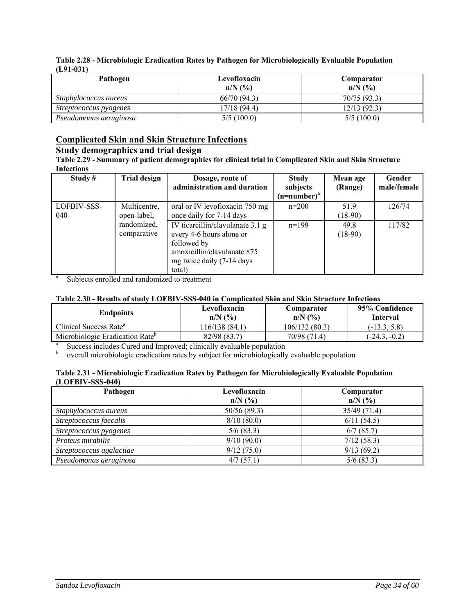| Pathogen               | Levofloxacin<br>$n/N$ $\left(\frac{9}{6}\right)$ | Comparator<br>$n/N$ $\left(\frac{9}{6}\right)$ |
|------------------------|--------------------------------------------------|------------------------------------------------|
| Staphylococcus aureus  | 66/70(94.3)                                      | 70/75 (93.3)                                   |
| Streptococcus pyogenes | 17/18(94.4)                                      | 12/13(92.3)                                    |
| Pseudomonas aeruginosa | 5/5(100.0)                                       | 5/5(100.0)                                     |

#### **Table 2.28 - Microbiologic Eradication Rates by Pathogen for Microbiologically Evaluable Population (L91-031)**

# **Complicated Skin and Skin Structure Infections**

# **Study demographics and trial design**

**Table 2.29 - Summary of patient demographics for clinical trial in Complicated Skin and Skin Structure Infections** 

| Study#      | <b>Trial design</b> | Dosage, route of                 | <b>Study</b>   | Mean age  | Gender      |
|-------------|---------------------|----------------------------------|----------------|-----------|-------------|
|             |                     | administration and duration      | subjects       | (Range)   | male/female |
|             |                     |                                  | $(n=number)^a$ |           |             |
| LOFBIV-SSS- | Multicentre,        | oral or IV levofloxacin 750 mg   | $n=200$        | 519       | 126/74      |
| 040         | open-label,         | once daily for 7-14 days         |                | $(18-90)$ |             |
|             | randomized,         | IV ticarcillin/clavulanate 3.1 g | $n=199$        | 49.8      | 117/82      |
|             | comparative         | every 4-6 hours alone or         |                | $(18-90)$ |             |
|             |                     | followed by                      |                |           |             |
|             |                     | amoxicillin/clavulanate 875      |                |           |             |
|             |                     | mg twice daily (7-14 days)       |                |           |             |
|             |                     | total)                           |                |           |             |

<sup>a</sup> Subjects enrolled and randomized to treatment

#### **Table 2.30 - Results of study LOFBIV-SSS-040 in Complicated Skin and Skin Structure Infections**

| <b>Endpoints</b>                                                     | Levofloxacin<br>$n/N$ $\left(\frac{9}{6}\right)$ | Comparator<br>$n/N$ $\left(\frac{9}{6}\right)$ | 95% Confidence<br><b>Interval</b> |  |  |
|----------------------------------------------------------------------|--------------------------------------------------|------------------------------------------------|-----------------------------------|--|--|
| Clinical Success Rate <sup>a</sup>                                   | 116/138 (84.1)                                   | 106/132(80.3)                                  | $(-13.3, 5.8)$                    |  |  |
| Microbiologic Eradication Rate <sup>b</sup>                          | 82/98 (83.7)                                     | 70/98 (71.4)                                   | $(-24.3, -0.2)$                   |  |  |
| Success includes Cured and Improved; clinically evaluable population |                                                  |                                                |                                   |  |  |

<sup>b</sup> overall microbiologic eradication rates by subject for microbiologically evaluable population

#### **Table 2.31 - Microbiologic Eradication Rates by Pathogen for Microbiologically Evaluable Population (LOFBIV-SSS-040)**

| Pathogen                 | Levofloxacin<br>$n/N$ (%) | Comparator<br>$n/N$ (%) |
|--------------------------|---------------------------|-------------------------|
| Staphylococcus aureus    | 50/56 (89.3)              | 35/49 (71.4)            |
| Streptococcus faecalis   | 8/10(80.0)                | 6/11(54.5)              |
| Streptococcus pyogenes   | 5/6(83.3)                 | 6/7(85.7)               |
| Proteus mirabilis        | 9/10(90.0)                | 7/12(58.3)              |
| Streptococcus agalactiae | 9/12(75.0)                | 9/13(69.2)              |
| Pseudomonas aeruginosa   | 4/7(57.1)                 | 5/6(83.3)               |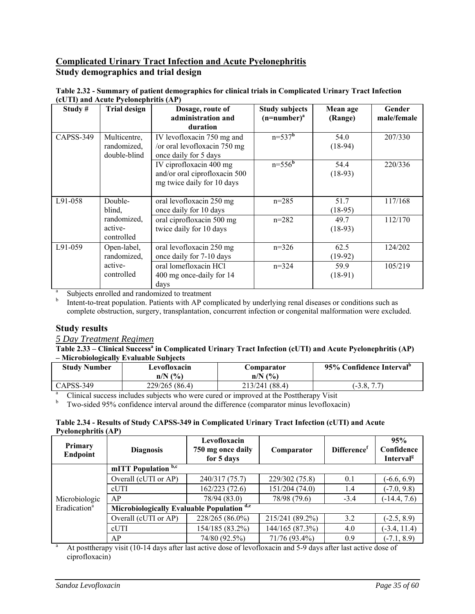## **Complicated Urinary Tract Infection and Acute Pyelonephritis Study demographics and trial design**

| Table 2.32 - Summary of patient demographics for clinical trials in Complicated Urinary Tract Infection |                                      |  |  |  |  |  |
|---------------------------------------------------------------------------------------------------------|--------------------------------------|--|--|--|--|--|
|                                                                                                         | (cUTI) and Acute Pyelonephritis (AP) |  |  |  |  |  |
|                                                                                                         |                                      |  |  |  |  |  |

| Study#    | <b>Trial design</b>                         | Dosage, route of<br>administration and                                                          | <b>Study subjects</b><br>$(n=number)^a$ | Mean age<br>(Range) | Gender<br>male/female |
|-----------|---------------------------------------------|-------------------------------------------------------------------------------------------------|-----------------------------------------|---------------------|-----------------------|
| CAPSS-349 | Multicentre,<br>randomized,<br>double-blind | duration<br>IV levofloxacin 750 mg and<br>/or oral levofloxacin 750 mg<br>once daily for 5 days | $n=537^{b}$                             | 54.0<br>$(18-94)$   | 207/330               |
|           |                                             | IV ciprofloxacin 400 mg<br>and/or oral ciprofloxacin 500<br>mg twice daily for 10 days          | $n = 556^{\overline{b}}$                | 54.4<br>$(18-93)$   | 220/336               |
| L91-058   | Double-<br>blind,                           | oral levofloxacin 250 mg<br>once daily for 10 days                                              | $n=285$                                 | 51.7<br>$(18-95)$   | 117/168               |
|           | randomized,<br>active-<br>controlled        | oral ciprofloxacin 500 mg<br>twice daily for 10 days                                            | $n=282$                                 | 49.7<br>$(18-93)$   | 112/170               |
| $L91-059$ | Open-label,<br>randomized,                  | oral levofloxacin 250 mg<br>once daily for 7-10 days                                            | $n=326$                                 | 62.5<br>$(19-92)$   | 124/202               |
|           | active-<br>controlled                       | oral lomefloxacin HCl<br>400 mg once-daily for 14<br>days                                       | $n=324$                                 | 59.9<br>$(18-91)$   | 105/219               |

a Subjects enrolled and randomized to treatment b

 Intent-to-treat population. Patients with AP complicated by underlying renal diseases or conditions such as complete obstruction, surgery, transplantation, concurrent infection or congenital malformation were excluded.

#### **Study results**

*5 Day Treatment Regimen* 

#### Table 2.33 – Clinical Success<sup>a</sup> in Complicated Urinary Tract Infection (cUTI) and Acute Pyelonephritis (AP) **– Microbiologically Evaluable Subjects**

| <b>Study Number</b>                                                                    | Levofloxacin                     | Comparator                       | 95% Confidence Interval <sup>p</sup> |  |  |
|----------------------------------------------------------------------------------------|----------------------------------|----------------------------------|--------------------------------------|--|--|
|                                                                                        | $n/N$ $\left(\frac{9}{6}\right)$ | $n/N$ $\left(\frac{9}{6}\right)$ |                                      |  |  |
| CAPSS-349                                                                              | 229/265 (86.4)                   | 213/241 (88.4)                   | $(-3.8, 7.7)$                        |  |  |
| Clinical success includes subjects who were cured or improved at the Posttherapy Visit |                                  |                                  |                                      |  |  |

 $b$  Two-sided 95% confidence interval around the difference (comparator minus levofloxacin)

#### **Table 2.34 - Results of Study CAPSS-349 in Complicated Urinary Tract Infection (cUTI) and Acute Pyelonephritis (AP)**

| Primary<br>Endpoint      | <b>Diagnosis</b>                           | Levofloxacin<br>750 mg once daily<br>for 5 days | Comparator      | Difference <sup>r</sup> | 95%<br>Confidence<br>Interval <sup>g</sup> |
|--------------------------|--------------------------------------------|-------------------------------------------------|-----------------|-------------------------|--------------------------------------------|
|                          | mITT Population b,c                        |                                                 |                 |                         |                                            |
|                          | Overall (cUTI or AP)                       | 240/317 (75.7)                                  | 229/302 (75.8)  | 0.1                     | $(-6.6, 6.9)$                              |
|                          | cUTI                                       | 162/223(72.6)                                   | 151/204 (74.0)  | 1.4                     | $(-7.0, 9.8)$                              |
| Microbiologic            | AP                                         | 78/94 (83.0)                                    | 78/98 (79.6)    | $-3.4$                  | $(-14.4, 7.6)$                             |
| Eradication <sup>a</sup> | Microbiologically Evaluable Population d,e |                                                 |                 |                         |                                            |
|                          | Overall (cUTI or AP)                       | 228/265 (86.0%)                                 | 215/241 (89.2%) | 3.2                     | $(-2.5, 8.9)$                              |
|                          | cUTI                                       | 154/185 (83.2%)                                 | 144/165 (87.3%) | 4.0                     | $(-3.4, 11.4)$                             |
|                          | AP                                         | 74/80 (92.5%)                                   | 71/76 (93.4%)   | 0.9                     | $(-7.1, 8.9)$                              |

At posttherapy visit (10-14 days after last active dose of levofloxacin and 5-9 days after last active dose of ciprofloxacin)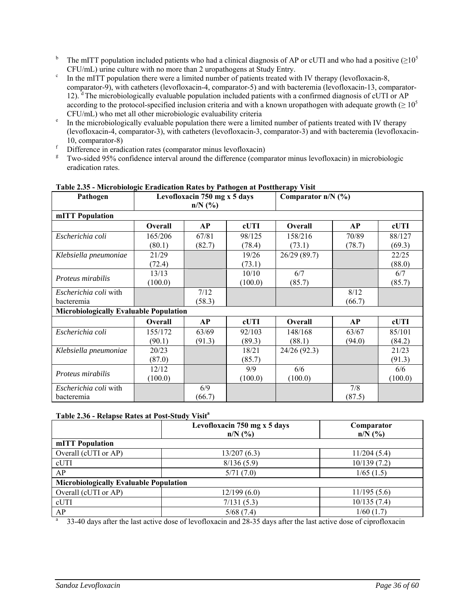- <sup>b</sup> The mITT population included patients who had a clinical diagnosis of AP or cUTI and who had a positive ( $\geq 10^5$ )  $\text{CFU/mL}$ ) urine culture with no more than 2 uropathogens at Study Entry.<br><sup>c</sup> In the mITT population there were a limited number of patients treated with IV therapy (levofloxacin-8,
- comparator-9), with catheters (levofloxacin-4, comparator-5) and with bacteremia (levofloxacin-13, comparator-12). <sup>d</sup> The microbiologically evaluable population included patients with a confirmed diagnosis of cUTI or AP according to the protocol-specified inclusion criteria and with a known uropathogen with adequate growth ( $\geq 10^5$ )
- $\text{CFU/mL}$ ) who met all other microbiologic evaluability criteria  $\text{F}$  In the microbiologically evaluable population there were a limited number of patients treated with IV therapy (levofloxacin-4, comparator-3), with catheters (levofloxacin-3, comparator-3) and with bacteremia (levofloxacin-
- 
- <sup>f</sup> Difference in eradication rates (comparator minus levofloxacin)<br><sup>g</sup> Two-sided 95% confidence interval around the difference (comparator minus levofloxacin) in microbiologic eradication rates.

| radie 2100 - mierodiologie Erauleation Kates by 1 athogen at 1 ostinerapy visit<br>Pathogen | Levofloxacin 750 mg x 5 days |           | Comparator $n/N$ (%) |                |           |         |
|---------------------------------------------------------------------------------------------|------------------------------|-----------|----------------------|----------------|-----------|---------|
|                                                                                             |                              | $n/N$ (%) |                      |                |           |         |
| mITT Population                                                                             |                              |           |                      |                |           |         |
|                                                                                             | <b>Overall</b>               | <b>AP</b> | cUTI                 | <b>Overall</b> | <b>AP</b> | cUTI    |
| Escherichia coli                                                                            | 165/206                      | 67/81     | 98/125               | 158/216        | 70/89     | 88/127  |
|                                                                                             | (80.1)                       | (82.7)    | (78.4)               | (73.1)         | (78.7)    | (69.3)  |
| Klebsiella pneumoniae                                                                       | 21/29                        |           | 19/26                | 26/29(89.7)    |           | 22/25   |
|                                                                                             | (72.4)                       |           | (73.1)               |                |           | (88.0)  |
| <i>Proteus mirabilis</i>                                                                    | 13/13                        |           | 10/10                | 6/7            |           | 6/7     |
|                                                                                             | (100.0)                      |           | (100.0)              | (85.7)         |           | (85.7)  |
| Escherichia coli with                                                                       |                              | 7/12      |                      |                | 8/12      |         |
| bacteremia                                                                                  |                              | (58.3)    |                      |                | (66.7)    |         |
| <b>Microbiologically Evaluable Population</b>                                               |                              |           |                      |                |           |         |
|                                                                                             | <b>Overall</b>               | AP        | cUTI                 | Overall        | <b>AP</b> | cUTI    |
| Escherichia coli                                                                            | 155/172                      | 63/69     | 92/103               | 148/168        | 63/67     | 85/101  |
|                                                                                             | (90.1)                       | (91.3)    | (89.3)               | (88.1)         | (94.0)    | (84.2)  |
| Klebsiella pneumoniae                                                                       | 20/23                        |           | 18/21                | 24/26 (92.3)   |           | 21/23   |
|                                                                                             | (87.0)                       |           | (85.7)               |                |           | (91.3)  |
| Proteus mirabilis                                                                           | 12/12                        |           | 9/9                  | 6/6            |           | 6/6     |
|                                                                                             | (100.0)                      |           | (100.0)              | (100.0)        |           | (100.0) |
| Escherichia coli with                                                                       |                              | 6/9       |                      |                | 7/8       |         |
| bacteremia                                                                                  |                              | (66.7)    |                      |                | (87.5)    |         |

#### **Table 2.35 - Microbiologic Eradication Rates by Pathogen at Posttherapy Visit**

#### **Table 2.36 - Relapse Rates at Post-Study Visita**

|                                               | Levofloxacin 750 mg x 5 days | Comparator  |  |  |  |
|-----------------------------------------------|------------------------------|-------------|--|--|--|
|                                               | $n/N$ (%)                    | $n/N$ (%)   |  |  |  |
| mITT Population                               |                              |             |  |  |  |
| Overall (cUTI or AP)                          | 13/207(6.3)                  | 11/204(5.4) |  |  |  |
| cUTI                                          | 8/136(5.9)                   | 10/139(7.2) |  |  |  |
| AP                                            | 5/71(7.0)                    | 1/65(1.5)   |  |  |  |
| <b>Microbiologically Evaluable Population</b> |                              |             |  |  |  |
| Overall (cUTI or AP)                          | 12/199(6.0)                  | 11/195(5.6) |  |  |  |
| cUTI                                          | 7/131(5.3)                   | 10/135(7.4) |  |  |  |
| AP                                            | 5/68(7.4)                    | 1/60(1.7)   |  |  |  |

AP 5/68 (7.4) 1/60 (1.7) a 33-40 days after the last active dose of levofloxacin and 28-35 days after the last active dose of ciprofloxacin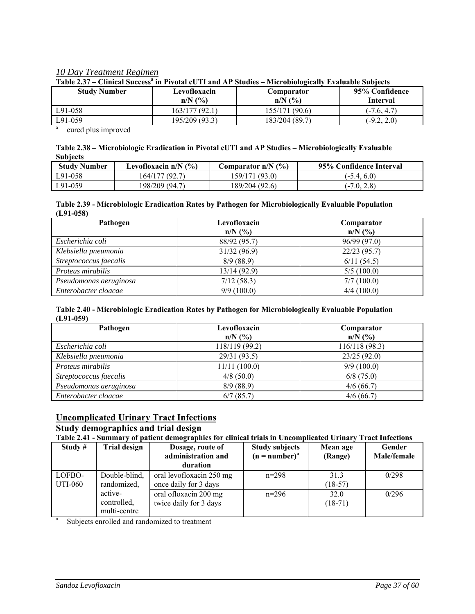#### *10 Day Treatment Regimen*

| 1 49 IV 2007        | Chinyai Duyyoo in 1119aa yo 11 ahu iyo Duuulo | <b>THEROPHOLOGICALLY LETARADIC DUDICES</b> |                |
|---------------------|-----------------------------------------------|--------------------------------------------|----------------|
| <b>Study Number</b> | Levofloxacin                                  | Comparator                                 | 95% Confidence |
|                     | $n/N$ $\left(\frac{9}{6}\right)$              | $n/N$ $\left(\frac{9}{6}\right)$           | Interval       |
| L91-058             | 163/177 (92.1)                                | 155/171 (90.6)                             | $(-7.6, 4.7)$  |
| L91-059             | 195/209 (93.3)                                | 183/204 (89.7)                             | $(-9.2, 2.0)$  |

Table 2.37 – Clinical Success<sup>a</sup> in Pivotal cUTI and AP Studies – Microbiologically Evaluable Subjects

a cured plus improved

#### **Table 2.38 – Microbiologic Eradication in Pivotal cUTI and AP Studies – Microbiologically Evaluable Subjects**

| <b>Study Number</b> | Levofloxacin $n/N$ (%) | Comparator $n/N$ (%) | 95% Confidence Interval |
|---------------------|------------------------|----------------------|-------------------------|
| L91-058             | 164/177 (92.7)         | 159/171 (93.0)       | $(-5.4, 6.0)$           |
| L91-059             | 198/209 (94.7)         | 189/204 (92.6)       | $(-7.0, 2.8)$           |

#### **Table 2.39 - Microbiologic Eradication Rates by Pathogen for Microbiologically Evaluable Population (L91-058)**

| Pathogen               | Levofloxacin<br>Comparator |              |
|------------------------|----------------------------|--------------|
|                        | $n/N$ (%)                  | $n/N$ (%)    |
| Escherichia coli       | 88/92 (95.7)               | 96/99 (97.0) |
| Klebsiella pneumonia   | 31/32 (96.9)               | 22/23(95.7)  |
| Streptococcus faecalis | 8/9(88.9)                  | 6/11(54.5)   |
| Proteus mirabilis      | 13/14(92.9)                | 5/5(100.0)   |
| Pseudomonas aeruginosa | 7/12(58.3)                 | 7/7(100.0)   |
| Enterobacter cloacae   | 9/9(100.0)                 | 4/4(100.0)   |

#### **Table 2.40 - Microbiologic Eradication Rates by Pathogen for Microbiologically Evaluable Population (L91-059)**

| Pathogen               | Levofloxacin<br>$n/N$ (%) | Comparator<br>$n/N$ (%) |
|------------------------|---------------------------|-------------------------|
| Escherichia coli       | 118/119 (99.2)            | 116/118 (98.3)          |
| Klebsiella pneumonia   | 29/31 (93.5)              | 23/25(92.0)             |
| Proteus mirabilis      | 11/11(100.0)              | 9/9(100.0)              |
| Streptococcus faecalis | $4/8$ (50.0)              | $6/8$ (75.0)            |
| Pseudomonas aeruginosa | 8/9(88.9)                 | 4/6(66.7)               |
| Enterobacter cloacae   | 6/7(85.7)                 | 4/6(66.7)               |

## **Uncomplicated Urinary Tract Infections**

# **Study demographics and trial design**

**Table 2.41 - Summary of patient demographics for clinical trials in Uncomplicated Urinary Tract Infections**

| Study $#$ | <b>Trial design</b> | Dosage, route of<br>administration and        | <b>Study subjects</b><br>$(n = number)^{a}$ | Mean age<br>(Range) | Gender<br>Male/female |
|-----------|---------------------|-----------------------------------------------|---------------------------------------------|---------------------|-----------------------|
|           |                     | duration                                      |                                             |                     |                       |
| LOFBO-    | Double-blind,       | oral levofloxacin 250 mg                      | $n=298$                                     | 313                 | 0/298                 |
| UTI-060   | randomized,         | once daily for 3 days                         |                                             | $(18-57)$           |                       |
|           | active-             | oral ofloxacin 200 mg                         | $n=296$                                     | 32.0                | 0/296                 |
|           | controlled,         | twice daily for 3 days                        |                                             | $(18-71)$           |                       |
|           | multi-centre        |                                               |                                             |                     |                       |
|           |                     | Subjects annalled and rendemized to treatment |                                             |                     |                       |

Subjects enrolled and randomized to treatment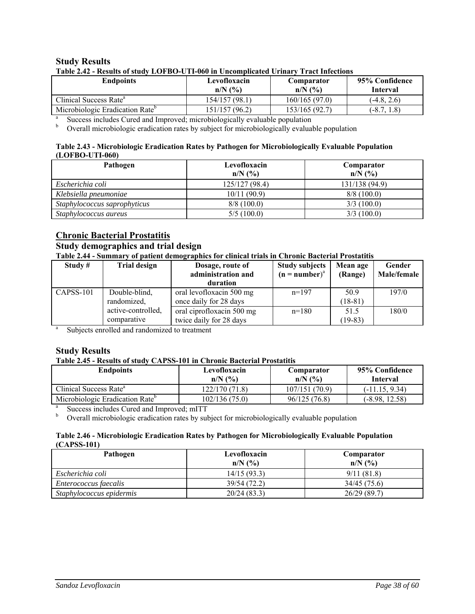#### **Study Results**

| <b>Endpoints</b>                                                            | Levofloxacin   | Comparator                       | 95% Confidence  |
|-----------------------------------------------------------------------------|----------------|----------------------------------|-----------------|
|                                                                             | $n/N$ (%)      | $n/N$ $\left(\frac{9}{6}\right)$ | <b>Interval</b> |
| Clinical Success Rate <sup>a</sup>                                          | 154/157 (98.1) | 160/165(97.0)                    | $(-4.8, 2.6)$   |
| Microbiologic Eradication Rate <sup>b</sup>                                 | 151/157(96.2)  | 153/165(92.7)                    | $(-8.7, 1.8)$   |
| Success includes Cured and Improved; microbiologically evaluable population |                |                                  |                 |

 $b$  Overall microbiologic eradication rates by subject for microbiologically evaluable population

#### **Table 2.43 - Microbiologic Eradication Rates by Pathogen for Microbiologically Evaluable Population (LOFBO-UTI-060)**

| Pathogen                     | Levofloxacin                     | Comparator     |
|------------------------------|----------------------------------|----------------|
|                              | $n/N$ $\left(\frac{9}{6}\right)$ | $n/N$ (%)      |
| Escherichia coli             | 125/127(98.4)                    | 131/138 (94.9) |
| Klebsiella pneumoniae        | 10/11(90.9)                      | 8/8(100.0)     |
| Staphylococcus saprophyticus | 8/8(100.0)                       | 3/3(100.0)     |
| Staphylococcus aureus        | 5/5(100.0)                       | 3/3(100.0)     |

#### **Chronic Bacterial Prostatitis**

# **Study demographics and trial design**

**Table 2.44 - Summary of patient demographics for clinical trials in Chronic Bacterial Prostatitis** 

| Study $#$                                     | <b>Trial design</b> | Dosage, route of          | <b>Study subjects</b> | Mean age  | Gender      |
|-----------------------------------------------|---------------------|---------------------------|-----------------------|-----------|-------------|
|                                               |                     | administration and        | $(n = number)^a$      | (Range)   | Male/female |
|                                               |                     | duration                  |                       |           |             |
| CAPSS-101                                     | Double-blind,       | oral levofloxacin 500 mg  | $n=197$               | 50.9      | 197/0       |
|                                               | randomized,         | once daily for 28 days    |                       | $(18-81)$ |             |
|                                               | active-controlled,  | oral ciprofloxacin 500 mg | $n=180$               | 51.5      | 180/0       |
|                                               | comparative         | twice daily for 28 days   |                       | $(19-83)$ |             |
| Subjects enrolled and randomized to treatment |                     |                           |                       |           |             |

Subjects enrolled and randomized to treatment

#### **Study Results**

#### **Table 2.45 - Results of study CAPSS-101 in Chronic Bacterial Prostatitis**

| <b>Endpoints</b>                            | Levofloxacin<br>$n/N$ $\left(\frac{9}{6}\right)$ | Comparator<br>$n/N$ $\left(\frac{9}{6}\right)$ | 95% Confidence<br><b>Interval</b> |
|---------------------------------------------|--------------------------------------------------|------------------------------------------------|-----------------------------------|
| Clinical Success Rate <sup>a</sup>          | 122/170(71.8)                                    | 107/151(70.9)                                  | $(-11.15, 9.34)$                  |
| Microbiologic Eradication Rate <sup>b</sup> | 102/136(75.0)                                    | 96/125 (76.8)                                  | $(-8.98, 12.58)$                  |
| Success includes Cured and Improved; mITT   |                                                  |                                                |                                   |

<sup>b</sup> Overall microbiologic eradication rates by subject for microbiologically evaluable population

#### **Table 2.46 - Microbiologic Eradication Rates by Pathogen for Microbiologically Evaluable Population (CAPSS-101)**

| Pathogen                 | Levofloxacin                     | Comparator                       |
|--------------------------|----------------------------------|----------------------------------|
|                          | $n/N$ $\left(\frac{9}{6}\right)$ | $n/N$ $\left(\frac{9}{6}\right)$ |
| Escherichia coli         | 14/15(93.3)                      | 9/11(81.8)                       |
| Enterococcus faecalis    | 39/54 (72.2)                     | 34/45 (75.6)                     |
| Staphylococcus epidermis | 20/24(83.3)                      | 26/29(89.7)                      |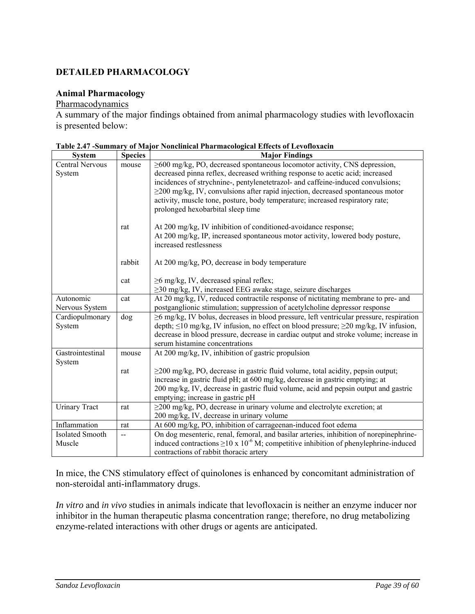# **DETAILED PHARMACOLOGY**

#### **Animal Pharmacology**

#### Pharmacodynamics

A summary of the major findings obtained from animal pharmacology studies with levofloxacin is presented below:

| <b>System</b>                    | <b>Species</b> | <b>Major Findings</b>                                                                                |
|----------------------------------|----------------|------------------------------------------------------------------------------------------------------|
| <b>Central Nervous</b>           | mouse          | $\geq$ 600 mg/kg, PO, decreased spontaneous locomotor activity, CNS depression,                      |
| System                           |                | decreased pinna reflex, decreased writhing response to acetic acid; increased                        |
|                                  |                | incidences of strychnine-, pentylenetetrazol- and caffeine-induced convulsions;                      |
|                                  |                | $\geq$ 200 mg/kg, IV, convulsions after rapid injection, decreased spontaneous motor                 |
|                                  |                | activity, muscle tone, posture, body temperature; increased respiratory rate;                        |
|                                  |                | prolonged hexobarbital sleep time                                                                    |
|                                  | rat            | At 200 mg/kg, IV inhibition of conditioned-avoidance response;                                       |
|                                  |                | At 200 mg/kg, IP, increased spontaneous motor activity, lowered body posture,                        |
|                                  |                | increased restlessness                                                                               |
|                                  | rabbit         | At 200 mg/kg, PO, decrease in body temperature                                                       |
|                                  |                |                                                                                                      |
|                                  | cat            | $\geq$ 6 mg/kg, IV, decreased spinal reflex;                                                         |
|                                  |                | $\geq$ 30 mg/kg, IV, increased EEG awake stage, seizure discharges                                   |
| Autonomic                        | cat            | At 20 mg/kg, IV, reduced contractile response of nictitating membrane to pre- and                    |
| Nervous System                   |                | postganglionic stimulation; suppression of acetylcholine depressor response                          |
| Cardiopulmonary                  | dog            | ≥6 mg/kg, IV bolus, decreases in blood pressure, left ventricular pressure, respiration              |
| System                           |                | depth; $\leq 10$ mg/kg, IV infusion, no effect on blood pressure; $\geq 20$ mg/kg, IV infusion,      |
|                                  |                | decrease in blood pressure, decrease in cardiac output and stroke volume; increase in                |
|                                  |                | serum histamine concentrations                                                                       |
| Gastrointestinal                 | mouse          | At 200 mg/kg, IV, inhibition of gastric propulsion                                                   |
| System                           |                |                                                                                                      |
|                                  | rat            | $\geq$ 200 mg/kg, PO, decrease in gastric fluid volume, total acidity, pepsin output;                |
|                                  |                | increase in gastric fluid pH; at 600 mg/kg, decrease in gastric emptying; at                         |
|                                  |                | 200 mg/kg, IV, decrease in gastric fluid volume, acid and pepsin output and gastric                  |
|                                  |                | emptying; increase in gastric pH                                                                     |
| <b>Urinary Tract</b>             | rat            | $\geq$ 200 mg/kg, PO, decrease in urinary volume and electrolyte excretion; at                       |
| Inflammation                     |                | 200 mg/kg, IV, decrease in urinary volume                                                            |
|                                  | rat            | At 600 mg/kg, PO, inhibition of carrageenan-induced foot edema                                       |
| <b>Isolated Smooth</b><br>Muscle | --             | On dog mesenteric, renal, femoral, and basilar arteries, inhibition of norepinephrine-               |
|                                  |                | induced contractions $\geq$ 10 x 10 <sup>-6</sup> M; competitive inhibition of phenylephrine-induced |
|                                  |                | contractions of rabbit thoracic artery                                                               |

| Table 2.47 -Summary of Major Nonclinical Pharmacological Effects of Levofloxacin |  |
|----------------------------------------------------------------------------------|--|
|----------------------------------------------------------------------------------|--|

In mice, the CNS stimulatory effect of quinolones is enhanced by concomitant administration of non-steroidal anti-inflammatory drugs.

*In vitro* and *in vivo* studies in animals indicate that levofloxacin is neither an enzyme inducer nor inhibitor in the human therapeutic plasma concentration range; therefore, no drug metabolizing enzyme-related interactions with other drugs or agents are anticipated.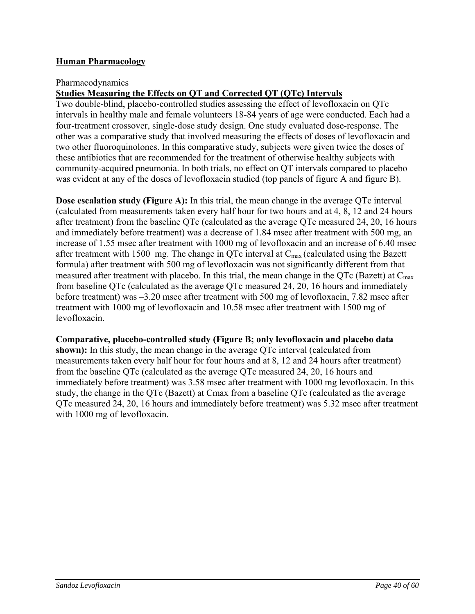# **Human Pharmacology**

#### Pharmacodynamics

# **Studies Measuring the Effects on QT and Corrected QT (QTc) Intervals**

Two double-blind, placebo-controlled studies assessing the effect of levofloxacin on QTc intervals in healthy male and female volunteers 18-84 years of age were conducted. Each had a four-treatment crossover, single-dose study design. One study evaluated dose-response. The other was a comparative study that involved measuring the effects of doses of levofloxacin and two other fluoroquinolones. In this comparative study, subjects were given twice the doses of these antibiotics that are recommended for the treatment of otherwise healthy subjects with community-acquired pneumonia. In both trials, no effect on QT intervals compared to placebo was evident at any of the doses of levofloxacin studied (top panels of figure A and figure B).

**Dose escalation study (Figure A):** In this trial, the mean change in the average QTc interval (calculated from measurements taken every half hour for two hours and at 4, 8, 12 and 24 hours after treatment) from the baseline QTc (calculated as the average QTc measured 24, 20, 16 hours and immediately before treatment) was a decrease of 1.84 msec after treatment with 500 mg, an increase of 1.55 msec after treatment with 1000 mg of levofloxacin and an increase of 6.40 msec after treatment with 1500 mg. The change in QTc interval at  $C_{\text{max}}$  (calculated using the Bazett formula) after treatment with 500 mg of levofloxacin was not significantly different from that measured after treatment with placebo. In this trial, the mean change in the QTc (Bazett) at  $C_{\text{max}}$ from baseline QTc (calculated as the average QTc measured 24, 20, 16 hours and immediately before treatment) was –3.20 msec after treatment with 500 mg of levofloxacin, 7.82 msec after treatment with 1000 mg of levofloxacin and 10.58 msec after treatment with 1500 mg of levofloxacin.

#### **Comparative, placebo-controlled study (Figure B; only levofloxacin and placebo data**

**shown):** In this study, the mean change in the average OTc interval (calculated from measurements taken every half hour for four hours and at 8, 12 and 24 hours after treatment) from the baseline QTc (calculated as the average QTc measured 24, 20, 16 hours and immediately before treatment) was 3.58 msec after treatment with 1000 mg levofloxacin. In this study, the change in the QTc (Bazett) at Cmax from a baseline QTc (calculated as the average QTc measured 24, 20, 16 hours and immediately before treatment) was 5.32 msec after treatment with 1000 mg of levofloxacin.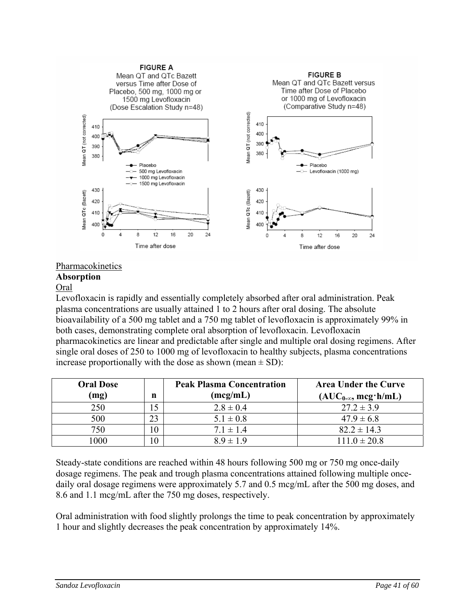

### Pharmacokinetics

#### **Absorption**

#### Oral

Levofloxacin is rapidly and essentially completely absorbed after oral administration. Peak plasma concentrations are usually attained 1 to 2 hours after oral dosing. The absolute bioavailability of a 500 mg tablet and a 750 mg tablet of levofloxacin is approximately 99% in both cases, demonstrating complete oral absorption of levofloxacin. Levofloxacin pharmacokinetics are linear and predictable after single and multiple oral dosing regimens. After single oral doses of 250 to 1000 mg of levofloxacin to healthy subjects, plasma concentrations increase proportionally with the dose as shown (mean  $\pm$  SD):

| <b>Oral Dose</b> |    | <b>Peak Plasma Concentration</b> | <b>Area Under the Curve</b>  |
|------------------|----|----------------------------------|------------------------------|
| (mg)             | n  | (mcg/mL)                         | $(AUC_{0-\infty}, mcg'h/mL)$ |
| 250              |    | $2.8 \pm 0.4$                    | $27.2 \pm 3.9$               |
| 500              | 23 | $5.1 \pm 0.8$                    | $47.9 \pm 6.8$               |
| 750              | 10 | $7.1 \pm 1.4$                    | $82.2 \pm 14.3$              |
| 000              | 10 | $8.9 \pm 1.9$                    | $111.0 \pm 20.8$             |

Steady-state conditions are reached within 48 hours following 500 mg or 750 mg once-daily dosage regimens. The peak and trough plasma concentrations attained following multiple oncedaily oral dosage regimens were approximately 5.7 and 0.5 mcg/mL after the 500 mg doses, and 8.6 and 1.1 mcg/mL after the 750 mg doses, respectively.

Oral administration with food slightly prolongs the time to peak concentration by approximately 1 hour and slightly decreases the peak concentration by approximately 14%.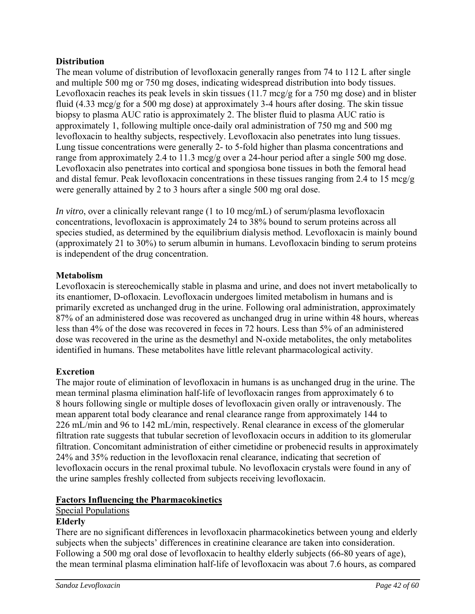# **Distribution**

The mean volume of distribution of levofloxacin generally ranges from 74 to 112 L after single and multiple 500 mg or 750 mg doses, indicating widespread distribution into body tissues. Levofloxacin reaches its peak levels in skin tissues (11.7 mcg/g for a 750 mg dose) and in blister fluid (4.33 mcg/g for a 500 mg dose) at approximately 3-4 hours after dosing. The skin tissue biopsy to plasma AUC ratio is approximately 2. The blister fluid to plasma AUC ratio is approximately 1, following multiple once-daily oral administration of 750 mg and 500 mg levofloxacin to healthy subjects, respectively. Levofloxacin also penetrates into lung tissues. Lung tissue concentrations were generally 2- to 5-fold higher than plasma concentrations and range from approximately 2.4 to 11.3 mcg/g over a 24-hour period after a single 500 mg dose. Levofloxacin also penetrates into cortical and spongiosa bone tissues in both the femoral head and distal femur. Peak levofloxacin concentrations in these tissues ranging from 2.4 to 15 mcg/g were generally attained by 2 to 3 hours after a single 500 mg oral dose.

*In vitro*, over a clinically relevant range (1 to 10 mcg/mL) of serum/plasma levofloxacin concentrations, levofloxacin is approximately 24 to 38% bound to serum proteins across all species studied, as determined by the equilibrium dialysis method. Levofloxacin is mainly bound (approximately 21 to 30%) to serum albumin in humans. Levofloxacin binding to serum proteins is independent of the drug concentration.

# **Metabolism**

Levofloxacin is stereochemically stable in plasma and urine, and does not invert metabolically to its enantiomer, D-ofloxacin. Levofloxacin undergoes limited metabolism in humans and is primarily excreted as unchanged drug in the urine. Following oral administration, approximately 87% of an administered dose was recovered as unchanged drug in urine within 48 hours, whereas less than 4% of the dose was recovered in feces in 72 hours. Less than 5% of an administered dose was recovered in the urine as the desmethyl and N-oxide metabolites, the only metabolites identified in humans. These metabolites have little relevant pharmacological activity.

## **Excretion**

The major route of elimination of levofloxacin in humans is as unchanged drug in the urine. The mean terminal plasma elimination half-life of levofloxacin ranges from approximately 6 to 8 hours following single or multiple doses of levofloxacin given orally or intravenously. The mean apparent total body clearance and renal clearance range from approximately 144 to 226 mL/min and 96 to 142 mL/min, respectively. Renal clearance in excess of the glomerular filtration rate suggests that tubular secretion of levofloxacin occurs in addition to its glomerular filtration. Concomitant administration of either cimetidine or probenecid results in approximately 24% and 35% reduction in the levofloxacin renal clearance, indicating that secretion of levofloxacin occurs in the renal proximal tubule. No levofloxacin crystals were found in any of the urine samples freshly collected from subjects receiving levofloxacin.

## **Factors Influencing the Pharmacokinetics**

# Special Populations

## **Elderly**

There are no significant differences in levofloxacin pharmacokinetics between young and elderly subjects when the subjects' differences in creatinine clearance are taken into consideration. Following a 500 mg oral dose of levofloxacin to healthy elderly subjects (66-80 years of age), the mean terminal plasma elimination half-life of levofloxacin was about 7.6 hours, as compared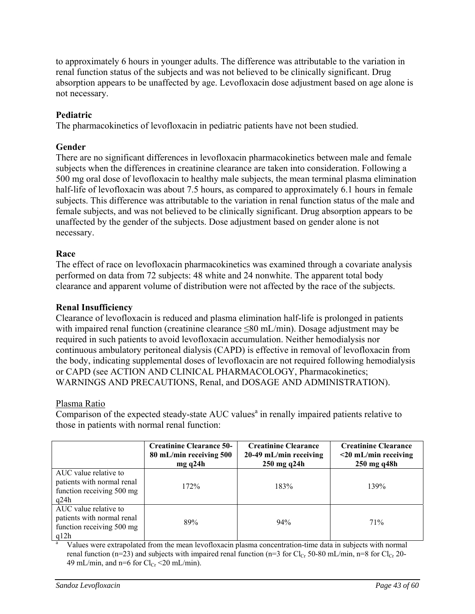to approximately 6 hours in younger adults. The difference was attributable to the variation in renal function status of the subjects and was not believed to be clinically significant. Drug absorption appears to be unaffected by age. Levofloxacin dose adjustment based on age alone is not necessary.

# **Pediatric**

The pharmacokinetics of levofloxacin in pediatric patients have not been studied.

# **Gender**

There are no significant differences in levofloxacin pharmacokinetics between male and female subjects when the differences in creatinine clearance are taken into consideration. Following a 500 mg oral dose of levofloxacin to healthy male subjects, the mean terminal plasma elimination half-life of levofloxacin was about 7.5 hours, as compared to approximately 6.1 hours in female subjects. This difference was attributable to the variation in renal function status of the male and female subjects, and was not believed to be clinically significant. Drug absorption appears to be unaffected by the gender of the subjects. Dose adjustment based on gender alone is not necessary.

# **Race**

The effect of race on levofloxacin pharmacokinetics was examined through a covariate analysis performed on data from 72 subjects: 48 white and 24 nonwhite. The apparent total body clearance and apparent volume of distribution were not affected by the race of the subjects.

## **Renal Insufficiency**

Clearance of levofloxacin is reduced and plasma elimination half-life is prolonged in patients with impaired renal function (creatinine clearance ≤80 mL/min). Dosage adjustment may be required in such patients to avoid levofloxacin accumulation. Neither hemodialysis nor continuous ambulatory peritoneal dialysis (CAPD) is effective in removal of levofloxacin from the body, indicating supplemental doses of levofloxacin are not required following hemodialysis or CAPD (see ACTION AND CLINICAL PHARMACOLOGY, Pharmacokinetics; WARNINGS AND PRECAUTIONS, Renal, and DOSAGE AND ADMINISTRATION).

## Plasma Ratio

 $\overline{Comparison}$  of the expected steady-state  $AUC$  values<sup>a</sup> in renally impaired patients relative to those in patients with normal renal function:

|                                                                                          | <b>Creatinine Clearance 50-</b><br>80 mL/min receiving 500<br>mgq24h | <b>Creatinine Clearance</b><br>20-49 mL/min receiving<br>250 mg q24h | <b>Creatinine Clearance</b><br>$<$ 20 mL/min receiving<br>250 mg q48h |
|------------------------------------------------------------------------------------------|----------------------------------------------------------------------|----------------------------------------------------------------------|-----------------------------------------------------------------------|
| AUC value relative to<br>patients with normal renal<br>function receiving 500 mg<br>q24h | 172%                                                                 | 183%                                                                 | 139%                                                                  |
| AUC value relative to<br>patients with normal renal<br>function receiving 500 mg<br>q12h | 89%                                                                  | 94%                                                                  | 71%                                                                   |

a Values were extrapolated from the mean levofloxacin plasma concentration-time data in subjects with normal renal function (n=23) and subjects with impaired renal function (n=3 for Cl<sub>Cr</sub> 50-80 mL/min, n=8 for Cl<sub>Cr</sub> 20-49 mL/min, and n=6 for  $Cl_{Cr}$  <20 mL/min).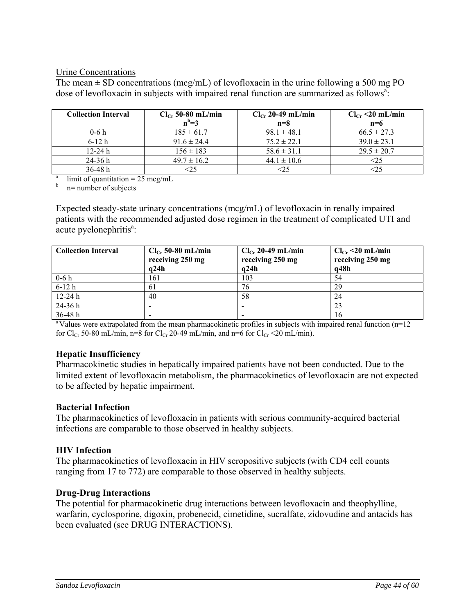#### Urine Concentrations

The mean  $\pm$  SD concentrations (mcg/mL) of levofloxacin in the urine following a 500 mg PO dose of levofloxacin in subjects with impaired renal function are summarized as follows<sup>a</sup>:

| <b>Collection Interval</b>                       | $Cl_{Cr}$ 50-80 mL/min | $Cl_{Cr}$ 20-49 mL/min | $Cl_{Cr}$ <20 mL/min |
|--------------------------------------------------|------------------------|------------------------|----------------------|
|                                                  | $n^b=3$                | $n=8$                  | $n=6$                |
| $0-6h$                                           | $185 \pm 61.7$         | $98.1 \pm 48.1$        | $66.5 \pm 27.3$      |
| $6-12h$                                          | $91.6 \pm 24.4$        | $75.2 \pm 22.1$        | $39.0 \pm 23.1$      |
| $12 - 24 h$                                      | $156 \pm 183$          | $58.6 \pm 31.1$        | $29.5 \pm 20.7$      |
| $24-36h$                                         | $49.7 \pm 16.2$        | $44.1 \pm 10.6$        | <25                  |
| $36-48h$                                         | $<$ 25                 | $<$ 25                 |                      |
| a<br>limit of quantitation = $25 \text{~mag/mL}$ |                        |                        |                      |

b n= number of subjects

Expected steady-state urinary concentrations (mcg/mL) of levofloxacin in renally impaired patients with the recommended adjusted dose regimen in the treatment of complicated UTI and acute pyelonephritis<sup>a</sup>:

| <b>Collection Interval</b> | $Cl_{Cr}$ 50-80 mL/min<br>receiving 250 mg<br>q24h | $Cl_{Cr}$ 20-49 mL/min<br>receiving 250 mg<br>q24h | $Cl_{Cr}$ <20 mL/min<br>receiving 250 mg<br>q48h |
|----------------------------|----------------------------------------------------|----------------------------------------------------|--------------------------------------------------|
| $0-6h$                     | 161                                                | 103                                                | 54                                               |
| $6-12h$                    | 61                                                 | 76                                                 | 29                                               |
| $12 - 24 h$                | 40                                                 | 58                                                 | 24                                               |
| 24-36 h                    |                                                    |                                                    | 23                                               |
| $36-48h$                   |                                                    | $\overline{\phantom{0}}$                           | 16                                               |

<sup>a</sup> Values were extrapolated from the mean pharmacokinetic profiles in subjects with impaired renal function (n=12 for Cl<sub>Cr</sub> 50-80 mL/min, n=8 for Cl<sub>Cr</sub> 20-49 mL/min, and n=6 for Cl<sub>Cr</sub> <20 mL/min).

## **Hepatic Insufficiency**

Pharmacokinetic studies in hepatically impaired patients have not been conducted. Due to the limited extent of levofloxacin metabolism, the pharmacokinetics of levofloxacin are not expected to be affected by hepatic impairment.

#### **Bacterial Infection**

The pharmacokinetics of levofloxacin in patients with serious community-acquired bacterial infections are comparable to those observed in healthy subjects.

#### **HIV Infection**

The pharmacokinetics of levofloxacin in HIV seropositive subjects (with CD4 cell counts ranging from 17 to 772) are comparable to those observed in healthy subjects.

#### **Drug-Drug Interactions**

The potential for pharmacokinetic drug interactions between levofloxacin and theophylline, warfarin, cyclosporine, digoxin, probenecid, cimetidine, sucralfate, zidovudine and antacids has been evaluated (see DRUG INTERACTIONS).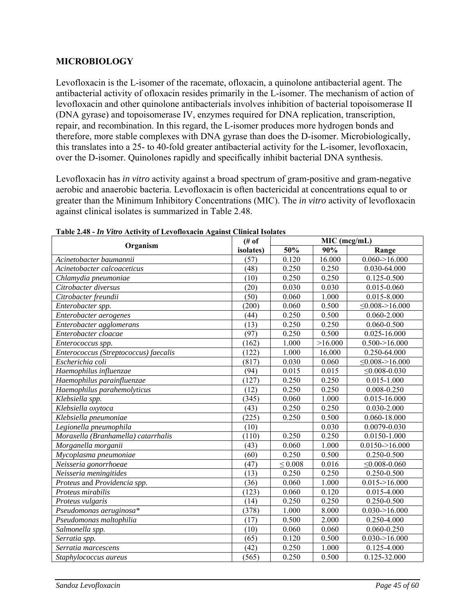# **MICROBIOLOGY**

Levofloxacin is the L-isomer of the racemate, ofloxacin, a quinolone antibacterial agent. The antibacterial activity of ofloxacin resides primarily in the L-isomer. The mechanism of action of levofloxacin and other quinolone antibacterials involves inhibition of bacterial topoisomerase II (DNA gyrase) and topoisomerase IV, enzymes required for DNA replication, transcription, repair, and recombination. In this regard, the L-isomer produces more hydrogen bonds and therefore, more stable complexes with DNA gyrase than does the D-isomer. Microbiologically, this translates into a 25- to 40-fold greater antibacterial activity for the L-isomer, levofloxacin, over the D-isomer. Quinolones rapidly and specifically inhibit bacterial DNA synthesis.

Levofloxacin has *in vitro* activity against a broad spectrum of gram-positive and gram-negative aerobic and anaerobic bacteria. Levofloxacin is often bactericidal at concentrations equal to or greater than the Minimum Inhibitory Concentrations (MIC). The *in vitro* activity of levofloxacin against clinical isolates is summarized in Table 2.48.

|                                       | (# of)    | MIC (mcg/mL) |                    |                             |
|---------------------------------------|-----------|--------------|--------------------|-----------------------------|
| Organism                              | isolates) | 50%          | 90%                | Range                       |
| Acinetobacter baumannii               | (57)      | 0.120        | 16.000             | $0.060 \rightarrow 16.000$  |
| Acinetobacter calcoaceticus           | (48)      | 0.250        | 0.250              | 0.030-64.000                |
| Chlamydia pneumoniae                  | (10)      | 0.250        | 0.250              | $0.125 - 0.500$             |
| Citrobacter diversus                  | (20)      | 0.030        | 0.030              | 0.015-0.060                 |
| Citrobacter freundii                  | (50)      | 0.060        | 1.000              | $0.015 - 8.000$             |
| Enterobacter spp.                     | (200)     | 0.060        | 0.500              | $\leq 0.008 > 16.000$       |
| Enterobacter aerogenes                | (44)      | 0.250        | 0.500              | $0.060 - 2.000$             |
| Enterobacter agglomerans              | (13)      | 0.250        | 0.250              | $0.060 - 0.500$             |
| Enterobacter cloacae                  | (97)      | 0.250        | 0.500              | 0.025-16.000                |
| Enterococcus spp.                     | (162)     | 1.000        | >16.000            | $0.500 \rightarrow 16.000$  |
| Enterococcus (Streptococcus) faecalis | (122)     | 1.000        | 16.000             | 0.250-64.000                |
| Escherichia coli                      | (817)     | 0.030        | 0.060              | $\leq 0.008 - 16.000$       |
| Haemophilus influenzae                | (94)      | 0.015        | 0.015              | $\leq 0.008 - 0.030$        |
| Haemophilus parainfluenzae            | (127)     | 0.250        | 0.250              | $0.015 - 1.000$             |
| Haemophilus parahemolyticus           | (12)      | 0.250        | 0.250              | $0.008 - 0.250$             |
| Klebsiella spp.                       | (345)     | 0.060        | 1.000              | 0.015-16.000                |
| Klebsiella oxytoca                    | (43)      | 0.250        | 0.250              | 0.030-2.000                 |
| Klebsiella pneumoniae                 | (225)     | 0.250        | 0.500              | 0.060-18.000                |
| Legionella pneumophila                | (10)      |              | 0.030              | 0.0079-0.030                |
| Moraxella (Branhamella) catarrhalis   | (110)     | 0.250        | 0.250              | 0.0150-1.000                |
| Morganella morganii                   | (43)      | 0.060        | 1.000              | $0.0150 \rightarrow 16.000$ |
| Mycoplasma pneumoniae                 | (60)      | 0.250        | 0.500              | 0.250-0.500                 |
| Neisseria gonorrhoeae                 | (47)      | $\leq 0.008$ | 0.016              | $\leq 0.008 - 0.060$        |
| Neisseria meningitides                | (13)      | 0.250        | 0.250              | 0.250-0.500                 |
| Proteus and Providencia spp.          | (36)      | 0.060        | 1.000              | $0.015 - 16.000$            |
| Proteus mirabilis                     | (123)     | 0.060        | 0.120              | 0.015-4.000                 |
| Proteus vulgaris                      | (14)      | 0.250        | 0.250              | 0.250-0.500                 |
| Pseudomonas aeruginosa*               | (378)     | 1.000        | $\overline{8.000}$ | $0.030 - 16.000$            |
| Pseudomonas maltophilia               | (17)      | 0.500        | 2.000              | 0.250-4.000                 |
| Salmonella spp.                       | (10)      | 0.060        | 0.060              | $0.060 - 0.250$             |
| Serratia spp.                         | (65)      | 0.120        | 0.500              | $0.030 - 16.000$            |
| Serratia marcescens                   | (42)      | 0.250        | 1.000              | 0.125-4.000                 |
| Staphylococcus aureus                 | (565)     | 0.250        | 0.500              | 0.125-32.000                |

|--|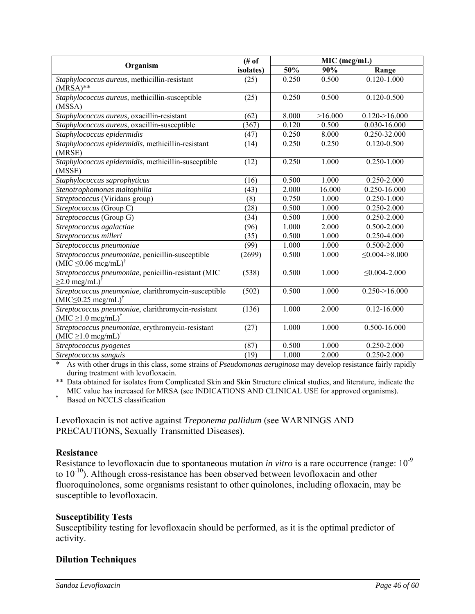|                                                                                                    | (# of)    |       | MIC (mcg/mL) |                      |
|----------------------------------------------------------------------------------------------------|-----------|-------|--------------|----------------------|
| Organism                                                                                           | isolates) | 50%   | 90%          | Range                |
| Staphylococcus aureus, methicillin-resistant<br>$(MRSA)**$                                         | (25)      | 0.250 | 0.500        | $0.120 - 1.000$      |
| Staphylococcus aureus, methicillin-susceptible<br>(MSSA)                                           | (25)      | 0.250 | 0.500        | $0.120 - 0.500$      |
| Staphylococcus aureus, oxacillin-resistant                                                         | (62)      | 8.000 | >16.000      | $0.120 - 16.000$     |
| Staphylococcus aureus, oxacillin-susceptible                                                       | (367)     | 0.120 | 0.500        | 0.030-16.000         |
| Staphylococcus epidermidis                                                                         | (47)      | 0.250 | 8.000        | 0.250-32.000         |
| Staphylococcus epidermidis, methicillin-resistant<br>(MRSE)                                        | (14)      | 0.250 | 0.250        | $0.120 - 0.500$      |
| Staphylococcus epidermidis, methicillin-susceptible<br>(MSSE)                                      | (12)      | 0.250 | 1.000        | 0.250-1.000          |
| Staphylococcus saprophyticus                                                                       | (16)      | 0.500 | 1.000        | 0.250-2.000          |
| Stenotrophomonas maltophilia                                                                       | (43)      | 2.000 | 16.000       | 0.250-16.000         |
| Streptococcus (Viridans group)                                                                     | (8)       | 0.750 | 1.000        | 0.250-1.000          |
| Streptococcus (Group C)                                                                            | (28)      | 0.500 | 1.000        | 0.250-2.000          |
| Streptococcus (Group G)                                                                            | (34)      | 0.500 | 1.000        | 0.250-2.000          |
| Streptococcus agalactiae                                                                           | (96)      | 1.000 | 2.000        | 0.500-2.000          |
| Streptococcus milleri                                                                              | (35)      | 0.500 | 1.000        | 0.250-4.000          |
| Streptococcus pneumoniae                                                                           | (99)      | 1.000 | 1.000        | 0.500-2.000          |
| Streptococcus pneumoniae, penicillin-susceptible<br>$(MIC \leq 0.06 \text{ meg/mL})^{\dagger}$     | (2699)    | 0.500 | 1.000        | $\leq 0.004 - 8.000$ |
| Streptococcus pneumoniae, penicillin-resistant (MIC<br>$\geq$ 2.0 mcg/mL) <sup>†</sup>             | (538)     | 0.500 | 1.000        | $\leq 0.004 - 2.000$ |
| Streptococcus pneumoniae, clarithromycin-susceptible<br>$(MIC \leq 0.25 \text{ meg/mL})^{\dagger}$ | (502)     | 0.500 | 1.000        | $0.250 - 16.000$     |
| Streptococcus pneumoniae, clarithromycin-resistant<br>$(MIC \ge 1.0$ mcg/mL) <sup>†</sup>          | (136)     | 1.000 | 2.000        | $0.12 - 16.000$      |
| Streptococcus pneumoniae, erythromycin-resistant<br>$(MIC \geq 1.0$ mcg/mL) <sup>†</sup>           | (27)      | 1.000 | 1.000        | 0.500-16.000         |
| Streptococcus pyogenes                                                                             | (87)      | 0.500 | 1.000        | 0.250-2.000          |
| Streptococcus sanguis                                                                              | (19)      | 1.000 | 2.000        | 0.250-2.000          |

\* As with other drugs in this class, some strains of *Pseudomonas aeruginosa* may develop resistance fairly rapidly during treatment with levofloxacin.

\*\* Data obtained for isolates from Complicated Skin and Skin Structure clinical studies, and literature, indicate the MIC value has increased for MRSA (see INDICATIONS AND CLINICAL USE for approved organisms).

† Based on NCCLS classification

Levofloxacin is not active against *Treponema pallidum* (see WARNINGS AND PRECAUTIONS, Sexually Transmitted Diseases).

#### **Resistance**

Resistance to levofloxacin due to spontaneous mutation *in vitro* is a rare occurrence (range: 10<sup>-9</sup> to  $10^{-10}$ ). Although cross-resistance has been observed between levofloxacin and other fluoroquinolones, some organisms resistant to other quinolones, including ofloxacin, may be susceptible to levofloxacin.

#### **Susceptibility Tests**

Susceptibility testing for levofloxacin should be performed, as it is the optimal predictor of activity.

## **Dilution Techniques**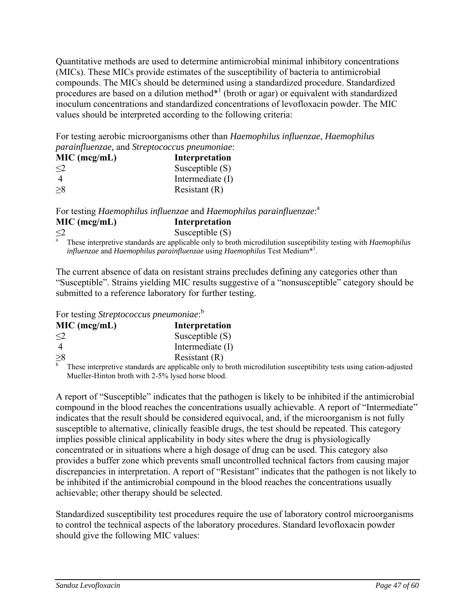Quantitative methods are used to determine antimicrobial minimal inhibitory concentrations (MICs). These MICs provide estimates of the susceptibility of bacteria to antimicrobial compounds. The MICs should be determined using a standardized procedure. Standardized procedures are based on a dilution method $*$ <sup>1</sup> (broth or agar) or equivalent with standardized inoculum concentrations and standardized concentrations of levofloxacin powder. The MIC values should be interpreted according to the following criteria:

For testing aerobic microorganisms other than *Haemophilus influenzae*, *Haemophilus parainfluenzae,* and *Streptococcus pneumoniae*:

| MIC (mcg/mL) | Interpretation    |
|--------------|-------------------|
| $\leq$ 2     | Susceptible $(S)$ |
|              | Intermediate (I)  |
| $\geq 8$     | Resistant $(R)$   |

For testing *Haemophilus influenzae* and *Haemophilus parainfluenzae*: a **MIC (mcg/mL) Interpretation**  Susceptible  $(S)$  $\leq 2$ 

 These interpretive standards are applicable only to broth microdilution susceptibility testing with *Haemophilus influenzae* and *Haemophilus parainfluenzae* using *Haemophilus* Test Medium\*1 .

The current absence of data on resistant strains precludes defining any categories other than "Susceptible". Strains yielding MIC results suggestive of a "nonsusceptible" category should be submitted to a reference laboratory for further testing.

For testing *Streptococcus pneumoniae*: b

| MIC (mcg/mL) | Interpretation    |
|--------------|-------------------|
| $\leq$ 2     | Susceptible $(S)$ |
|              | Intermediate (I)  |
| $\geq 8$     | Resistant $(R)$   |
|              |                   |

b These interpretive standards are applicable only to broth microdilution susceptibility tests using cation-adjusted Mueller-Hinton broth with 2-5% lysed horse blood.

A report of "Susceptible" indicates that the pathogen is likely to be inhibited if the antimicrobial compound in the blood reaches the concentrations usually achievable. A report of "Intermediate" indicates that the result should be considered equivocal, and, if the microorganism is not fully susceptible to alternative, clinically feasible drugs, the test should be repeated. This category implies possible clinical applicability in body sites where the drug is physiologically concentrated or in situations where a high dosage of drug can be used. This category also provides a buffer zone which prevents small uncontrolled technical factors from causing major discrepancies in interpretation. A report of "Resistant" indicates that the pathogen is not likely to be inhibited if the antimicrobial compound in the blood reaches the concentrations usually achievable; other therapy should be selected.

Standardized susceptibility test procedures require the use of laboratory control microorganisms to control the technical aspects of the laboratory procedures. Standard levofloxacin powder should give the following MIC values: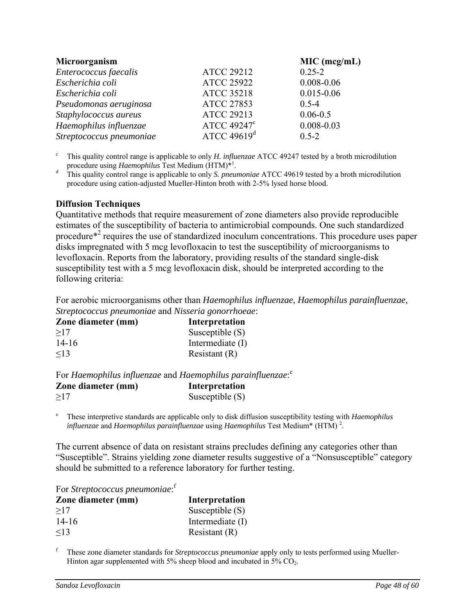| Microorganism            |                         | MIC (mcg/mL)   |
|--------------------------|-------------------------|----------------|
| Enterococcus faecalis    | <b>ATCC 29212</b>       | $0.25 - 2$     |
| Escherichia coli         | <b>ATCC 25922</b>       | $0.008 - 0.06$ |
| Escherichia coli         | <b>ATCC 35218</b>       | $0.015 - 0.06$ |
| Pseudomonas aeruginosa   | <b>ATCC 27853</b>       | $0.5 - 4$      |
| Staphylococcus aureus    | <b>ATCC 29213</b>       | $0.06 - 0.5$   |
| Haemophilus influenzae   | ATCC 49247 <sup>c</sup> | $0.008 - 0.03$ |
| Streptococcus pneumoniae | ATCC $49619d$           | $0.5 - 2$      |

c This quality control range is applicable to only *H. influenzae* ATCC 49247 tested by a broth microdilution procedure using *Haemophilus* Test Medium (HTM)\*1

. d This quality control range is applicable to only *S. pneumoniae* ATCC 49619 tested by a broth microdilution procedure using cation-adjusted Mueller-Hinton broth with 2-5% lysed horse blood.

#### **Diffusion Techniques**

Quantitative methods that require measurement of zone diameters also provide reproducible estimates of the susceptibility of bacteria to antimicrobial compounds. One such standardized procedure<sup>\*2</sup> requires the use of standardized inoculum concentrations. This procedure uses paper disks impregnated with 5 mcg levofloxacin to test the susceptibility of microorganisms to levofloxacin. Reports from the laboratory, providing results of the standard single-disk susceptibility test with a 5 mcg levofloxacin disk, should be interpreted according to the following criteria:

For aerobic microorganisms other than *Haemophilus influenzae*, *Haemophilus parainfluenzae, Streptococcus pneumoniae* and *Nisseria gonorrhoeae*:

| Zone diameter (mm) | Interpretation    |
|--------------------|-------------------|
| >17                | Susceptible $(S)$ |
| $14 - 16$          | Intermediate (I)  |
| $\leq$ 13          | Resistant $(R)$   |

For *Haemophilus influenzae* and *Haemophilus parainfluenzae*: e

| Zone diameter (mm) | Interpretation    |  |  |
|--------------------|-------------------|--|--|
| $\geq$ 17          | Susceptible $(S)$ |  |  |

e These interpretive standards are applicable only to disk diffusion susceptibility testing with *Haemophilus influenzae* and *Haemophilus parainfluenzae* using *Haemophilus* Test Medium\* (HTM) <sup>2</sup> .

The current absence of data on resistant strains precludes defining any categories other than "Susceptible". Strains yielding zone diameter results suggestive of a "Nonsusceptible" category should be submitted to a reference laboratory for further testing.

For *Streptococcus pneumoniae*: f

| Zone diameter (mm) | Interpretation    |
|--------------------|-------------------|
| >17                | Susceptible $(S)$ |
| $14 - 16$          | Intermediate (I)  |
| $\leq$ 13          | Resistant $(R)$   |

f These zone diameter standards for *Streptococcus pneumoniae* apply only to tests performed using Mueller-Hinton agar supplemented with  $5\%$  sheep blood and incubated in  $5\%$  CO<sub>2</sub>.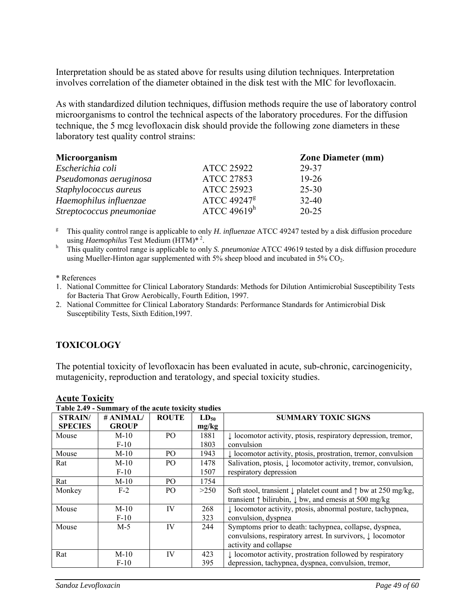Interpretation should be as stated above for results using dilution techniques. Interpretation involves correlation of the diameter obtained in the disk test with the MIC for levofloxacin.

As with standardized dilution techniques, diffusion methods require the use of laboratory control microorganisms to control the technical aspects of the laboratory procedures. For the diffusion technique, the 5 mcg levofloxacin disk should provide the following zone diameters in these laboratory test quality control strains:

| Microorganism            |                         | <b>Zone Diameter (mm)</b> |
|--------------------------|-------------------------|---------------------------|
| Escherichia coli         | <b>ATCC 25922</b>       | 29-37                     |
| Pseudomonas aeruginosa   | <b>ATCC 27853</b>       | $19 - 26$                 |
| Staphylococcus aureus    | <b>ATCC 25923</b>       | $25 - 30$                 |
| Haemophilus influenzae   | ATCC 49247 <sup>g</sup> | $32 - 40$                 |
| Streptococcus pneumoniae | ATCC 49619 $^{\rm h}$   | $20 - 25$                 |

<sup>g</sup> This quality control range is applicable to only *H. influenzae* ATCC 49247 tested by a disk diffusion procedure using *Haemophilus* Test Medium (HTM)<sup>\* 2</sup>.<br>
<sup>h</sup> This quality control range is applicable to only *S. pneumoniae* ATCC 49619 tested by a disk diffusion procedure

using Mueller-Hinton agar supplemented with  $5\%$  sheep blood and incubated in  $5\%$  CO<sub>2</sub>.

\* References

1. National Committee for Clinical Laboratory Standards: Methods for Dilution Antimicrobial Susceptibility Tests for Bacteria That Grow Aerobically, Fourth Edition, 1997.

2. National Committee for Clinical Laboratory Standards: Performance Standards for Antimicrobial Disk Susceptibility Tests, Sixth Edition,1997.

## **TOXICOLOGY**

The potential toxicity of levofloxacin has been evaluated in acute, sub-chronic, carcinogenicity, mutagenicity, reproduction and teratology, and special toxicity studies.

| Table 2.49 - Summary of the acute toxicity studies |              |                |           |                                                                                   |
|----------------------------------------------------|--------------|----------------|-----------|-----------------------------------------------------------------------------------|
| <b>STRAIN/</b>                                     | # ANIMAL/    | <b>ROUTE</b>   | $LD_{50}$ | <b>SUMMARY TOXIC SIGNS</b>                                                        |
| <b>SPECIES</b>                                     | <b>GROUP</b> |                | mg/kg     |                                                                                   |
| Mouse                                              | $M-10$       | P <sub>O</sub> | 1881      | $\downarrow$ locomotor activity, ptosis, respiratory depression, tremor,          |
|                                                    | $F-10$       |                | 1803      | convulsion                                                                        |
| Mouse                                              | $M-10$       | PO.            | 1943      | $\downarrow$ locomotor activity, ptosis, prostration, tremor, convulsion          |
| Rat                                                | $M-10$       | P <sub>O</sub> | 1478      | Salivation, ptosis, ↓ locomotor activity, tremor, convulsion,                     |
|                                                    | $F-10$       |                | 1507      | respiratory depression                                                            |
| Rat                                                | $M-10$       | PO.            | 1754      |                                                                                   |
| Monkey                                             | $F-2$        | P <sub>O</sub> | >250      | Soft stool, transient $\downarrow$ platelet count and $\uparrow$ bw at 250 mg/kg, |
|                                                    |              |                |           | transient $\uparrow$ bilirubin, $\downarrow$ bw, and emess at 500 mg/kg           |
| Mouse                                              | $M-10$       | IV             | 268       | I locomotor activity, ptosis, abnormal posture, tachypnea,                        |
|                                                    | $F-10$       |                | 323       | convulsion, dyspnea                                                               |
| Mouse                                              | $M-5$        | IV             | 244       | Symptoms prior to death: tachypnea, collapse, dyspnea,                            |
|                                                    |              |                |           | convulsions, respiratory arrest. In survivors, $\downarrow$ locomotor             |
|                                                    |              |                |           | activity and collapse                                                             |
| Rat                                                | $M-10$       | IV             | 423       | $\downarrow$ locomotor activity, prostration followed by respiratory              |
|                                                    | $F-10$       |                | 395       | depression, tachypnea, dyspnea, convulsion, tremor,                               |

#### **Acute Toxicity**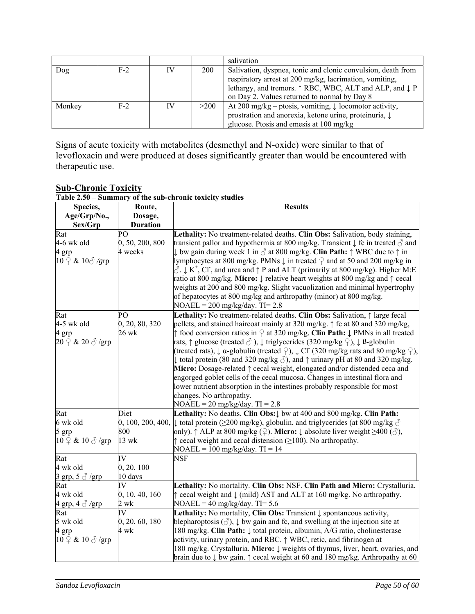|        |       |    |            | salivation                                                                                                                                                                                                                         |
|--------|-------|----|------------|------------------------------------------------------------------------------------------------------------------------------------------------------------------------------------------------------------------------------------|
| Dog    | $F-2$ | IV | <b>200</b> | Salivation, dyspnea, tonic and clonic convulsion, death from<br>respiratory arrest at 200 mg/kg, lacrimation, vomiting,<br>lethargy, and tremors. ↑ RBC, WBC, ALT and ALP, and ↓ P<br>on Day 2. Values returned to normal by Day 8 |
| Monkey | $F-2$ | IV | >200       | At 200 mg/kg – ptosis, vomiting, $\downarrow$ locomotor activity,<br>prostration and anorexia, ketone urine, proteinuria, $\downarrow$<br>glucose. Ptosis and emesis at 100 mg/kg                                                  |

Signs of acute toxicity with metabolites (desmethyl and N-oxide) were similar to that of levofloxacin and were produced at doses significantly greater than would be encountered with therapeutic use.

#### **Sub-Chronic Toxicity Table 2.50 – Summary of the sub-chronic toxicity studies**

| Species,                                     | Route,               | <b>Results</b>                                                                                                                                                                                                                                                                                                                                                                                                                                                                                                         |
|----------------------------------------------|----------------------|------------------------------------------------------------------------------------------------------------------------------------------------------------------------------------------------------------------------------------------------------------------------------------------------------------------------------------------------------------------------------------------------------------------------------------------------------------------------------------------------------------------------|
| Age/Grp/No.,                                 | Dosage,              |                                                                                                                                                                                                                                                                                                                                                                                                                                                                                                                        |
| Sex/Grp                                      | <b>Duration</b>      |                                                                                                                                                                                                                                                                                                                                                                                                                                                                                                                        |
| Rat                                          | PO                   | Lethality: No treatment-related deaths. Clin Obs: Salivation, body staining,                                                                                                                                                                                                                                                                                                                                                                                                                                           |
| 4-6 wk old                                   | 0, 50, 200, 800      | transient pallor and hypothermia at 800 mg/kg. Transient $\downarrow$ fc in treated $\sigma$ and                                                                                                                                                                                                                                                                                                                                                                                                                       |
| 4 grp                                        | 4 weeks              | $\downarrow$ bw gain during week 1 in $\delta$ at 800 mg/kg. Clin Path: $\uparrow$ WBC due to $\uparrow$ in                                                                                                                                                                                                                                                                                                                                                                                                            |
| $10 \nvert\text{2} \& 10 \text{eV}$ /grp     |                      | llymphocytes at 800 mg/kg. PMNs $\downarrow$ in treated $\frac{1}{2}$ and at 50 and 200 mg/kg in<br>$\circlearrowleft$ . $\downarrow$ K <sup>+</sup> , Cl <sup>-</sup> , and urea and $\uparrow$ P and ALT (primarily at 800 mg/kg). Higher M:E<br>ratio at 800 mg/kg. Micro: ↓ relative heart weights at 800 mg/kg and ↑ cecal<br>weights at 200 and 800 mg/kg. Slight vacuolization and minimal hypertrophy<br>of hepatocytes at 800 mg/kg and arthropathy (minor) at 800 mg/kg.<br>$NOAEL = 200$ mg/kg/day. TI= 2.8 |
| Rat                                          | PO                   | Lethality: No treatment-related deaths. Clin Obs: Salivation, $\uparrow$ large fecal                                                                                                                                                                                                                                                                                                                                                                                                                                   |
| 4-5 wk old                                   | 0, 20, 80, 320       | pellets, and stained haircoat mainly at 320 mg/kg. $\uparrow$ fc at 80 and 320 mg/kg,                                                                                                                                                                                                                                                                                                                                                                                                                                  |
| 4 grp                                        | 26 wk                | $\uparrow$ food conversion ratios in $\varphi$ at 320 mg/kg. Clin Path: $\downarrow$ PMNs in all treated                                                                                                                                                                                                                                                                                                                                                                                                               |
| $20 \nvert\Omega$ & $20 \nvert\partial$ /grp |                      | rats, $\uparrow$ glucose (treated $\circlearrowleft$ ), $\downarrow$ triglycerides (320 mg/kg $\circledcirc$ ), $\downarrow$ ß-globulin                                                                                                                                                                                                                                                                                                                                                                                |
|                                              |                      | (treated rats), $\downarrow$ $\alpha$ -globulin (treated $\circled{2}$ ), $\downarrow$ Cl <sup>-</sup> (320 mg/kg rats and 80 mg/kg $\circled{2}$ ),                                                                                                                                                                                                                                                                                                                                                                   |
|                                              |                      | $\downarrow$ total protein (80 and 320 mg/kg $\Diamond$ ), and $\uparrow$ urinary pH at 80 and 320 mg/kg.                                                                                                                                                                                                                                                                                                                                                                                                              |
|                                              |                      | Micro: Dosage-related $\uparrow$ cecal weight, elongated and/or distended ceca and                                                                                                                                                                                                                                                                                                                                                                                                                                     |
|                                              |                      | engorged goblet cells of the cecal mucosa. Changes in intestinal flora and                                                                                                                                                                                                                                                                                                                                                                                                                                             |
|                                              |                      | lower nutrient absorption in the intestines probably responsible for most                                                                                                                                                                                                                                                                                                                                                                                                                                              |
|                                              |                      | changes. No arthropathy.                                                                                                                                                                                                                                                                                                                                                                                                                                                                                               |
|                                              |                      | $NOAEL = 20$ mg/kg/day. TI = 2.8                                                                                                                                                                                                                                                                                                                                                                                                                                                                                       |
| Rat                                          | Diet                 | Lethality: No deaths. Clin Obs: $\downarrow$ bw at 400 and 800 mg/kg. Clin Path:                                                                                                                                                                                                                                                                                                                                                                                                                                       |
| 6 wk old                                     |                      | 0, 100, 200, 400, $\downarrow$ total protein ( $\geq$ 200 mg/kg), globulin, and triglycerides (at 800 mg/kg $\circ$                                                                                                                                                                                                                                                                                                                                                                                                    |
| 5 grp                                        | 800                  | only). $\uparrow$ ALP at 800 mg/kg ( $\circ$ ). Micro: $\downarrow$ absolute liver weight $\geq$ 400 ( $\circ$ ),                                                                                                                                                                                                                                                                                                                                                                                                      |
| $10 \nsubseteq \& 10 \nless \neg \text{grp}$ | $13$ wk              | $\uparrow$ cecal weight and cecal distension ( $\geq$ 100). No arthropathy.                                                                                                                                                                                                                                                                                                                                                                                                                                            |
|                                              |                      | $NOAEL = 100$ mg/kg/day. $TI = 14$                                                                                                                                                                                                                                                                                                                                                                                                                                                                                     |
| Rat                                          | IV                   | $\overline{\text{NSF}}$                                                                                                                                                                                                                                                                                                                                                                                                                                                                                                |
| 4 wk old                                     | 0, 20, 100           |                                                                                                                                                                                                                                                                                                                                                                                                                                                                                                                        |
| 3 grp, $5 \text{ } \textcircled{3}$ /grp     | 10 days              |                                                                                                                                                                                                                                                                                                                                                                                                                                                                                                                        |
| Rat                                          | IV                   | Lethality: No mortality. Clin Obs: NSF. Clin Path and Micro: Crystalluria,                                                                                                                                                                                                                                                                                                                                                                                                                                             |
| 4 wk old                                     | 0, 10, 40, 160       | $\uparrow$ cecal weight and $\downarrow$ (mild) AST and ALT at 160 mg/kg. No arthropathy.                                                                                                                                                                                                                                                                                                                                                                                                                              |
| 4 grp, $4 \text{ } \textcircled{3}$ /grp     | $2 \text{ wk}$<br>IV | $NOAEL = 40$ mg/kg/day. TI= 5.6                                                                                                                                                                                                                                                                                                                                                                                                                                                                                        |
| Rat                                          |                      | Lethality: No mortality, Clin Obs: Transient $\downarrow$ spontaneous activity,                                                                                                                                                                                                                                                                                                                                                                                                                                        |
| 5 wk old                                     | 0, 20, 60, 180       | blepharoptosis $(\text{d})$ , $\downarrow$ bw gain and fc, and swelling at the injection site at                                                                                                                                                                                                                                                                                                                                                                                                                       |
| 4 grp                                        | 4 wk                 | 180 mg/kg. Clin Path: ↓ total protein, albumin, A/G ratio, cholinesterase                                                                                                                                                                                                                                                                                                                                                                                                                                              |
| $10 \nsubseteq \& 10 \nless \neg \text{grp}$ |                      | activity, urinary protein, and RBC. $\uparrow$ WBC, retic, and fibrinogen at                                                                                                                                                                                                                                                                                                                                                                                                                                           |
|                                              |                      | 180 mg/kg. Crystalluria. Micro: ↓ weights of thymus, liver, heart, ovaries, and                                                                                                                                                                                                                                                                                                                                                                                                                                        |
|                                              |                      | brain due to $\downarrow$ bw gain. $\uparrow$ cecal weight at 60 and 180 mg/kg. Arthropathy at 60                                                                                                                                                                                                                                                                                                                                                                                                                      |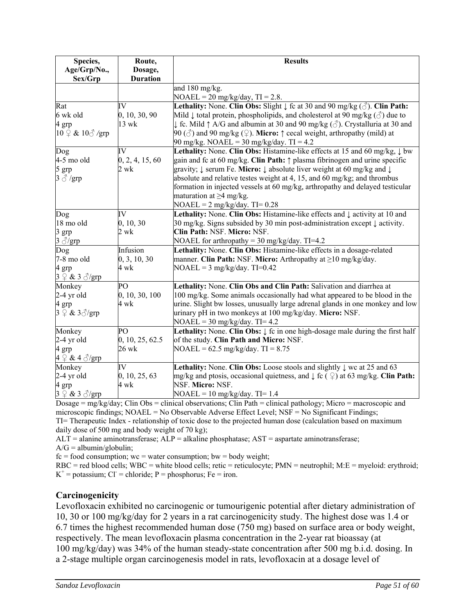| Species,                                                | Route,                 | <b>Results</b>                                                                                                                                             |
|---------------------------------------------------------|------------------------|------------------------------------------------------------------------------------------------------------------------------------------------------------|
| Age/Grp/No.,                                            | Dosage,                |                                                                                                                                                            |
| Sex/Grp                                                 | <b>Duration</b>        |                                                                                                                                                            |
|                                                         |                        | and 180 mg/kg.                                                                                                                                             |
|                                                         |                        | $NOAEL = 20$ mg/kg/day, TI = 2.8.                                                                                                                          |
| Rat                                                     | IV                     | <b>Lethality:</b> None. Clin Obs: Slight $\downarrow$ fc at 30 and 90 mg/kg ( $\Diamond$ ). Clin Path:                                                     |
| 6 wk old                                                | 0, 10, 30, 90          | Mild $\downarrow$ total protein, phospholipids, and cholesterol at 90 mg/kg ( $\circled{c}$ ) due to                                                       |
| 4 grp                                                   | $13$ wk                | $\downarrow$ fc. Mild $\uparrow$ A/G and albumin at 30 and 90 mg/kg ( $\stackrel{\frown}{\circ}$ ). Crystalluria at 30 and                                 |
| $10 \nvert\text{2} \& 10 \text{ or } \text{grp}$        |                        | 90 ( $\circ$ ) and 90 mg/kg ( $\circ$ ). Micro: $\uparrow$ cecal weight, arthropathy (mild) at                                                             |
|                                                         |                        | 90 mg/kg. NOAEL = 30 mg/kg/day. TI = 4.2                                                                                                                   |
| Dog                                                     | IV                     | <b>Lethality:</b> None. Clin Obs: Histamine-like effects at 15 and 60 mg/kg, $\downarrow$ bw                                                               |
| 4-5 mo old                                              | 0, 2, 4, 15, 60        | gain and fc at 60 mg/kg. Clin Path: $\uparrow$ plasma fibrinogen and urine specific                                                                        |
| 5 grp                                                   | 2 wk                   | gravity; ↓ serum Fe. Micro: ↓ absolute liver weight at 60 mg/kg and ↓                                                                                      |
| $3 \text{ } \textcircled{} \text{ } \text{/}\text{grp}$ |                        | absolute and relative testes weight at 4, 15, and 60 mg/kg; and thrombus                                                                                   |
|                                                         |                        | formation in injected vessels at 60 mg/kg, arthropathy and delayed testicular                                                                              |
|                                                         |                        | maturation at $\geq$ 4 mg/kg.                                                                                                                              |
|                                                         |                        | $NOAEL = 2 mg/kg/day. TI = 0.28$                                                                                                                           |
| Dog                                                     | IV                     | Lethality: None. Clin Obs: Histamine-like effects and $\downarrow$ activity at 10 and                                                                      |
| 18 mo old                                               | 0, 10, 30              | 30 mg/kg. Signs subsided by 30 min post-administration except $\downarrow$ activity.                                                                       |
| 3 grp                                                   | $2 \text{ wk}$         | Clin Path: NSF. Micro: NSF.                                                                                                                                |
| $3 \frac{\sqrt{9}}{9}$                                  |                        | NOAEL for arthropathy = $30 \text{ mg/kg/day}$ . TI=4.2                                                                                                    |
| Dog                                                     | Infusion               | Lethality: None. Clin Obs: Histamine-like effects in a dosage-related                                                                                      |
| 7-8 mo old                                              | 0, 3, 10, 30           | manner. Clin Path: NSF. Micro: Arthropathy at ≥10 mg/kg/day.                                                                                               |
| 4 grp                                                   | 4 wk                   | $NOAEL = 3 mg/kg/day. TI=0.42$                                                                                                                             |
| $3 \nsubseteq \& 3 \triangle$ /grp                      | PO                     |                                                                                                                                                            |
| Monkey                                                  |                        | Lethality: None. Clin Obs and Clin Path: Salivation and diarrhea at                                                                                        |
| $2-4$ yr old                                            | 0, 10, 30, 100<br>4 wk | 100 mg/kg. Some animals occasionally had what appeared to be blood in the<br>urine. Slight bw losses, unusually large adrenal glands in one monkey and low |
| 4 grp<br>$3 \nsubseteq \& 3 \nless$ /grp                |                        | urinary pH in two monkeys at 100 mg/kg/day. Micro: NSF.                                                                                                    |
|                                                         |                        | $NOAEL = 30$ mg/kg/day. TI= 4.2                                                                                                                            |
| Monkey                                                  | PО                     | Lethality: None. Clin Obs: $\downarrow$ fc in one high-dosage male during the first half                                                                   |
| $2-4$ yr old                                            | 0, 10, 25, 62.5        | of the study. Clin Path and Micro: NSF.                                                                                                                    |
| 4 grp                                                   | 26 wk                  | $NOAEL = 62.5$ mg/kg/day. TI = 8.75                                                                                                                        |
| $4 \nsubseteq \& 4 \nless$ /grp                         |                        |                                                                                                                                                            |
| Monkey                                                  | IV                     | Lethality: None. Clin Obs: Loose stools and slightly $\downarrow$ wc at 25 and 63                                                                          |
| $2-4$ yr old                                            | 0, 10, 25, 63          | mg/kg and ptosis, occasional quietness, and $\downarrow$ fc ( $\frac{\circ}{\cdot}$ ) at 63 mg/kg. Clin Path:                                              |
| 4 grp                                                   | 4 wk                   | NSF. Micro: NSF.                                                                                                                                           |
| $3 \nsubseteq \& 3 \nless \sqrt{2}$ grp                 |                        | $NOAEL = 10$ mg/kg/day. TI= 1.4                                                                                                                            |

Dosage = mg/kg/day; Clin Obs = clinical observations; Clin Path = clinical pathology; Micro = macroscopic and microscopic findings; NOAEL = No Observable Adverse Effect Level; NSF = No Significant Findings; TI= Therapeutic Index - relationship of toxic dose to the projected human dose (calculation based on maximum daily dose of 500 mg and body weight of 70 kg);

 $ALT =$  alanine aminotransferase;  $ALP =$  alkaline phosphatase;  $AST =$  aspartate aminotransferase;  $A/G = albumin/globulin;$ 

 $fc = food consumption$ ; wc = water consumption; bw = body weight;

 $RBC = red blood cells$ ;  $WBC = white blood cells$ ; retic = reticulocyte;  $PMN =$  neutrophil;  $M.E =$  myeloid: erythroid;  $K^+$  = potassium; Cl<sup>-</sup> = chloride; P = phosphorus; Fe = iron.

# **Carcinogenicity**

Levofloxacin exhibited no carcinogenic or tumourigenic potential after dietary administration of 10, 30 or 100 mg/kg/day for 2 years in a rat carcinogenicity study. The highest dose was 1.4 or 6.7 times the highest recommended human dose (750 mg) based on surface area or body weight, respectively. The mean levofloxacin plasma concentration in the 2-year rat bioassay (at 100 mg/kg/day) was 34% of the human steady-state concentration after 500 mg b.i.d. dosing. In a 2-stage multiple organ carcinogenesis model in rats, levofloxacin at a dosage level of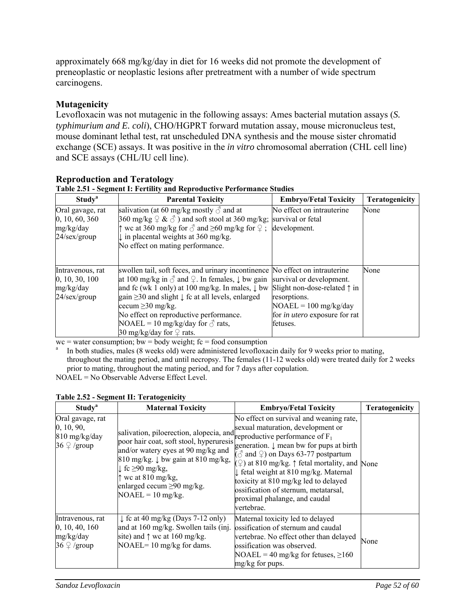approximately 668 mg/kg/day in diet for 16 weeks did not promote the development of preneoplastic or neoplastic lesions after pretreatment with a number of wide spectrum carcinogens.

# **Mutagenicity**

Levofloxacin was not mutagenic in the following assays: Ames bacterial mutation assays (*S. typhimurium and E. coli*), CHO/HGPRT forward mutation assay, mouse micronucleus test, mouse dominant lethal test, rat unscheduled DNA synthesis and the mouse sister chromatid exchange (SCE) assays. It was positive in the *in vitro* chromosomal aberration (CHL cell line) and SCE assays (CHL/IU cell line).

|                                                                    | Table 2.51 - Segment I: Fertility and Reproductive Performance Studies                                                                                                                                                                                                                                                                                                                                                                            |                                                                                                                                                                  |                |  |  |  |
|--------------------------------------------------------------------|---------------------------------------------------------------------------------------------------------------------------------------------------------------------------------------------------------------------------------------------------------------------------------------------------------------------------------------------------------------------------------------------------------------------------------------------------|------------------------------------------------------------------------------------------------------------------------------------------------------------------|----------------|--|--|--|
| <b>Study</b> <sup>a</sup>                                          | <b>Parental Toxicity</b>                                                                                                                                                                                                                                                                                                                                                                                                                          | <b>Embryo/Fetal Toxicity</b>                                                                                                                                     | Teratogenicity |  |  |  |
| Oral gavage, rat<br>0, 10, 60, 360<br>mg/kg/day<br>$24$ /sex/group | salivation (at 60 mg/kg mostly $\delta$ and at<br>$360 \text{ mg/kg} \nvertneq \& \triangle$ ) and soft stool at 360 mg/kg;<br>we at 360 mg/kg for $\delta$ and $\geq 60$ mg/kg for $\circledcirc$ ;<br>in placental weights at 360 mg/kg.<br>No effect on mating performance.                                                                                                                                                                    | No effect on intrauterine<br>survival or fetal<br>development.                                                                                                   | None           |  |  |  |
| Intravenous, rat<br>0, 10, 30, 100<br>mg/kg/day<br>$24$ /sex/group | swollen tail, soft feces, and urinary incontinence No effect on intrauterine<br>at 100 mg/kg in $\delta$ and $\Omega$ . In females, $\downarrow$ bw gain<br>and fc (wk 1 only) at 100 mg/kg. In males, $\downarrow$ bw<br>gain $\geq$ 30 and slight $\downarrow$ fc at all levels, enlarged<br>cecum $\geq$ 30 mg/kg.<br>No effect on reproductive performance.<br>NOAEL = 10 mg/kg/day for $\delta$ rats,<br>30 mg/kg/day for $\mathcal Q$ rats. | survival or development.<br>Slight non-dose-related $\uparrow$ in<br>resorptions.<br>$NOAEL = 100$ mg/kg/day<br>for <i>in utero</i> exposure for rat<br>fetuses. | None           |  |  |  |

#### **Reproduction and Teratology**

 $wc = water consumption$ ;  $bw = body weight$ ;  $fc = food consumption$ 

<sup>a</sup> In both studies, males (8 weeks old) were administered levofloxacin daily for 9 weeks prior to mating, throughout the mating period, and until necropsy. The females (11-12 weeks old) were treated daily for 2 weeks prior to mating, throughout the mating period, and for 7 days after copulation. NOAEL = No Observable Adverse Effect Level.

| <b>Study</b> <sup>a</sup>                                                            | <b>Maternal Toxicity</b>                                                                                                                                                                                                                           | <b>Embryo/Fetal Toxicity</b>                                                                                                                                                                                                                                                                                                                                                                                                                                                                                 | <b>Teratogenicity</b> |
|--------------------------------------------------------------------------------------|----------------------------------------------------------------------------------------------------------------------------------------------------------------------------------------------------------------------------------------------------|--------------------------------------------------------------------------------------------------------------------------------------------------------------------------------------------------------------------------------------------------------------------------------------------------------------------------------------------------------------------------------------------------------------------------------------------------------------------------------------------------------------|-----------------------|
| Oral gavage, rat<br>0, 10, 90,<br>810 mg/kg/day<br>36 $\varphi$ /group               | salivation, piloerection, alopecia, and<br>and/or watery eyes at 90 mg/kg and<br>810 mg/kg. $\downarrow$ bw gain at 810 mg/kg,<br>$\downarrow$ fc $\geq$ 90 mg/kg,<br>we at $810$ mg/kg,<br>enlarged cecum $\geq 90$ mg/kg.<br>$NOAEL = 10$ mg/kg. | No effect on survival and weaning rate,<br>sexual maturation, development or<br>reproductive performance of $F_1$<br>poor hair coat, soft stool, hyperuresis generation. $\downarrow$ mean bw for pups at birth<br>$(\text{and } 2)$ on Days 63-77 postpartum<br>$(\circledcirc)$ at 810 mg/kg. $\uparrow$ fetal mortality, and None<br>↓ fetal weight at 810 mg/kg. Maternal<br>toxicity at 810 mg/kg led to delayed<br>ossification of sternum, metatarsal,<br>proximal phalange, and caudal<br>vertebrae. |                       |
| Intravenous, rat<br>0, 10, 40, 160<br>mg/kg/day<br>$36 \nvert\textcircled{1}$ /group | $\downarrow$ fc at 40 mg/kg (Days 7-12 only)<br>and at 160 mg/kg. Swollen tails (inj.<br>site) and $\uparrow$ wc at 160 mg/kg.<br>NOAEL= $10 \frac{\text{mg}}{\text{kg}}$ for dams.                                                                | Maternal toxicity led to delayed<br>ossification of sternum and caudal<br>vertebrae. No effect other than delayed<br>ossification was observed.<br>NOAEL = 40 mg/kg for fetuses, $\geq 160$<br>mg/kg for pups.                                                                                                                                                                                                                                                                                               | None                  |

#### **Table 2.52 - Segment II: Teratogenicity**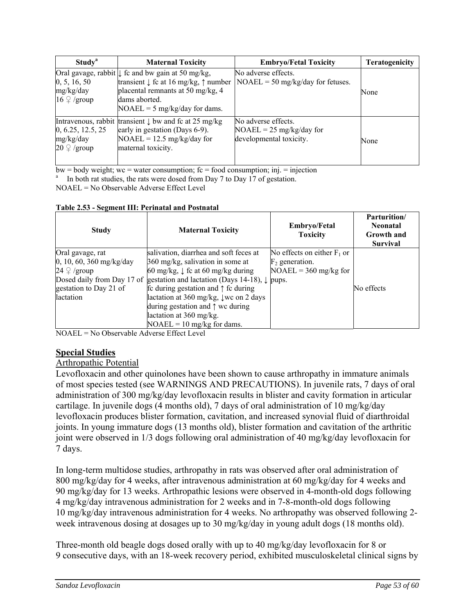| Study <sup>a</sup>                                      | <b>Maternal Toxicity</b>                                                                                                                                                                                          | <b>Embryo/Fetal Toxicity</b>                                                 | <b>Teratogenicity</b> |
|---------------------------------------------------------|-------------------------------------------------------------------------------------------------------------------------------------------------------------------------------------------------------------------|------------------------------------------------------------------------------|-----------------------|
| 0, 5, 16, 50<br>mg/kg/day<br>$16 \nvert\Omega$ /group   | Oral gavage, rabbit $\downarrow$ fc and bw gain at 50 mg/kg,<br>transient $\downarrow$ fc at 16 mg/kg, $\uparrow$ number<br>placental remnants at 50 mg/kg, 4<br>dams aborted.<br>$NOAEL = 5$ mg/kg/day for dams. | No adverse effects.<br>$NOAEL = 50$ mg/kg/day for fetuses.                   | None                  |
| 0, 6.25, 12.5, 25<br>mg/kg/day<br>$20 \n\degree$ /group | Intravenous, rabbit transient $\downarrow$ bw and fc at 25 mg/kg<br>early in gestation (Days 6-9).<br>$NOAEL = 12.5$ mg/kg/day for<br>maternal toxicity.                                                          | No adverse effects.<br>$NOAEL = 25$ mg/kg/day for<br>developmental toxicity. | None                  |

 $bw = body weight$ ; wc = water consumption;  $fc = food consumption$ ;  $inj = injection$ 

In both rat studies, the rats were dosed from Day 7 to Day 17 of gestation.

NOAEL = No Observable Adverse Effect Level

|  |  |  | Table 2.53 - Segment III: Perinatal and Postnatal |
|--|--|--|---------------------------------------------------|
|  |  |  |                                                   |

| <b>Study</b>                  | <b>Maternal Toxicity</b>                                 | <b>Embryo/Fetal</b><br><b>Toxicity</b> | <b>Parturition</b> /<br><b>Neonatal</b><br><b>Growth</b> and<br><b>Survival</b> |
|-------------------------------|----------------------------------------------------------|----------------------------------------|---------------------------------------------------------------------------------|
| Oral gavage, rat              | salivation, diarrhea and soft feces at                   | No effects on either $F_1$ or          |                                                                                 |
| $0, 10, 60, 360$ mg/kg/day    | 360 mg/kg, salivation in some at                         | $F_2$ generation.                      |                                                                                 |
| $24 \nvert\mathcal{Q}$ /group | 60 mg/kg, $\downarrow$ fc at 60 mg/kg during             | $NOAEL = 360$ mg/kg for                |                                                                                 |
| Dosed daily from Day 17 of    | gestation and lactation (Days 14-18), $\downarrow$ pups. |                                        |                                                                                 |
| gestation to Day 21 of        | fc during gestation and $\uparrow$ fc during             |                                        | No effects                                                                      |
| lactation                     | lactation at 360 mg/kg, $\downarrow$ wc on 2 days        |                                        |                                                                                 |
|                               | during gestation and $\uparrow$ we during                |                                        |                                                                                 |
|                               | lactation at 360 mg/kg.                                  |                                        |                                                                                 |
|                               | $NOAEL = 10$ mg/kg for dams.                             |                                        |                                                                                 |

NOAEL = No Observable Adverse Effect Level

## **Special Studies**

#### Arthropathic Potential

Levofloxacin and other quinolones have been shown to cause arthropathy in immature animals of most species tested (see WARNINGS AND PRECAUTIONS). In juvenile rats, 7 days of oral administration of 300 mg/kg/day levofloxacin results in blister and cavity formation in articular cartilage. In juvenile dogs (4 months old), 7 days of oral administration of 10 mg/kg/day levofloxacin produces blister formation, cavitation, and increased synovial fluid of diarthroidal joints. In young immature dogs (13 months old), blister formation and cavitation of the arthritic joint were observed in 1/3 dogs following oral administration of 40 mg/kg/day levofloxacin for 7 days.

In long-term multidose studies, arthropathy in rats was observed after oral administration of 800 mg/kg/day for 4 weeks, after intravenous administration at 60 mg/kg/day for 4 weeks and 90 mg/kg/day for 13 weeks. Arthropathic lesions were observed in 4-month-old dogs following 4 mg/kg/day intravenous administration for 2 weeks and in 7-8-month-old dogs following 10 mg/kg/day intravenous administration for 4 weeks. No arthropathy was observed following 2 week intravenous dosing at dosages up to 30 mg/kg/day in young adult dogs (18 months old).

Three-month old beagle dogs dosed orally with up to 40 mg/kg/day levofloxacin for 8 or 9 consecutive days, with an 18-week recovery period, exhibited musculoskeletal clinical signs by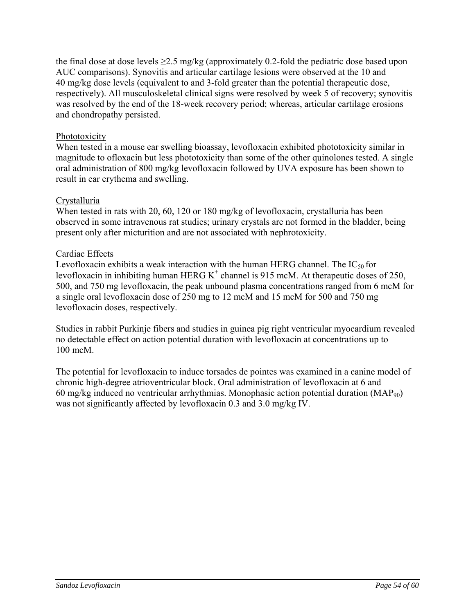the final dose at dose levels  $\geq$ 2.5 mg/kg (approximately 0.2-fold the pediatric dose based upon AUC comparisons). Synovitis and articular cartilage lesions were observed at the 10 and 40 mg/kg dose levels (equivalent to and 3-fold greater than the potential therapeutic dose, respectively). All musculoskeletal clinical signs were resolved by week 5 of recovery; synovitis was resolved by the end of the 18-week recovery period; whereas, articular cartilage erosions and chondropathy persisted.

# **Phototoxicity**

When tested in a mouse ear swelling bioassay, levofloxacin exhibited phototoxicity similar in magnitude to ofloxacin but less phototoxicity than some of the other quinolones tested. A single oral administration of 800 mg/kg levofloxacin followed by UVA exposure has been shown to result in ear erythema and swelling.

# **Crystalluria**

When tested in rats with 20, 60, 120 or 180 mg/kg of levofloxacin, crystalluria has been observed in some intravenous rat studies; urinary crystals are not formed in the bladder, being present only after micturition and are not associated with nephrotoxicity.

# Cardiac Effects

Levofloxacin exhibits a weak interaction with the human HERG channel. The  $IC_{50}$  for levofloxacin in inhibiting human HERG  $K^+$  channel is 915 mcM. At therapeutic doses of 250, 500, and 750 mg levofloxacin, the peak unbound plasma concentrations ranged from 6 mcM for a single oral levofloxacin dose of 250 mg to 12 mcM and 15 mcM for 500 and 750 mg levofloxacin doses, respectively.

Studies in rabbit Purkinje fibers and studies in guinea pig right ventricular myocardium revealed no detectable effect on action potential duration with levofloxacin at concentrations up to 100 mcM.

The potential for levofloxacin to induce torsades de pointes was examined in a canine model of chronic high-degree atrioventricular block. Oral administration of levofloxacin at 6 and 60 mg/kg induced no ventricular arrhythmias. Monophasic action potential duration  $(MAP_{90})$ was not significantly affected by levofloxacin 0.3 and 3.0 mg/kg IV.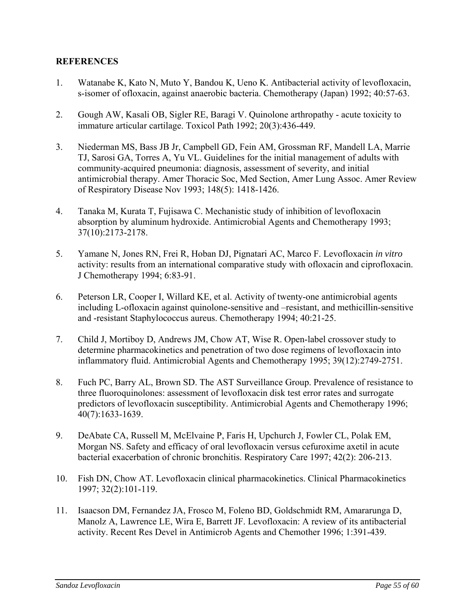### **REFERENCES**

- 1. Watanabe K, Kato N, Muto Y, Bandou K, Ueno K. Antibacterial activity of levofloxacin, s-isomer of ofloxacin, against anaerobic bacteria. Chemotherapy (Japan) 1992; 40:57-63.
- 2. Gough AW, Kasali OB, Sigler RE, Baragi V. Quinolone arthropathy acute toxicity to immature articular cartilage. Toxicol Path 1992; 20(3):436-449.
- 3. Niederman MS, Bass JB Jr, Campbell GD, Fein AM, Grossman RF, Mandell LA, Marrie TJ, Sarosi GA, Torres A, Yu VL. Guidelines for the initial management of adults with community-acquired pneumonia: diagnosis, assessment of severity, and initial antimicrobial therapy. Amer Thoracic Soc, Med Section, Amer Lung Assoc. Amer Review of Respiratory Disease Nov 1993; 148(5): 1418-1426.
- 4. Tanaka M, Kurata T, Fujisawa C. Mechanistic study of inhibition of levofloxacin absorption by aluminum hydroxide. Antimicrobial Agents and Chemotherapy 1993; 37(10):2173-2178.
- 5. Yamane N, Jones RN, Frei R, Hoban DJ, Pignatari AC, Marco F. Levofloxacin *in vitro* activity: results from an international comparative study with ofloxacin and ciprofloxacin. J Chemotherapy 1994; 6:83-91.
- 6. Peterson LR, Cooper I, Willard KE, et al. Activity of twenty-one antimicrobial agents including L-ofloxacin against quinolone-sensitive and –resistant, and methicillin-sensitive and -resistant Staphylococcus aureus. Chemotherapy 1994; 40:21-25.
- 7. Child J, Mortiboy D, Andrews JM, Chow AT, Wise R. Open-label crossover study to determine pharmacokinetics and penetration of two dose regimens of levofloxacin into inflammatory fluid. Antimicrobial Agents and Chemotherapy 1995; 39(12):2749-2751.
- 8. Fuch PC, Barry AL, Brown SD. The AST Surveillance Group. Prevalence of resistance to three fluoroquinolones: assessment of levofloxacin disk test error rates and surrogate predictors of levofloxacin susceptibility. Antimicrobial Agents and Chemotherapy 1996; 40(7):1633-1639.
- 9. DeAbate CA, Russell M, McElvaine P, Faris H, Upchurch J, Fowler CL, Polak EM, Morgan NS. Safety and efficacy of oral levofloxacin versus cefuroxime axetil in acute bacterial exacerbation of chronic bronchitis. Respiratory Care 1997; 42(2): 206-213.
- 10. Fish DN, Chow AT. Levofloxacin clinical pharmacokinetics. Clinical Pharmacokinetics 1997; 32(2):101-119.
- 11. Isaacson DM, Fernandez JA, Frosco M, Foleno BD, Goldschmidt RM, Amararunga D, Manolz A, Lawrence LE, Wira E, Barrett JF. Levofloxacin: A review of its antibacterial activity. Recent Res Devel in Antimicrob Agents and Chemother 1996; 1:391-439.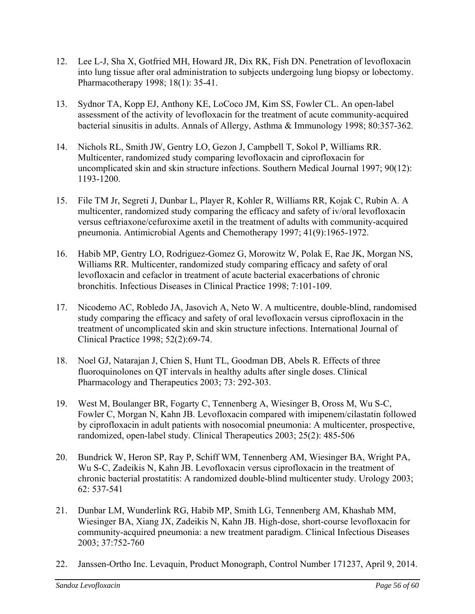- 12. Lee L-J, Sha X, Gotfried MH, Howard JR, Dix RK, Fish DN. Penetration of levofloxacin into lung tissue after oral administration to subjects undergoing lung biopsy or lobectomy. Pharmacotherapy 1998; 18(1): 35-41.
- 13. Sydnor TA, Kopp EJ, Anthony KE, LoCoco JM, Kim SS, Fowler CL. An open-label assessment of the activity of levofloxacin for the treatment of acute community-acquired bacterial sinusitis in adults. Annals of Allergy, Asthma & Immunology 1998; 80:357-362.
- 14. Nichols RL, Smith JW, Gentry LO, Gezon J, Campbell T, Sokol P, Williams RR. Multicenter, randomized study comparing levofloxacin and ciprofloxacin for uncomplicated skin and skin structure infections. Southern Medical Journal 1997; 90(12): 1193-1200.
- 15. File TM Jr, Segreti J, Dunbar L, Player R, Kohler R, Williams RR, Kojak C, Rubin A. A multicenter, randomized study comparing the efficacy and safety of iv/oral levofloxacin versus ceftriaxone/cefuroxime axetil in the treatment of adults with community-acquired pneumonia. Antimicrobial Agents and Chemotherapy 1997; 41(9):1965-1972.
- 16. Habib MP, Gentry LO, Rodriguez-Gomez G, Morowitz W, Polak E, Rae JK, Morgan NS, Williams RR. Multicenter, randomized study comparing efficacy and safety of oral levofloxacin and cefaclor in treatment of acute bacterial exacerbations of chronic bronchitis. Infectious Diseases in Clinical Practice 1998; 7:101-109.
- 17. Nicodemo AC, Robledo JA, Jasovich A, Neto W. A multicentre, double-blind, randomised study comparing the efficacy and safety of oral levofloxacin versus ciprofloxacin in the treatment of uncomplicated skin and skin structure infections. International Journal of Clinical Practice 1998; 52(2):69-74.
- 18. Noel GJ, Natarajan J, Chien S, Hunt TL, Goodman DB, Abels R. Effects of three fluoroquinolones on QT intervals in healthy adults after single doses. Clinical Pharmacology and Therapeutics 2003; 73: 292-303.
- 19. West M, Boulanger BR, Fogarty C, Tennenberg A, Wiesinger B, Oross M, Wu S-C, Fowler C, Morgan N, Kahn JB. Levofloxacin compared with imipenem/cilastatin followed by ciprofloxacin in adult patients with nosocomial pneumonia: A multicenter, prospective, randomized, open-label study. Clinical Therapeutics 2003; 25(2): 485-506
- 20. Bundrick W, Heron SP, Ray P, Schiff WM, Tennenberg AM, Wiesinger BA, Wright PA, Wu S-C, Zadeikis N, Kahn JB. Levofloxacin versus ciprofloxacin in the treatment of chronic bacterial prostatitis: A randomized double-blind multicenter study. Urology 2003; 62: 537-541
- 21. Dunbar LM, Wunderlink RG, Habib MP, Smith LG, Tennenberg AM, Khashab MM, Wiesinger BA, Xiang JX, Zadeikis N, Kahn JB. High-dose, short-course levofloxacin for community-acquired pneumonia: a new treatment paradigm. Clinical Infectious Diseases 2003; 37:752-760
- 22. Janssen-Ortho Inc. Levaquin, Product Monograph, Control Number 171237, April 9, 2014.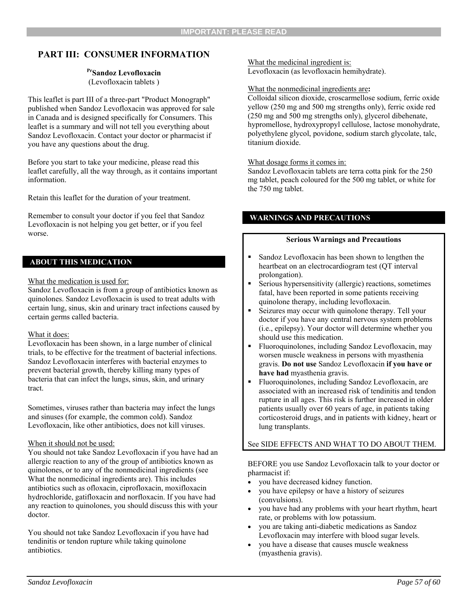# **PART III: CONSUMER INFORMATION**

#### **PrSandoz Levofloxacin**  (Levofloxacin tablets )

This leaflet is part III of a three-part "Product Monograph" published when Sandoz Levofloxacin was approved for sale in Canada and is designed specifically for Consumers. This leaflet is a summary and will not tell you everything about Sandoz Levofloxacin. Contact your doctor or pharmacist if you have any questions about the drug.

Before you start to take your medicine, please read this leaflet carefully, all the way through, as it contains important information.

Retain this leaflet for the duration of your treatment.

Remember to consult your doctor if you feel that Sandoz Levofloxacin is not helping you get better, or if you feel worse.

#### **ABOUT THIS MEDICATION**

#### What the medication is used for:

Sandoz Levofloxacin is from a group of antibiotics known as quinolones. Sandoz Levofloxacin is used to treat adults with certain lung, sinus, skin and urinary tract infections caused by certain germs called bacteria.

#### What it does:

Levofloxacin has been shown, in a large number of clinical trials, to be effective for the treatment of bacterial infections. Sandoz Levofloxacin interferes with bacterial enzymes to prevent bacterial growth, thereby killing many types of bacteria that can infect the lungs, sinus, skin, and urinary tract.

Sometimes, viruses rather than bacteria may infect the lungs and sinuses (for example, the common cold). Sandoz Levofloxacin, like other antibiotics, does not kill viruses.

#### When it should not be used:

You should not take Sandoz Levofloxacin if you have had an allergic reaction to any of the group of antibiotics known as quinolones, or to any of the nonmedicinal ingredients (see What the nonmedicinal ingredients are). This includes antibiotics such as ofloxacin, ciprofloxacin, moxifloxacin hydrochloride, gatifloxacin and norfloxacin. If you have had any reaction to quinolones, you should discuss this with your doctor.

You should not take Sandoz Levofloxacin if you have had tendinitis or tendon rupture while taking quinolone antibiotics.

# What the medicinal ingredient is:

Levofloxacin (as levofloxacin hemihydrate).

#### What the nonmedicinal ingredients are**:**

Colloidal silicon dioxide, croscarmellose sodium, ferric oxide yellow (250 mg and 500 mg strengths only), ferric oxide red (250 mg and 500 mg strengths only), glycerol dibehenate, hypromellose, hydroxypropyl cellulose, lactose monohydrate, polyethylene glycol, povidone, sodium starch glycolate, talc, titanium dioxide.

#### What dosage forms it comes in:

Sandoz Levofloxacin tablets are terra cotta pink for the 250 mg tablet, peach coloured for the 500 mg tablet, or white for the 750 mg tablet.

#### **WARNINGS AND PRECAUTIONS**

#### **Serious Warnings and Precautions**

- **Sandoz Levofloxacin has been shown to lengthen the** heartbeat on an electrocardiogram test (QT interval prolongation).
- Serious hypersensitivity (allergic) reactions, sometimes fatal, have been reported in some patients receiving quinolone therapy, including levofloxacin.
- Seizures may occur with quinolone therapy. Tell your doctor if you have any central nervous system problems (i.e., epilepsy). Your doctor will determine whether you should use this medication.
- Fluoroquinolones, including Sandoz Levofloxacin, may worsen muscle weakness in persons with myasthenia gravis. **Do not use** Sandoz Levofloxacin **if you have or have had** myasthenia gravis.
- Fluoroquinolones, including Sandoz Levofloxacin, are associated with an increased risk of tendinitis and tendon rupture in all ages. This risk is further increased in older patients usually over 60 years of age, in patients taking corticosteroid drugs, and in patients with kidney, heart or lung transplants.

#### See SIDE EFFECTS AND WHAT TO DO ABOUT THEM.

BEFORE you use Sandoz Levofloxacin talk to your doctor or pharmacist if:

- you have decreased kidney function.
- you have epilepsy or have a history of seizures (convulsions).
- you have had any problems with your heart rhythm, heart rate, or problems with low potassium.
- you are taking anti-diabetic medications as Sandoz Levofloxacin may interfere with blood sugar levels.
- you have a disease that causes muscle weakness (myasthenia gravis).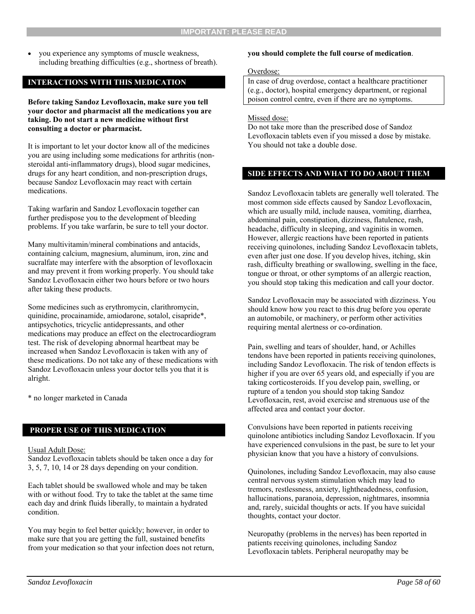• vou experience any symptoms of muscle weakness. including breathing difficulties (e.g., shortness of breath).

#### **INTERACTIONS WITH THIS MEDICATION**

**Before taking Sandoz Levofloxacin, make sure you tell your doctor and pharmacist all the medications you are taking. Do not start a new medicine without first consulting a doctor or pharmacist.** 

It is important to let your doctor know all of the medicines you are using including some medications for arthritis (nonsteroidal anti-inflammatory drugs), blood sugar medicines, drugs for any heart condition, and non-prescription drugs, because Sandoz Levofloxacin may react with certain medications.

Taking warfarin and Sandoz Levofloxacin together can further predispose you to the development of bleeding problems. If you take warfarin, be sure to tell your doctor.

Many multivitamin/mineral combinations and antacids, containing calcium, magnesium, aluminum, iron, zinc and sucralfate may interfere with the absorption of levofloxacin and may prevent it from working properly. You should take Sandoz Levofloxacin either two hours before or two hours after taking these products.

Some medicines such as erythromycin, clarithromycin, quinidine, procainamide, amiodarone, sotalol, cisapride\*, antipsychotics, tricyclic antidepressants, and other medications may produce an effect on the electrocardiogram test. The risk of developing abnormal heartbeat may be increased when Sandoz Levofloxacin is taken with any of these medications. Do not take any of these medications with Sandoz Levofloxacin unless your doctor tells you that it is alright.

\* no longer marketed in Canada

#### **PROPER USE OF THIS MEDICATION**

#### Usual Adult Dose:

Sandoz Levofloxacin tablets should be taken once a day for 3, 5, 7, 10, 14 or 28 days depending on your condition.

Each tablet should be swallowed whole and may be taken with or without food. Try to take the tablet at the same time each day and drink fluids liberally, to maintain a hydrated condition.

You may begin to feel better quickly; however, in order to make sure that you are getting the full, sustained benefits from your medication so that your infection does not return,

#### **you should complete the full course of medication**.

#### Overdose:

In case of drug overdose, contact a healthcare practitioner (e.g., doctor), hospital emergency department, or regional poison control centre, even if there are no symptoms.

Missed dose:

Do not take more than the prescribed dose of Sandoz Levofloxacin tablets even if you missed a dose by mistake. You should not take a double dose.

#### **SIDE EFFECTS AND WHAT TO DO ABOUT THEM**

Sandoz Levofloxacin tablets are generally well tolerated. The most common side effects caused by Sandoz Levofloxacin, which are usually mild, include nausea, vomiting, diarrhea, abdominal pain, constipation, dizziness, flatulence, rash, headache, difficulty in sleeping, and vaginitis in women. However, allergic reactions have been reported in patients receiving quinolones, including Sandoz Levofloxacin tablets, even after just one dose. If you develop hives, itching, skin rash, difficulty breathing or swallowing, swelling in the face, tongue or throat, or other symptoms of an allergic reaction, you should stop taking this medication and call your doctor.

Sandoz Levofloxacin may be associated with dizziness. You should know how you react to this drug before you operate an automobile, or machinery, or perform other activities requiring mental alertness or co-ordination.

Pain, swelling and tears of shoulder, hand, or Achilles tendons have been reported in patients receiving quinolones, including Sandoz Levofloxacin. The risk of tendon effects is higher if you are over 65 years old, and especially if you are taking corticosteroids. If you develop pain, swelling, or rupture of a tendon you should stop taking Sandoz Levofloxacin, rest, avoid exercise and strenuous use of the affected area and contact your doctor.

Convulsions have been reported in patients receiving quinolone antibiotics including Sandoz Levofloxacin. If you have experienced convulsions in the past, be sure to let your physician know that you have a history of convulsions.

Quinolones, including Sandoz Levofloxacin, may also cause central nervous system stimulation which may lead to tremors, restlessness, anxiety, lightheadedness, confusion, hallucinations, paranoia, depression, nightmares, insomnia and, rarely, suicidal thoughts or acts. If you have suicidal thoughts, contact your doctor.

Neuropathy (problems in the nerves) has been reported in patients receiving quinolones, including Sandoz Levofloxacin tablets. Peripheral neuropathy may be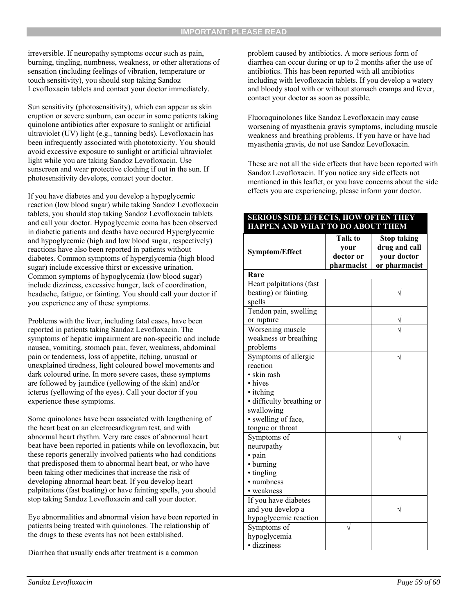irreversible. If neuropathy symptoms occur such as pain, burning, tingling, numbness, weakness, or other alterations of sensation (including feelings of vibration, temperature or touch sensitivity), you should stop taking Sandoz Levofloxacin tablets and contact your doctor immediately.

Sun sensitivity (photosensitivity), which can appear as skin eruption or severe sunburn, can occur in some patients taking quinolone antibiotics after exposure to sunlight or artificial ultraviolet (UV) light (e.g., tanning beds). Levofloxacin has been infrequently associated with phototoxicity. You should avoid excessive exposure to sunlight or artificial ultraviolet light while you are taking Sandoz Levofloxacin. Use sunscreen and wear protective clothing if out in the sun. If photosensitivity develops, contact your doctor.

If you have diabetes and you develop a hypoglycemic reaction (low blood sugar) while taking Sandoz Levofloxacin tablets, you should stop taking Sandoz Levofloxacin tablets and call your doctor. Hypoglycemic coma has been observed in diabetic patients and deaths have occured Hyperglycemic and hypoglycemic (high and low blood sugar, respectively) reactions have also been reported in patients without diabetes. Common symptoms of hyperglycemia (high blood sugar) include excessive thirst or excessive urination. Common symptoms of hypoglycemia (low blood sugar) include dizziness, excessive hunger, lack of coordination, headache, fatigue, or fainting. You should call your doctor if you experience any of these symptoms.

Problems with the liver, including fatal cases, have been reported in patients taking Sandoz Levofloxacin. The symptoms of hepatic impairment are non-specific and include nausea, vomiting, stomach pain, fever, weakness, abdominal pain or tenderness, loss of appetite, itching, unusual or unexplained tiredness, light coloured bowel movements and dark coloured urine. In more severe cases, these symptoms are followed by jaundice (yellowing of the skin) and/or icterus (yellowing of the eyes). Call your doctor if you experience these symptoms.

Some quinolones have been associated with lengthening of the heart beat on an electrocardiogram test, and with abnormal heart rhythm. Very rare cases of abnormal heart beat have been reported in patients while on levofloxacin, but these reports generally involved patients who had conditions that predisposed them to abnormal heart beat, or who have been taking other medicines that increase the risk of developing abnormal heart beat. If you develop heart palpitations (fast beating) or have fainting spells, you should stop taking Sandoz Levofloxacin and call your doctor.

Eye abnormalities and abnormal vision have been reported in patients being treated with quinolones. The relationship of the drugs to these events has not been established.

Diarrhea that usually ends after treatment is a common

problem caused by antibiotics. A more serious form of diarrhea can occur during or up to 2 months after the use of antibiotics. This has been reported with all antibiotics including with levofloxacin tablets. If you develop a watery and bloody stool with or without stomach cramps and fever, contact your doctor as soon as possible.

Fluoroquinolones like Sandoz Levofloxacin may cause worsening of myasthenia gravis symptoms, including muscle weakness and breathing problems. If you have or have had myasthenia gravis, do not use Sandoz Levofloxacin.

These are not all the side effects that have been reported with Sandoz Levofloxacin. If you notice any side effects not mentioned in this leaflet, or you have concerns about the side effects you are experiencing, please inform your doctor.

#### **SERIOUS SIDE EFFECTS, HOW OFTEN THEY HAPPEN AND WHAT TO DO ABOUT THEM**

|                           | <b>Talk to</b> | <b>Stop taking</b> |
|---------------------------|----------------|--------------------|
| <b>Symptom/Effect</b>     | vour           | drug and call      |
|                           | doctor or      | your doctor        |
|                           | pharmacist     | or pharmacist      |
| Rare                      |                |                    |
| Heart palpitations (fast  |                |                    |
| beating) or fainting      |                |                    |
| spells                    |                |                    |
| Tendon pain, swelling     |                |                    |
| or rupture                |                |                    |
| Worsening muscle          |                |                    |
| weakness or breathing     |                |                    |
| problems                  |                |                    |
| Symptoms of allergic      |                |                    |
| reaction                  |                |                    |
| • skin rash               |                |                    |
| • hives                   |                |                    |
| • itching                 |                |                    |
| • difficulty breathing or |                |                    |
| swallowing                |                |                    |
| · swelling of face,       |                |                    |
| tongue or throat          |                |                    |
| Symptoms of               |                |                    |
| neuropathy                |                |                    |
| · pain                    |                |                    |
| • burning                 |                |                    |
| · tingling                |                |                    |
| • numbness                |                |                    |
| • weakness                |                |                    |
| If you have diabetes      |                |                    |
| and you develop a         |                |                    |
| hypoglycemic reaction     |                |                    |
| Symptoms of               |                |                    |
| hypoglycemia              |                |                    |
| · dizziness               |                |                    |